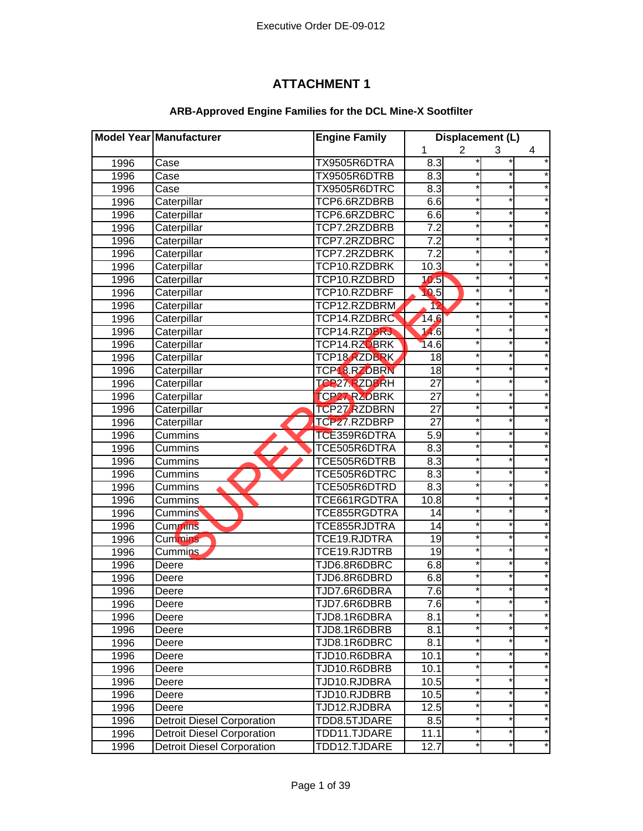## **ATTACHMENT 1**

## **ARB-Approved Engine Families for the DCL Mine-X Sootfilter**

|      | Model Year Manufacturer           | <b>Engine Family</b> | Displacement (L)  |                |            |          |
|------|-----------------------------------|----------------------|-------------------|----------------|------------|----------|
|      |                                   |                      | 1                 | $\overline{2}$ | 3          | 4        |
| 1996 | Case                              | TX9505R6DTRA         | 8.3               |                |            |          |
| 1996 | Case                              | TX9505R6DTRB         | 8.3               |                |            |          |
| 1996 | Case                              | TX9505R6DTRC         | 8.3               |                | *          |          |
| 1996 | Caterpillar                       | TCP6.6RZDBRB         | 6.6               |                | $\star$    |          |
| 1996 | Caterpillar                       | TCP6.6RZDBRC         | 6.6               |                | *          |          |
| 1996 | Caterpillar                       | TCP7.2RZDBRB         | 7.2               |                | $\star$    |          |
| 1996 | Caterpillar                       | TCP7.2RZDBRC         | 7.2               |                | $\star$    |          |
| 1996 | Caterpillar                       | TCP7.2RZDBRK         | 7.2               |                | $^\star$   |          |
| 1996 | Caterpillar                       | TCP10.RZDBRK         | 10.3              |                | $\star$    |          |
| 1996 | Caterpillar                       | TCP10.RZDBRD         | 10.5              |                |            |          |
| 1996 | Caterpillar                       | TCP10.RZDBRF         | 0.5               |                |            |          |
| 1996 | Caterpillar                       | TCP12.RZDBRM         | 12                |                |            |          |
| 1996 | Caterpillar                       | TCP14.RZDBRC         | 14,6              |                |            |          |
| 1996 | Caterpillar                       | TCP14.RZDBRJ         | 14.6              |                |            |          |
| 1996 | Caterpillar                       | TCP14.RZOBRK         | 14.6              |                |            |          |
| 1996 | Caterpillar                       | TCP18.RZDBRK         | 18                |                |            |          |
| 1996 | Caterpillar                       | <b>TCP 8.RZDBRN</b>  | $\overline{18}$   |                | *          |          |
| 1996 | Caterpillar                       | <b>TCP27.RZDBRH</b>  | $\overline{27}$   |                |            |          |
| 1996 | Caterpillar                       | <b>TCP27 RZDBRK</b>  | 27                |                | $^{\star}$ |          |
| 1996 | Caterpillar                       | <b>TCP27 RZDBRN</b>  | 27                |                | $\star$    |          |
| 1996 | Caterpillar                       | TCP27.RZDBRP         | 27                |                | $\star$    |          |
| 1996 | Cummins                           | TCE359R6DTRA         | 5.9               |                | *          |          |
| 1996 | Cummins                           | TCE505R6DTRA         | 8.3               |                | $\star$    |          |
| 1996 | Cummins                           | TCE505R6DTRB         | 8.3               |                | $\star$    |          |
| 1996 | Cummins                           | TCE505R6DTRC         | 8.3               |                | *          |          |
| 1996 | Cummins                           | TCE505R6DTRD         | 8.3               |                | *          |          |
| 1996 | Cummins                           | TCE661RGDTRA         | 10.8              |                |            |          |
| 1996 | <b>Cummins</b>                    | TCE855RGDTRA         | 14                |                |            |          |
| 1996 | <b>Cummins</b>                    | TCE855RJDTRA         | $\overline{14}$   |                |            |          |
| 1996 | Cummins                           | TCE19.RJDTRA         | 19                |                |            |          |
| 1996 | <b>Cummins</b>                    | TCE19.RJDTRB         | $\overline{19}$   |                |            |          |
| 1996 | Deere                             | TJD6.8R6DBRC         | 6.8               |                |            |          |
| 1996 | Deere                             | TJD6.8R6DBRD         | 6.8               |                |            |          |
| 1996 | Deere                             | TJD7.6R6DBRA         | $\overline{7.6}$  |                | $\star$    |          |
| 1996 | Deere                             | TJD7.6R6DBRB         | 7.6               |                |            |          |
| 1996 | Deere                             | TJD8.1R6DBRA         | 8.1               |                | $\star$    |          |
| 1996 | Deere                             | TJD8.1R6DBRB         | 8.1               |                | *          |          |
| 1996 | Deere                             | TJD8.1R6DBRC         | 8.1               |                | *          | *        |
| 1996 | Deere                             | TJD10.R6DBRA         | 10.1              |                | $\star$    | *        |
| 1996 | Deere                             | TJD10.R6DBRB         | 10.1              |                | $\star$    | $^\star$ |
| 1996 | Deere                             | TJD10.RJDBRA         | 10.5              |                | $^\star$   | *        |
| 1996 | Deere                             | TJD10.RJDBRB         | 10.5              | $\star$        | *          | $^\star$ |
| 1996 | Deere                             | TJD12.RJDBRA         | $\overline{12.5}$ |                | $\star$    | $^\star$ |
| 1996 | <b>Detroit Diesel Corporation</b> | TDD8.5TJDARE         | 8.5               |                |            | *        |
| 1996 | <b>Detroit Diesel Corporation</b> | TDD11.TJDARE         | 11.1              |                | $^\star$   | *        |
| 1996 | <b>Detroit Diesel Corporation</b> | TDD12.TJDARE         | 12.7              |                | $\star$    | $\star$  |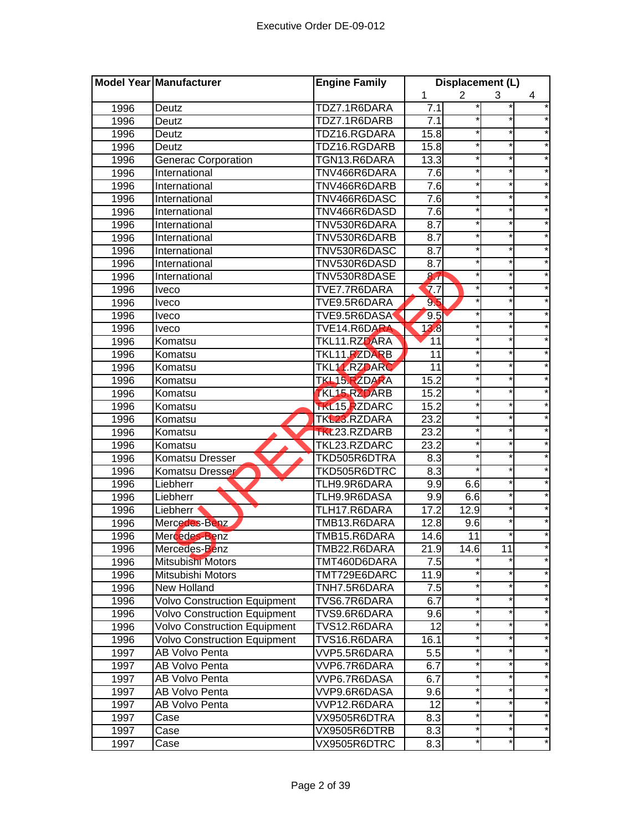|      | Model Year Manufacturer             | <b>Engine Family</b> | Displacement (L)  |                |          |          |
|------|-------------------------------------|----------------------|-------------------|----------------|----------|----------|
|      |                                     |                      | 1                 | $\overline{2}$ | 3        | 4        |
| 1996 | Deutz                               | TDZ7.1R6DARA         | 7.1               |                |          |          |
| 1996 | Deutz                               | TDZ7.1R6DARB         | 7.1               |                |          |          |
| 1996 | Deutz                               | TDZ16.RGDARA         | 15.8              |                |          |          |
| 1996 | Deutz                               | TDZ16.RGDARB         | 15.8              |                |          |          |
| 1996 | <b>Generac Corporation</b>          | TGN13.R6DARA         | 13.3              |                | $^\star$ |          |
| 1996 | International                       | TNV466R6DARA         | 7.6               |                | $\star$  |          |
| 1996 | International                       | TNV466R6DARB         | 7.6               |                | $\star$  |          |
| 1996 | International                       | TNV466R6DASC         | 7.6               |                | $^\star$ |          |
| 1996 | International                       | TNV466R6DASD         | 7.6               |                | $\star$  |          |
| 1996 | International                       | TNV530R6DARA         | $\overline{8.7}$  |                | $\star$  |          |
| 1996 | International                       | TNV530R6DARB         | 8.7               |                | $\star$  |          |
| 1996 | International                       | TNV530R6DASC         | 8.7               |                | $\star$  |          |
| 1996 | International                       | TNV530R6DASD         | 8.7               |                |          |          |
| 1996 | International                       | TNV530R8DASE         | 8.7               |                |          |          |
| 1996 | <b>Iveco</b>                        | TVE7.7R6DARA         | $\overline{a}$ .7 |                |          |          |
| 1996 | <b>Iveco</b>                        | TVE9.5R6DARA         | 9 <sub>b</sub>    |                |          |          |
| 1996 | <b>Iveco</b>                        | TVE9.5R6DASA         | 9.5               |                |          |          |
| 1996 | <b>Iveco</b>                        | TVE14.R6DARA         | 13.8              |                |          |          |
| 1996 | Komatsu                             | TKL11.RZDARA         | 11                |                |          |          |
| 1996 | Komatsu                             | <b>TKL11 RZDARB</b>  | 11                |                | *        |          |
| 1996 | Komatsu                             | <b>TKL11.RZDARC</b>  | 11                |                |          |          |
| 1996 | Komatsu                             | <b>TKL15.RZDARA</b>  | 15.2              |                | $^\star$ |          |
| 1996 | Komatsu                             | <b>TKL15 RZDARB</b>  | 15.2              |                | $\star$  |          |
| 1996 | Komatsu                             | <b>TKL15, RZDARC</b> | 15.2              |                | *        |          |
| 1996 | Komatsu                             | TKL23.RZDARA         | 23.2              |                | $\star$  |          |
| 1996 | Komatsu                             | TKL23.RZDARB         | 23.2              |                | $\star$  |          |
| 1996 | Komatsu                             | TKL23.RZDARC         | 23.2              |                | *        |          |
| 1996 | Komatsu Dresser                     | TKD505R6DTRA         | 8.3               |                | $\star$  |          |
| 1996 | <b>Komatsu Dresser</b>              | TKD505R6DTRC         | $\overline{8.3}$  |                |          |          |
| 1996 | Liebherr                            | TLH9.9R6DARA         | 9.9               | 6.6            |          |          |
| 1996 | Liebherr                            | TLH9.9R6DASA         | 9.9               | 6.6            |          |          |
| 1996 | Liebherr                            | TLH17.R6DARA         | 17.2              | 12.9           |          |          |
| 1996 | Mercedes-Benz                       | TMB13.R6DARA         | 12.8              | 9.6            |          |          |
| 1996 | Mercedes-Benz                       | TMB15.R6DARA         | 14.6              | 11             |          |          |
| 1996 | Mercedes-Benz                       | TMB22.R6DARA         | 21.9              | 14.6           | 11       |          |
| 1996 | Mitsubishi Motors                   | TMT460D6DARA         | 7.5               |                |          |          |
| 1996 | Mitsubishi Motors                   | TMT729E6DARC         | 11.9              |                |          |          |
| 1996 | <b>New Holland</b>                  | TNH7.5R6DARA         | 7.5               |                |          |          |
| 1996 | <b>Volvo Construction Equipment</b> | TVS6.7R6DARA         | 6.7               |                | *        |          |
| 1996 | <b>Volvo Construction Equipment</b> | TVS9.6R6DARA         | 9.6               |                | *        |          |
| 1996 | <b>Volvo Construction Equipment</b> | TVS12.R6DARA         | 12                |                | *        | $^\star$ |
| 1996 | <b>Volvo Construction Equipment</b> | TVS16.R6DARA         | 16.1              |                | $\star$  |          |
| 1997 | <b>AB Volvo Penta</b>               | VVP5.5R6DARA         | 5.5               |                | $^\star$ |          |
| 1997 | AB Volvo Penta                      | VVP6.7R6DARA         | 6.7               |                | $^\star$ | *        |
| 1997 | AB Volvo Penta                      | VVP6.7R6DASA         | 6.7               | $\star$        | *        | *        |
| 1997 | AB Volvo Penta                      | VVP9.6R6DASA         | 9.6               |                |          |          |
| 1997 | AB Volvo Penta                      | VVP12.R6DARA         | 12                |                | *        |          |
| 1997 | Case                                | VX9505R6DTRA         | 8.3               |                |          | $\star$  |
| 1997 | Case                                | VX9505R6DTRB         | 8.3               |                | *        |          |
| 1997 | Case                                | VX9505R6DTRC         | 8.3               |                |          |          |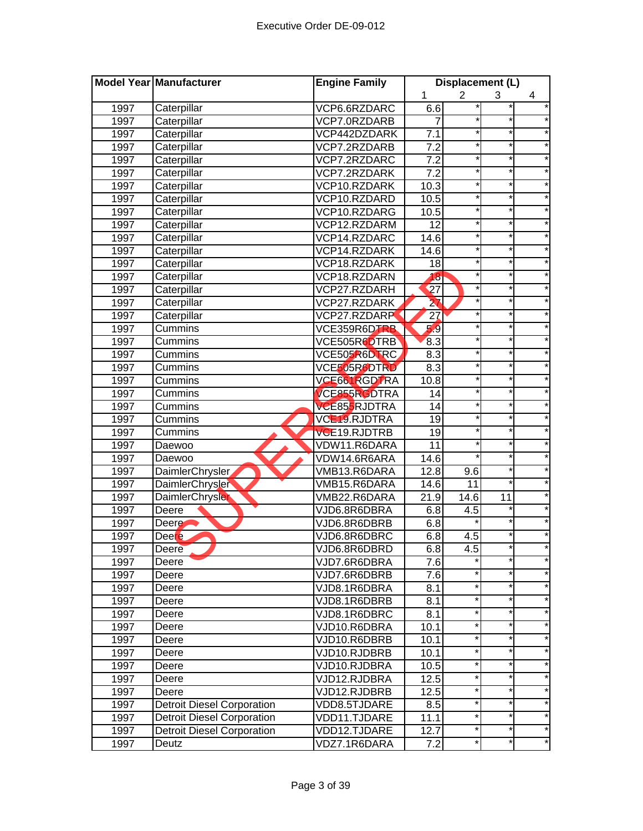|      | Model Year Manufacturer           | <b>Engine Family</b> | Displacement (L) |                |          |            |
|------|-----------------------------------|----------------------|------------------|----------------|----------|------------|
|      |                                   |                      | 1                | $\overline{2}$ | 3        | 4          |
| 1997 | Caterpillar                       | VCP6.6RZDARC         | 6.6              |                |          |            |
| 1997 | Caterpillar                       | VCP7.0RZDARB         | 7                |                | $\ast$   |            |
| 1997 | Caterpillar                       | VCP442DZDARK         | 7.1              |                | $\star$  |            |
| 1997 | Caterpillar                       | VCP7.2RZDARB         | 7.2              |                | $\ast$   |            |
| 1997 | Caterpillar                       | VCP7.2RZDARC         | 7.2              |                | $\star$  |            |
| 1997 | Caterpillar                       | VCP7.2RZDARK         | 7.2              |                | $\star$  |            |
| 1997 | Caterpillar                       | VCP10.RZDARK         | 10.3             |                | $\star$  |            |
| 1997 | Caterpillar                       | VCP10.RZDARD         | 10.5             |                | $\star$  |            |
| 1997 | Caterpillar                       | VCP10.RZDARG         | 10.5             |                | *        |            |
| 1997 | Caterpillar                       | VCP12.RZDARM         | 12               |                | $^\star$ |            |
| 1997 | Caterpillar                       | VCP14.RZDARC         | 14.6             |                | $\star$  |            |
| 1997 | Caterpillar                       | VCP14.RZDARK         | 14.6             |                |          |            |
| 1997 | Caterpillar                       | VCP18.RZDARK         | 18               |                | $^\star$ |            |
| 1997 | Caterpillar                       | VCP18.RZDARN         | 18               |                |          |            |
| 1997 | Caterpillar                       | VCP27.RZDARH         | 27               |                |          |            |
| 1997 | Caterpillar                       | VCP27.RZDARK         | 27               |                |          |            |
| 1997 | Caterpillar                       | <b>VCP27.RZDARP</b>  | 27               |                |          |            |
| 1997 | Cummins                           | VCE359R6DTRB         | 5.9              |                |          |            |
| 1997 | Cummins                           | VCE505R6DTRB         | 8.3              |                | $\star$  |            |
| 1997 | Cummins                           | VCE505R6DTRC         | 8.3              |                | $^\star$ |            |
| 1997 | Cummins                           | VCE505R6DTRD         | 8.3              |                | $\star$  |            |
| 1997 | Cummins                           | VCE661RGDTRA         | 10.8             |                | $\star$  |            |
| 1997 | Cummins                           | <b>VCE855RGDTRA</b>  | 14               |                | $\star$  |            |
| 1997 | Cummins                           | VCE855RJDTRA         | 14               |                | $\star$  |            |
| 1997 | Cummins                           | VCL19.RJDTRA         | 19               |                | *        |            |
| 1997 | Cummins                           | VCE19.RJDTRB         | 19               |                | *        |            |
| 1997 | Daewoo                            | VDW11.R6DARA         | $\overline{11}$  |                | $\star$  |            |
| 1997 | Daewoo                            | VDW14.6R6ARA         | 14.6             |                |          |            |
| 1997 | DaimlerChrysler                   | VMB13.R6DARA         | 12.8             | 9.6            |          |            |
| 1997 | DaimlerChrysler                   | VMB15.R6DARA         | 14.6             | 11             |          |            |
| 1997 | <b>DaimlerChrysler</b>            | VMB22.R6DARA         | 21.9             | 14.6           | 11       |            |
| 1997 | Deere                             | VJD6.8R6DBRA         | 6.8              | 4.5            |          |            |
| 1997 | Deere $\blacksquare$              | VJD6.8R6DBRB         | 6.8              |                |          |            |
| 1997 | <b>Deere</b>                      | VJD6.8R6DBRC         | 6.8              | 4.5            |          |            |
| 1997 | Deere                             | VJD6.8R6DBRD         | 6.8              | 4.5            |          |            |
| 1997 | Deere                             | VJD7.6R6DBRA         | 7.6              |                | $\ast$   |            |
| 1997 | Deere                             | VJD7.6R6DBRB         | 7.6              | $^\star$       |          |            |
| 1997 | Deere                             | VJD8.1R6DBRA         | 8.1              | $\star$        | $\ast$   |            |
| 1997 | Deere                             | VJD8.1R6DBRB         | 8.1              | $\star$        | $\star$  | $\star$    |
| 1997 | Deere                             | VJD8.1R6DBRC         | 8.1              | $^\star$       | $\star$  | $\star$    |
| 1997 | Deere                             | VJD10.R6DBRA         | 10.1             | $\star$        | *        | $^{\star}$ |
| 1997 | Deere                             | VJD10.R6DBRB         | 10.1             | $^\star$       | $^\star$ | *          |
| 1997 | Deere                             | VJD10.RJDBRB         | 10.1             | $^\star$       | $^\star$ | $\star$    |
| 1997 | Deere                             | VJD10.RJDBRA         | 10.5             | $^\star$       | $\star$  | *          |
| 1997 | Deere                             | VJD12.RJDBRA         | 12.5             | $^\star$       |          | $^{\ast}$  |
| 1997 | Deere                             | VJD12.RJDBRB         | 12.5             | $^\star$       | $\star$  |            |
| 1997 | <b>Detroit Diesel Corporation</b> | VDD8.5TJDARE         | 8.5              | $^\star$       | $^\star$ | *          |
| 1997 | <b>Detroit Diesel Corporation</b> | VDD11.TJDARE         | 11.1             | *              | *        | *          |
| 1997 | <b>Detroit Diesel Corporation</b> | VDD12.TJDARE         | 12.7             | $^\star$       |          | $^{\star}$ |
| 1997 | Deutz                             | VDZ7.1R6DARA         | 7.2              | $^\star$       | *        | *          |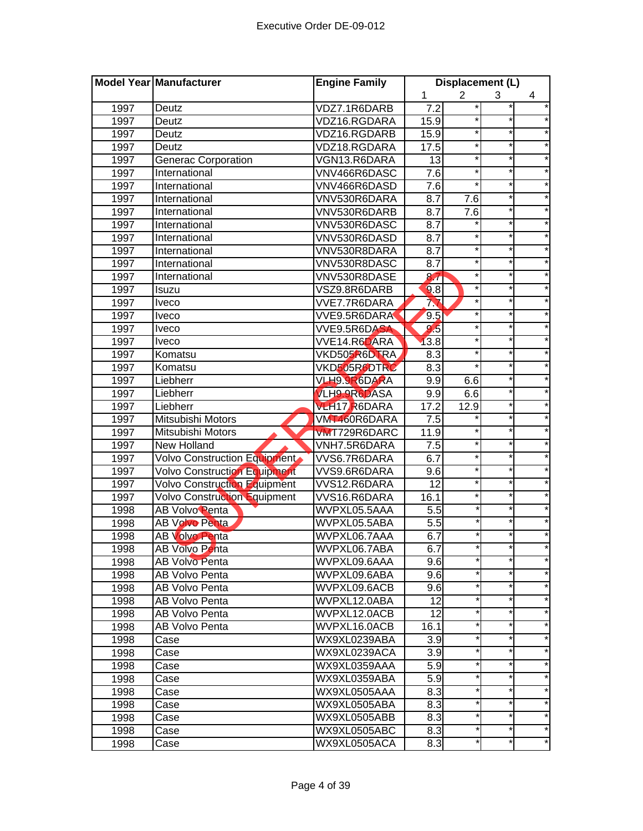|      | Model Year Manufacturer             | <b>Engine Family</b> | Displacement (L) |                |          |            |
|------|-------------------------------------|----------------------|------------------|----------------|----------|------------|
|      |                                     |                      | 1                | $\overline{2}$ | 3        | 4          |
| 1997 | Deutz                               | VDZ7.1R6DARB         | 7.2              |                |          |            |
| 1997 | Deutz                               | VDZ16.RGDARA         | 15.9             |                |          |            |
| 1997 | Deutz                               | VDZ16.RGDARB         | 15.9             | $^\star$       | $\star$  |            |
| 1997 | Deutz                               | VDZ18.RGDARA         | 17.5             |                | $\star$  |            |
| 1997 | <b>Generac Corporation</b>          | VGN13.R6DARA         | $\overline{13}$  | $^\star$       | $\ast$   |            |
| 1997 | International                       | VNV466R6DASC         | 7.6              | $\star$        | $\star$  |            |
| 1997 | International                       | VNV466R6DASD         | 7.6              | $\star$        | $\star$  | *          |
| 1997 | International                       | VNV530R6DARA         | 8.7              | 7.6            | $\star$  |            |
| 1997 | International                       | VNV530R6DARB         | 8.7              | 7.6            | $\star$  |            |
| 1997 | International                       | VNV530R6DASC         | 8.7              | *              | $^\star$ |            |
| 1997 | International                       | VNV530R6DASD         | 8.7              | $\star$        | $^\star$ |            |
| 1997 | International                       | VNV530R8DARA         | 8.7              | $^{\star}$     | $\star$  |            |
| 1997 | International                       | VNV530R8DASC         | 8.7              | $\star$        |          |            |
| 1997 | International                       | VNV530R8DASE         | 87               | $\star$        |          |            |
| 1997 | Isuzu                               | VSZ9.8R6DARB         | 9.8              | $^\star$       |          |            |
| 1997 | <b>Iveco</b>                        | VVE7.7R6DARA         | 77               |                |          |            |
| 1997 | <b>Iveco</b>                        | VVE9.5R6DARA         | 9.5              |                |          |            |
| 1997 | <b>Iveco</b>                        | VVE9.5R6DASA         | 9.5              | *              |          |            |
| 1997 | <b>Iveco</b>                        | VVE14.R6DARA         | 13.8             | $^\star$       |          |            |
| 1997 | Komatsu                             | VKD505R6DTRA         | 8.3              | $^\star$       | $\star$  |            |
| 1997 | Komatsu                             | VKD505R6DTRC         | 8.3              | $^{\star}$     | $^\star$ |            |
| 1997 | Liebherr                            | VLH9.9R6DARA         | 9.9              | 6.6            | $\star$  |            |
| 1997 | Liebherr                            | <b>VLH9.9R6DASA</b>  | 9.9              | 6.6            | $\ast$   |            |
| 1997 | Liebherr                            | <b>VLH17 R6DARA</b>  | 17.2             | 12.9           | $\star$  |            |
| 1997 | Mitsubishi Motors                   | VMT460R6DARA         | 7.5              |                | $\star$  |            |
| 1997 | Mitsubishi Motors                   | <b>VMT729R6DARC</b>  | 11.9             | $\star$        | $^\star$ |            |
| 1997 | <b>New Holland</b>                  | VNH7.5R6DARA         | 7.5              | $\star$        | $^\star$ |            |
| 1997 | Volvo Construction Equipment        | VVS6.7R6DARA         | 6.7              | $^\star$       | $\star$  |            |
| 1997 | <b>Volvo Construction Equipment</b> | VVS9.6R6DARA         | 9.6              | $\star$        |          |            |
| 1997 | Volvo Construction Equipment        | VVS12.R6DARA         | $\overline{12}$  | $\star$        |          |            |
| 1997 | Volvo Construction Equipment        | VVS16.R6DARA         | 16.1             | $^{\star}$     | $\star$  |            |
| 1998 | AB Volvo Penta                      | WVPXL05.5AAA         | 5.5              |                |          |            |
| 1998 | <b>AB Volvo Penta</b>               | WVPXL05.5ABA         | 5.5              |                |          |            |
| 1998 | <b>AB Volvo Penta</b>               | WVPXL06.7AAA         | 6.7              |                |          |            |
| 1998 | AB Volvo Penta                      | WVPXL06.7ABA         | 6.7              |                |          |            |
| 1998 | AB Volvo Penta                      | WVPXL09.6AAA         | 9.6              |                |          | *          |
| 1998 | AB Volvo Penta                      | WVPXL09.6ABA         | 9.6              |                |          |            |
| 1998 | AB Volvo Penta                      | WVPXL09.6ACB         | 9.6              |                |          |            |
| 1998 | AB Volvo Penta                      | WVPXL12.0ABA         | 12               | *              | $\star$  |            |
| 1998 | AB Volvo Penta                      | WVPXL12.0ACB         | 12               |                | $\star$  | $^\star$   |
| 1998 | AB Volvo Penta                      | WVPXL16.0ACB         | 16.1             | $\star$        | $\ast$   | *          |
| 1998 | Case                                | WX9XL0239ABA         | 3.9              |                | *        | $^{\star}$ |
| 1998 | Case                                | WX9XL0239ACA         | 3.9              | *              | *        | $^\star$   |
| 1998 | Case                                | WX9XL0359AAA         | 5.9              |                | *        | *          |
| 1998 | Case                                | WX9XL0359ABA         | 5.9              | *              | $\star$  | *          |
| 1998 | Case                                | WX9XL0505AAA         | 8.3              |                |          | *          |
| 1998 | Case                                | WX9XL0505ABA         | 8.3              |                | $^\star$ |            |
| 1998 | Case                                | WX9XL0505ABB         | 8.3              |                |          | *          |
| 1998 | Case                                | WX9XL0505ABC         | 8.3              |                | *        | $^\star$   |
| 1998 | Case                                | WX9XL0505ACA         | 8.3              |                |          |            |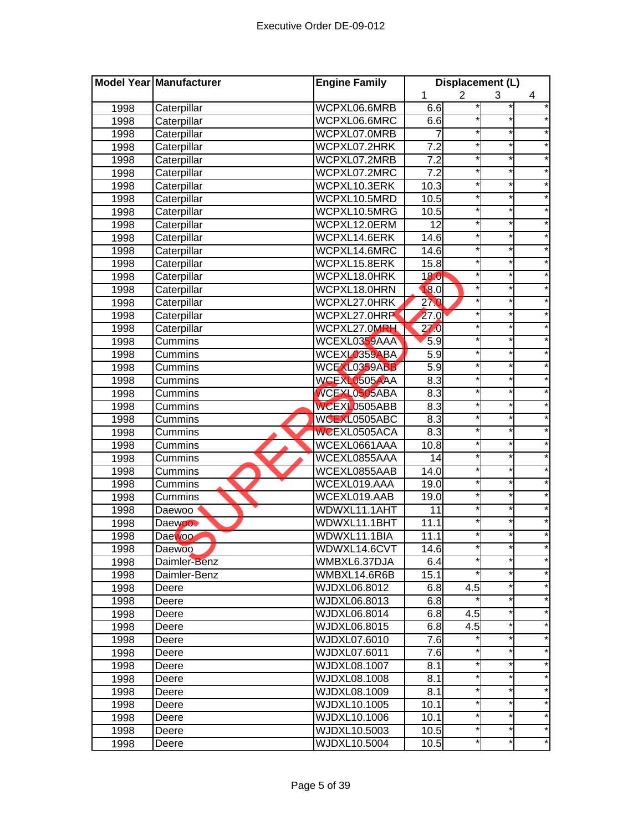|      | Model Year Manufacturer | <b>Engine Family</b> | Displacement (L) |                |          |            |
|------|-------------------------|----------------------|------------------|----------------|----------|------------|
|      |                         |                      | 1                | $\overline{2}$ | 3        | 4          |
| 1998 | Caterpillar             | WCPXL06.6MRB         | 6.6              |                |          |            |
| 1998 | Caterpillar             | WCPXL06.6MRC         | 6.6              |                | $\ast$   |            |
| 1998 | Caterpillar             | WCPXL07.0MRB         |                  |                | $^\star$ |            |
| 1998 | Caterpillar             | WCPXL07.2HRK         | $\overline{7.2}$ |                | $\star$  |            |
| 1998 | Caterpillar             | WCPXL07.2MRB         | 7.2              |                | $\star$  |            |
| 1998 | Caterpillar             | WCPXL07.2MRC         | 7.2              |                | $\star$  |            |
| 1998 | Caterpillar             | WCPXL10.3ERK         | 10.3             |                | $\star$  |            |
| 1998 | Caterpillar             | WCPXL10.5MRD         | 10.5             |                | $\star$  |            |
| 1998 | Caterpillar             | WCPXL10.5MRG         | 10.5             |                | $^\star$ |            |
| 1998 | Caterpillar             | WCPXL12.0ERM         | $\overline{12}$  |                |          |            |
| 1998 | Caterpillar             | WCPXL14.6ERK         | 14.6             |                | $^\star$ |            |
| 1998 | Caterpillar             | WCPXL14.6MRC         | 14.6             |                |          |            |
| 1998 | Caterpillar             | WCPXL15.8ERK         | 15.8             |                |          |            |
| 1998 | Caterpillar             | WCPXL18.0HRK         | 18.0             |                |          |            |
| 1998 | Caterpillar             | WCPXL18.0HRN         | 18.0             |                |          |            |
| 1998 | Caterpillar             | WCPXL27.0HRK         | 270              |                |          |            |
| 1998 | Caterpillar             | WCPXL27.0HRP         | 27.0             |                |          |            |
| 1998 | Caterpillar             | WCPXL27.0MRH         | 27.0             |                |          |            |
| 1998 | Cummins                 | WCEXL0359AAA         | 5.9              |                | $\star$  |            |
| 1998 | Cummins                 | WCEXL0359ABA         | 5.9              |                | *        |            |
| 1998 | Cummins                 | WCEXL0359ABB         | 5.9              |                | $\star$  |            |
| 1998 | Cummins                 | WCEXL0505AAA         | 8.3              |                | $\star$  |            |
| 1998 | Cummins                 | WCEXL0505ABA         | 8.3              | $\star$        | $\star$  |            |
| 1998 | Cummins                 | WCEXL0505ABB         | 8.3              |                | $\star$  |            |
| 1998 | Cummins                 | WCEXL0505ABC         | 8.3              |                | $^\star$ |            |
| 1998 | Cummins                 | WCEXL0505ACA         | 8.3              |                |          |            |
| 1998 | Cummins                 | WCEXL0661AAA         | 10.8             |                | $\star$  |            |
| 1998 | Cummins                 | WCEXL0855AAA         | 14               |                |          |            |
| 1998 | Cummins                 | WCEXL0855AAB         | 14.0             |                |          |            |
| 1998 | Cummins                 | WCEXL019.AAA         | 19.0             |                |          |            |
| 1998 | Cummins                 | WCEXL019.AAB         | 19.0             |                | $\star$  |            |
| 1998 | Daewoo                  | WDWXL11.1AHT         | 11               |                |          |            |
| 1998 | Daewoo <sup>®</sup>     | WDWXL11.1BHT         | 11.1             |                |          |            |
| 1998 | Daewoo <sup>-</sup>     | WDWXL11.1BIA         | 11.1             |                |          |            |
| 1998 | Daewoo                  | WDWXL14.6CVT         | 14.6             |                |          |            |
| 1998 | Daimler-Benz            | WMBXL6.37DJA         | 6.4              | ¥              | $\star$  |            |
| 1998 | Daimler-Benz            | WMBXL14.6R6B         | 15.1             |                |          |            |
| 1998 | Deere                   | WJDXL06.8012         | 6.8              | 4.5            | $\star$  |            |
| 1998 | Deere                   | WJDXL06.8013         | 6.8              |                | $\star$  | $^\star$   |
| 1998 | Deere                   | WJDXL06.8014         | 6.8              | 4.5            | $\star$  | $^\star$   |
| 1998 | Deere                   | WJDXL06.8015         | 6.8              | 4.5            | *        | $^{\star}$ |
| 1998 | Deere                   | WJDXL07.6010         | 7.6              |                | $^\star$ | $^\star$   |
| 1998 | Deere                   | WJDXL07.6011         | 7.6              |                | $^\star$ | *          |
| 1998 | Deere                   | WJDXL08.1007         | 8.1              | *              | $\star$  | *          |
| 1998 | Deere                   | WJDXL08.1008         | 8.1              |                |          | $^\star$   |
| 1998 | Deere                   | WJDXL08.1009         | 8.1              |                | *        |            |
| 1998 | Deere                   | WJDXL10.1005         | 10.1             |                | *        | *          |
| 1998 | Deere                   | WJDXL10.1006         | 10.1             |                | *        | *          |
| 1998 | Deere                   | WJDXL10.5003         | 10.5             |                | *        | *          |
| 1998 | Deere                   | WJDXL10.5004         | 10.5             |                | *        | *          |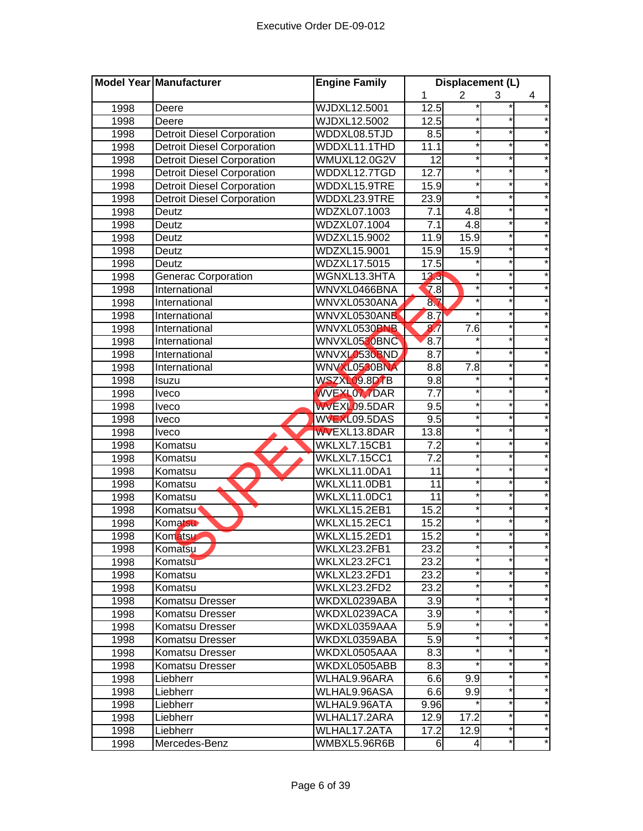|      | Model Year Manufacturer           | <b>Engine Family</b> | Displacement (L)  |                |          |            |
|------|-----------------------------------|----------------------|-------------------|----------------|----------|------------|
|      |                                   |                      | 1                 | $\overline{2}$ | 3        | 4          |
| 1998 | Deere                             | <b>WJDXL12.5001</b>  | 12.5              |                |          |            |
| 1998 | Deere                             | <b>WJDXL12.5002</b>  | 12.5              |                | $\ast$   |            |
| 1998 | <b>Detroit Diesel Corporation</b> | WDDXL08.5TJD         | 8.5               |                | $\star$  |            |
| 1998 | <b>Detroit Diesel Corporation</b> | WDDXL11.1THD         | 11.1              |                | $\star$  |            |
| 1998 | <b>Detroit Diesel Corporation</b> | <b>WMUXL12.0G2V</b>  | $\overline{12}$   |                | $\star$  |            |
| 1998 | <b>Detroit Diesel Corporation</b> | WDDXL12.7TGD         | 12.7              |                | $\star$  | $\star$    |
| 1998 | <b>Detroit Diesel Corporation</b> | WDDXL15.9TRE         | 15.9              |                | $\star$  |            |
| 1998 | <b>Detroit Diesel Corporation</b> | WDDXL23.9TRE         | 23.9              |                | $^\star$ |            |
| 1998 | Deutz                             | WDZXL07.1003         | 7.1               | 4.8            | *        |            |
| 1998 | Deutz                             | WDZXL07.1004         | 7.1               | 4.8            |          |            |
| 1998 | Deutz                             | <b>WDZXL15.9002</b>  | 11.9              | 15.9           | $\star$  |            |
| 1998 | Deutz                             | WDZXL15.9001         | 15.9              | 15.9           |          |            |
| 1998 | Deutz                             | <b>WDZXL17.5015</b>  | 17.5              |                | $\star$  |            |
| 1998 | <b>Generac Corporation</b>        | WGNXL13.3HTA         | 13.3              |                |          |            |
| 1998 | International                     | WNVXL0466BNA         | 7.8               |                |          |            |
| 1998 | International                     | WNVXL0530ANA         | 87                |                |          |            |
| 1998 | International                     | WNVXL0530ANB         | 8.7               |                |          |            |
| 1998 | International                     | WNVXL0530BNB         | 87                | 7.6            |          |            |
| 1998 | International                     | WNVXL0530BNC         | 8.7               |                | $\star$  |            |
| 1998 | International                     | WNVXL0530BND         | 8.7               |                | *        |            |
| 1998 | International                     | WNVXL0530BNA         | 8.8               | 7.8            | $\star$  |            |
| 1998 | Isuzu                             | <b>WSZXL09.8DTB</b>  | 9.8               |                | $\star$  |            |
| 1998 | <b>Iveco</b>                      | <b>WVEXL07.7DAR</b>  | $\overline{7.7}$  |                | $\star$  |            |
| 1998 | <b>Iveco</b>                      | WVEXL09.5DAR         | 9.5               |                | $\star$  |            |
| 1998 | <b>Iveco</b>                      | WVEXL09.5DAS         | 9.5               | *              | *        |            |
| 1998 | <b>Iveco</b>                      | <b>WVEXL13.8DAR</b>  | 13.8              |                | *        |            |
| 1998 | Komatsu                           | WKLXL7.15CB1         | $\overline{7.2}$  | $\star$        | $\star$  |            |
| 1998 | Komatsu                           | <b>WKLXL7.15CC1</b>  | 7.2               |                |          |            |
| 1998 | Komatsu                           | WKLXL11.0DA1         | 11                |                | $\star$  |            |
| 1998 | Komatsu                           | WKLXL11.0DB1         | $\overline{11}$   |                |          |            |
| 1998 | Komatsu                           | WKLXL11.0DC1         | 11                |                | $\star$  |            |
| 1998 | Komatsu <sup>®</sup>              | WKLXL15.2EB1         | 15.2              |                |          |            |
| 1998 | Komatsu                           | WKLXL15.2EC1         | 15.2              |                |          |            |
| 1998 | Komatsu                           | WKLXL15.2ED1         | 15.2              |                |          |            |
| 1998 | Komatsu                           | WKLXL23.2FB1         | 23.2              |                |          |            |
| 1998 | Komatsu                           | WKLXL23.2FC1         | 23.2              | $\ast$         | *۱       |            |
| 1998 | Komatsu                           | WKLXL23.2FD1         | $\overline{2}3.2$ |                |          |            |
| 1998 | Komatsu                           | WKLXL23.2FD2         | 23.2              | $\star$        | $\ast$   | $\star$    |
| 1998 | Komatsu Dresser                   | WKDXL0239ABA         | 3.9               |                | $\star$  | $\star$    |
| 1998 | Komatsu Dresser                   | WKDXL0239ACA         | 3.9               | $\star$        | $\star$  | $\star$    |
| 1998 | Komatsu Dresser                   | WKDXL0359AAA         | 5.9               |                | *        | $^{\star}$ |
| 1998 | Komatsu Dresser                   | WKDXL0359ABA         | 5.9               | *              | *        | *          |
| 1998 | <b>Komatsu Dresser</b>            | WKDXL0505AAA         | 8.3               |                | *        | $\star$    |
| 1998 | Komatsu Dresser                   | WKDXL0505ABB         | 8.3               |                | $\star$  | $\star$    |
| 1998 | Liebherr                          | WLHAL9.96ARA         | 6.6               | 9.9            |          | $^\star$   |
| 1998 | Liebherr                          | WLHAL9.96ASA         | 6.6               | 9.9            | $\star$  | *          |
| 1998 | Liebherr                          | WLHAL9.96ATA         | 9.96              |                | *        | $^\star$   |
| 1998 | Liebherr                          | WLHAL17.2ARA         | 12.9              | 17.2           | *        | *          |
| 1998 | Liebherr                          | WLHAL17.2ATA         | 17.2              | 12.9           |          | $^{\star}$ |
| 1998 | Mercedes-Benz                     | WMBXL5.96R6B         | 6                 | 4              | *        | *          |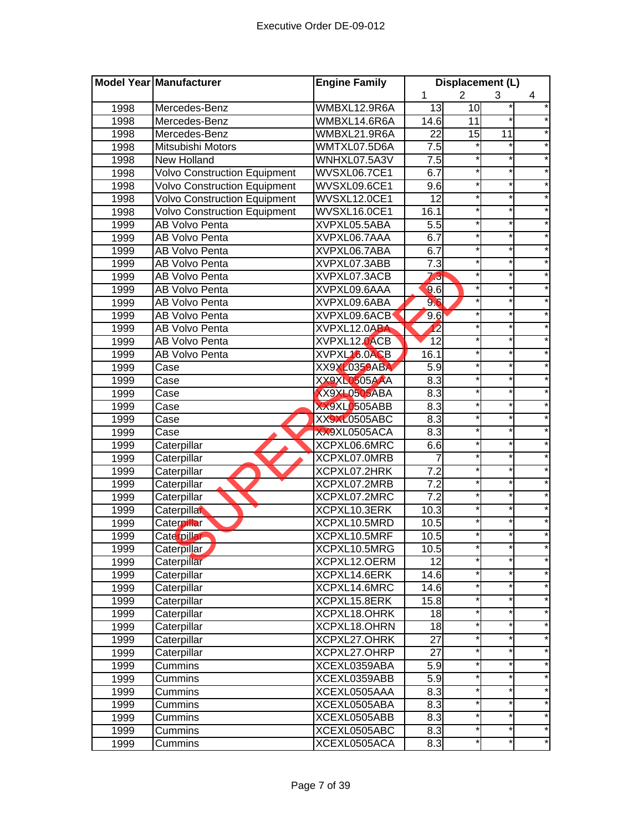|      | Model Year Manufacturer             | <b>Engine Family</b> | Displacement (L) |                |                 |            |
|------|-------------------------------------|----------------------|------------------|----------------|-----------------|------------|
|      |                                     |                      | 1                | $\overline{2}$ | 3               | 4          |
| 1998 | Mercedes-Benz                       | WMBXL12.9R6A         | 13               | 10             |                 |            |
| 1998 | Mercedes-Benz                       | WMBXL14.6R6A         | 14.6             | 11             |                 |            |
| 1998 | Mercedes-Benz                       | WMBXL21.9R6A         | $\overline{22}$  | 15             | $\overline{11}$ |            |
| 1998 | Mitsubishi Motors                   | WMTXL07.5D6A         | 7.5              |                |                 |            |
| 1998 | <b>New Holland</b>                  | WNHXL07.5A3V         | 7.5              |                | *               |            |
| 1998 | <b>Volvo Construction Equipment</b> | WVSXL06.7CE1         | 6.7              |                | $\star$         |            |
| 1998 | <b>Volvo Construction Equipment</b> | WVSXL09.6CE1         | 9.6              |                | *               |            |
| 1998 | <b>Volvo Construction Equipment</b> | WVSXL12.0CE1         | 12               |                | *               |            |
| 1998 | <b>Volvo Construction Equipment</b> | WVSXL16.0CE1         | 16.1             |                | $\star$         |            |
| 1999 | <b>AB Volvo Penta</b>               | XVPXL05.5ABA         | 5.5              |                | *               |            |
| 1999 | AB Volvo Penta                      | XVPXL06.7AAA         | 6.7              |                |                 |            |
| 1999 | <b>AB Volvo Penta</b>               | XVPXL06.7ABA         | 6.7              |                |                 |            |
| 1999 | <b>AB Volvo Penta</b>               | XVPXL07.3ABB         | $\overline{7.3}$ |                |                 |            |
| 1999 | <b>AB Volvo Penta</b>               | XVPXL07.3ACB         | 73               |                |                 |            |
| 1999 | AB Volvo Penta                      | XVPXL09.6AAA         | 9.6              |                |                 |            |
| 1999 | AB Volvo Penta                      | XVPXL09.6ABA         | 96               |                |                 |            |
| 1999 | <b>AB Volvo Penta</b>               | XVPXL09.6ACB         | 9.6              |                |                 |            |
| 1999 | AB Volvo Penta                      | XVPXL12.0ABA         | 12               |                | $\star$         |            |
| 1999 | AB Volvo Penta                      | XVPXL12.0ACB         | $\overline{12}$  |                | *               |            |
| 1999 | AB Volvo Penta                      | XVPXL16.0ACB         | 16.1             |                | $\star$         |            |
| 1999 | Case                                | <b>XX9XL0359ABA</b>  | 5.9              |                | $\star$         |            |
| 1999 | Case                                | XX9XL0505AAA         | 8.3              |                | $\star$         |            |
| 1999 | Case                                | XX9XL0505ABA         | 8.3              |                | $\star$         |            |
| 1999 | Case                                | XX9XL0505ABB         | 8.3              |                | *               |            |
| 1999 | Case                                | <b>XX9XL0505ABC</b>  | 8.3              |                | *               |            |
| 1999 | Case                                | XX9XL0505ACA         | $\overline{8.3}$ |                | $\star$         |            |
| 1999 | Caterpillar                         | XCPXL06.6MRC         | 6.6              |                |                 |            |
| 1999 | Caterpillar                         | XCPXL07.0MRB         | 7                |                |                 |            |
| 1999 | Caterpillar                         | XCPXL07.2HRK         | 7.2              |                |                 |            |
| 1999 | Caterpillar                         | XCPXL07.2MRB         | $\overline{7.2}$ |                |                 |            |
| 1999 | Caterpillar                         | XCPXL07.2MRC         | 7.2              |                |                 |            |
| 1999 | Caterpillar                         | XCPXL10.3ERK         | 10.3             |                |                 |            |
| 1999 | Caterpillar                         | XCPXL10.5MRD         | 10.5             |                |                 |            |
| 1999 | Caterpillar                         | XCPXL10.5MRF         | 10.5             |                |                 |            |
| 1999 | Caterpillar                         | XCPXL10.5MRG         | 10.5             |                |                 |            |
| 1999 | Caterpillar                         | XCPXL12.OERM         | $\overline{12}$  |                | *               |            |
| 1999 | Caterpillar                         | XCPXL14.6ERK         | 14.6             |                | $\ast$          |            |
| 1999 | Caterpillar                         | XCPXL14.6MRC         | 14.6             |                | $\ast$          | $^\star$   |
| 1999 | Caterpillar                         | XCPXL15.8ERK         | 15.8             | *              | $\star$         | *          |
| 1999 | Caterpillar                         | XCPXL18.OHRK         | 18               |                | *               | *          |
| 1999 | Caterpillar                         | XCPXL18.OHRN         | 18               | *              | *               | *          |
| 1999 | Caterpillar                         | XCPXL27.OHRK         | 27               |                | *               | *          |
| 1999 | Caterpillar                         | XCPXL27.OHRP         | 27               | *              | $\star$         | *          |
| 1999 | Cummins                             | XCEXL0359ABA         | 5.9              |                |                 |            |
| 1999 | Cummins                             | XCEXL0359ABB         | 5.9              |                | $\star$         |            |
| 1999 | Cummins                             | XCEXL0505AAA         | 8.3              |                | *               | *          |
| 1999 | Cummins                             | XCEXL0505ABA         | 8.3              |                | *               |            |
| 1999 | Cummins                             | XCEXL0505ABB         | 8.3              |                |                 | $^{\star}$ |
| 1999 | Cummins                             | XCEXL0505ABC         | 8.3              |                | *               | *          |
| 1999 | Cummins                             | XCEXL0505ACA         | 8.3              | *              | $\star$         | $\star$    |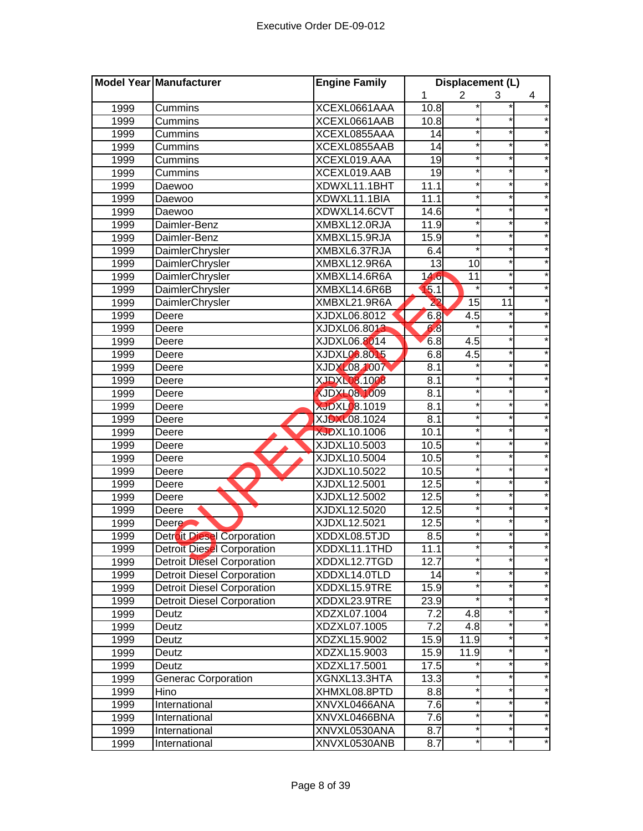|      | Model Year Manufacturer           | <b>Engine Family</b> | Displacement (L) |                 |                 |          |
|------|-----------------------------------|----------------------|------------------|-----------------|-----------------|----------|
|      |                                   |                      | 1                | 2               | 3               | 4        |
| 1999 | Cummins                           | XCEXL0661AAA         | 10.8             |                 |                 |          |
| 1999 | Cummins                           | XCEXL0661AAB         | 10.8             |                 |                 |          |
| 1999 | Cummins                           | XCEXL0855AAA         | $\overline{14}$  |                 |                 |          |
| 1999 | Cummins                           | XCEXL0855AAB         | $\overline{14}$  |                 | *               |          |
| 1999 | Cummins                           | XCEXL019.AAA         | $\overline{19}$  |                 | $\star$         |          |
| 1999 | Cummins                           | XCEXL019.AAB         | 19               |                 | $\star$         |          |
| 1999 | Daewoo                            | XDWXL11.1BHT         | 11.1             |                 | *               |          |
| 1999 | Daewoo                            | XDWXL11.1BIA         | 11.1             |                 | $\star$         |          |
| 1999 | Daewoo                            | XDWXL14.6CVT         | 14.6             |                 | *               |          |
| 1999 | Daimler-Benz                      | XMBXL12.0RJA         | 11.9             |                 |                 |          |
| 1999 | Daimler-Benz                      | XMBXL15.9RJA         | 15.9             |                 | $\star$         |          |
| 1999 | DaimlerChrysler                   | XMBXL6.37RJA         | 6.4              |                 |                 |          |
| 1999 | DaimlerChrysler                   | XMBXL12.9R6A         | 13               | 10              |                 |          |
| 1999 | DaimlerChrysler                   | XMBXL14.6R6A         | 14.6             | 11              |                 |          |
| 1999 | DaimlerChrysler                   | XMBXL14.6R6B         | 15.1             |                 |                 |          |
| 1999 | DaimlerChrysler                   | XMBXL21.9R6A         | $\overline{22}$  | $\overline{15}$ | $\overline{11}$ |          |
| 1999 | Deere                             | XJDXL06.8012         | 6.8              | 4.5             |                 |          |
| 1999 | Deere                             | XJDXL06.8013         | 68               |                 |                 |          |
| 1999 | Deere                             | XJDXL06.8014         | 6.8              | 4.5             |                 |          |
| 1999 | Deere                             | <b>XJDXL06.8015</b>  | 6.8              | 4.5             | *               |          |
| 1999 | Deere                             | <b>XJDXL08 1007</b>  | 8.1              |                 | *               |          |
| 1999 | Deere                             | <b>XJDXL08.1008</b>  | 8.1              |                 | $\star$         |          |
| 1999 | Deere                             | <b>XJDXL08.1009</b>  | 8.1              |                 | *               |          |
| 1999 | Deere                             | <b>XJDXL08.1019</b>  | 8.1              |                 | $\star$         |          |
| 1999 | Deere                             | <b>XJDXL08.1024</b>  | 8.1              |                 | $\star$         |          |
| 1999 | Deere                             | <b>XJDXL10.1006</b>  | 10.1             |                 | *               |          |
| 1999 | Deere                             | XJDXL10.5003         | 10.5             |                 | *               |          |
| 1999 | Deere                             | XJDXL10.5004         | 10.5             |                 |                 |          |
| 1999 | Deere                             | XJDXL10.5022         | 10.5             |                 |                 |          |
| 1999 | Deere                             | XJDXL12.5001         | 12.5             |                 |                 |          |
| 1999 | Deere                             | XJDXL12.5002         | 12.5             |                 |                 |          |
| 1999 | Deere                             | XJDXL12.5020         | 12.5             |                 |                 |          |
| 1999 | Deere <b>C</b>                    | XJDXL12.5021         | 12.5             |                 |                 |          |
| 1999 | <b>Detroit Diesel Corporation</b> | XDDXL08.5TJD         | 8.5              |                 |                 |          |
| 1999 | <b>Detroit Diesel Corporation</b> | XDDXL11.1THD         | 11.1             |                 |                 |          |
| 1999 | <b>Detroit Diesel Corporation</b> | XDDXL12.7TGD         | 12.7             |                 |                 |          |
| 1999 | <b>Detroit Diesel Corporation</b> | XDDXL14.0TLD         | 14               |                 |                 |          |
| 1999 | <b>Detroit Diesel Corporation</b> | XDDXL15.9TRE         | 15.9             |                 | *               |          |
| 1999 | <b>Detroit Diesel Corporation</b> | XDDXL23.9TRE         | 23.9             |                 | *               | $\star$  |
| 1999 | Deutz                             | XDZXL07.1004         | 7.2              | 4.8             | *               | $^\star$ |
| 1999 | Deutz                             | XDZXL07.1005         | $\overline{7.2}$ | 4.8             | $\star$         | *        |
| 1999 | Deutz                             | XDZXL15.9002         | 15.9             | 11.9            | *               | *        |
| 1999 | Deutz                             | XDZXL15.9003         | 15.9             | 11.9            | *               | $\star$  |
| 1999 | Deutz                             | XDZXL17.5001         | 17.5             |                 | *               | *        |
| 1999 | Generac Corporation               | XGNXL13.3HTA         | 13.3             |                 |                 | $^\star$ |
| 1999 | Hino                              | XHMXL08.8PTD         | 8.8              |                 | *               |          |
| 1999 | International                     | XNVXL0466ANA         | 7.6              |                 |                 | $\star$  |
| 1999 | International                     | XNVXL0466BNA         | 7.6              |                 |                 | *        |
| 1999 | International                     | XNVXL0530ANA         | 8.7              |                 |                 |          |
| 1999 | International                     | XNVXL0530ANB         | 8.7              |                 |                 |          |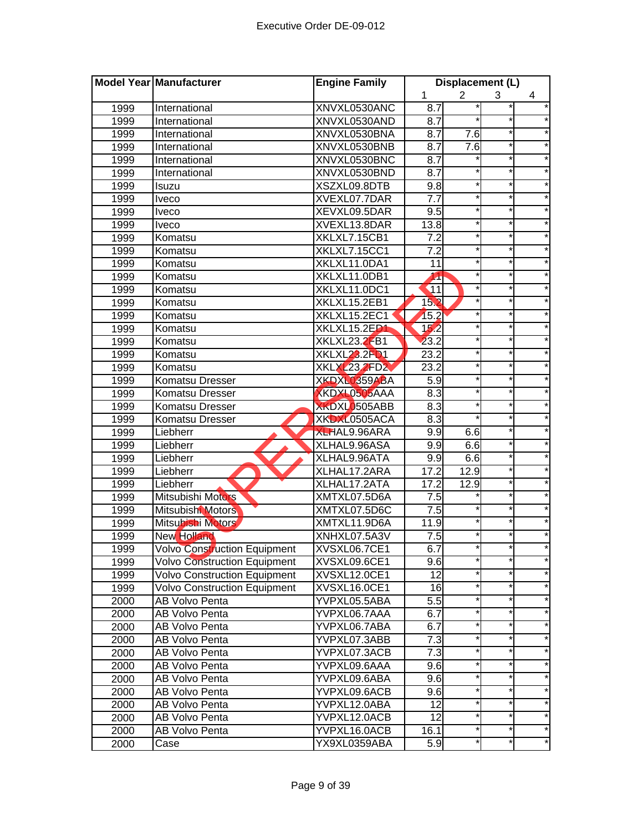|      | Model Year Manufacturer             | <b>Engine Family</b> | Displacement (L)  |                |          |            |
|------|-------------------------------------|----------------------|-------------------|----------------|----------|------------|
|      |                                     |                      | 1                 | $\overline{2}$ | 3        | 4          |
| 1999 | International                       | XNVXL0530ANC         | 8.7               |                |          | *          |
| 1999 | International                       | XNVXL0530AND         | 8.7               |                | $\ast$   |            |
| 1999 | International                       | XNVXL0530BNA         | 8.7               | 7.6            | $\star$  |            |
| 1999 | International                       | XNVXL0530BNB         | 8.7               | 7.6            | $\star$  |            |
| 1999 | International                       | XNVXL0530BNC         | 8.7               |                | $\star$  | $^\star$   |
| 1999 | International                       | XNVXL0530BND         | 8.7               |                | $\star$  | $\star$    |
| 1999 | Isuzu                               | XSZXL09.8DTB         | 9.8               |                | $\star$  |            |
| 1999 | Iveco                               | XVEXL07.7DAR         | 7.7               |                | $\star$  |            |
| 1999 | <b>Iveco</b>                        | XEVXL09.5DAR         | 9.5               | *              | *        |            |
| 1999 | <b>Iveco</b>                        | XVEXL13.8DAR         | 13.8              |                | $^\star$ |            |
| 1999 | Komatsu                             | XKLXL7.15CB1         | $\overline{7.2}$  |                | $\star$  |            |
| 1999 | Komatsu                             | XKLXL7.15CC1         | $\overline{7.2}$  |                |          |            |
| 1999 | Komatsu                             | XKLXL11.0DA1         | 11                |                | $^\star$ |            |
| 1999 | Komatsu                             | XKLXL11.0DB1         | 11                |                |          |            |
| 1999 | Komatsu                             | XKLXL11.0DC1         | 11                |                |          |            |
| 1999 | Komatsu                             | XKLXL15.2EB1         | 152               |                |          |            |
| 1999 | Komatsu                             | XKLXL15.2EC1         | 15.2              |                |          |            |
| 1999 | Komatsu                             | XKLXL15.2ED1         | 152               |                |          |            |
| 1999 | Komatsu                             | XKLXL23.2FB1         | 23.2              |                | $\star$  |            |
| 1999 | Komatsu                             | XKLXL23.2FD1         | $\overline{23.2}$ |                | $^\star$ |            |
| 1999 | Komatsu                             | <b>XKLXL23.2FD2</b>  | 23.2              |                | $\star$  |            |
| 1999 | Komatsu Dresser                     | XKDXL0359ABA         | 5.9               |                | $\star$  |            |
| 1999 | Komatsu Dresser                     | XKDXL0505AAA         | 8.3               | $\star$        | $^\star$ |            |
| 1999 | Komatsu Dresser                     | XKDXL0505ABB         | 8.3               |                | $\star$  |            |
| 1999 | Komatsu Dresser                     | XKDXL0505ACA         | 8.3               |                | $^\star$ |            |
| 1999 | Liebherr                            | <b>XLHAL9.96ARA</b>  | 9.9               | 6.6            |          |            |
| 1999 | Liebherr                            | XLHAL9.96ASA         | 9.9               | 6.6            | $\star$  |            |
| 1999 | Liebherr                            | XLHAL9.96ATA         | 9.9               | 6.6            |          |            |
| 1999 | Liebherr                            | XLHAL17.2ARA         | 17.2              | 12.9           | $^\star$ |            |
| 1999 | Liebherr                            | XLHAL17.2ATA         | 17.2              | 12.9           |          |            |
| 1999 | Mitsubishi Motors                   | XMTXL07.5D6A         | 7.5               |                | $\star$  |            |
| 1999 | Mitsubishi Motors                   | XMTXL07.5D6C         | 7.5               |                |          |            |
| 1999 | Mitsubishi Motors                   | XMTXL11.9D6A         | 11.9              |                |          |            |
| 1999 | New Holland                         | XNHXL07.5A3V         | 7.5               |                |          |            |
| 1999 | <b>Volvo Construction Equipment</b> | XVSXL06.7CE1         | 6.7               |                |          |            |
| 1999 | <b>Volvo Construction Equipment</b> | XVSXL09.6CE1         | 9.6               | *              | *۱       |            |
| 1999 | <b>Volvo Construction Equipment</b> | XVSXL12.0CE1         | 12                |                |          |            |
| 1999 | <b>Volvo Construction Equipment</b> | XVSXL16.0CE1         | 16                | *              | $\ast$   |            |
| 2000 | AB Volvo Penta                      | YVPXL05.5ABA         | 5.5               | *              | $\ast$   | $^\star$   |
| 2000 | AB Volvo Penta                      | YVPXL06.7AAA         | 6.7               | *              | $\star$  | $\star$    |
| 2000 | AB Volvo Penta                      | YVPXL06.7ABA         | $6.\overline{7}$  |                | *        | $^{\star}$ |
| 2000 | <b>AB Volvo Penta</b>               | YVPXL07.3ABB         | 7.3               | *              | *        | *          |
| 2000 | AB Volvo Penta                      | YVPXL07.3ACB         | 7.3               | *              | *        | *          |
| 2000 | <b>AB Volvo Penta</b>               | YVPXL09.6AAA         | 9.6               | *              | $\star$  | *          |
| 2000 | AB Volvo Penta                      | YVPXL09.6ABA         | 9.6               |                |          | *          |
| 2000 | AB Volvo Penta                      | YVPXL09.6ACB         | 9.6               |                | $\star$  |            |
| 2000 | AB Volvo Penta                      | YVPXL12.0ABA         | 12                |                | $^\star$ | *          |
| 2000 | AB Volvo Penta                      | YVPXL12.0ACB         | 12                |                | *        | *          |
| 2000 | AB Volvo Penta                      | YVPXL16.0ACB         | 16.1              |                | *        | $^{\star}$ |
| 2000 | Case                                | YX9XL0359ABA         | 5.9               |                | *        | *          |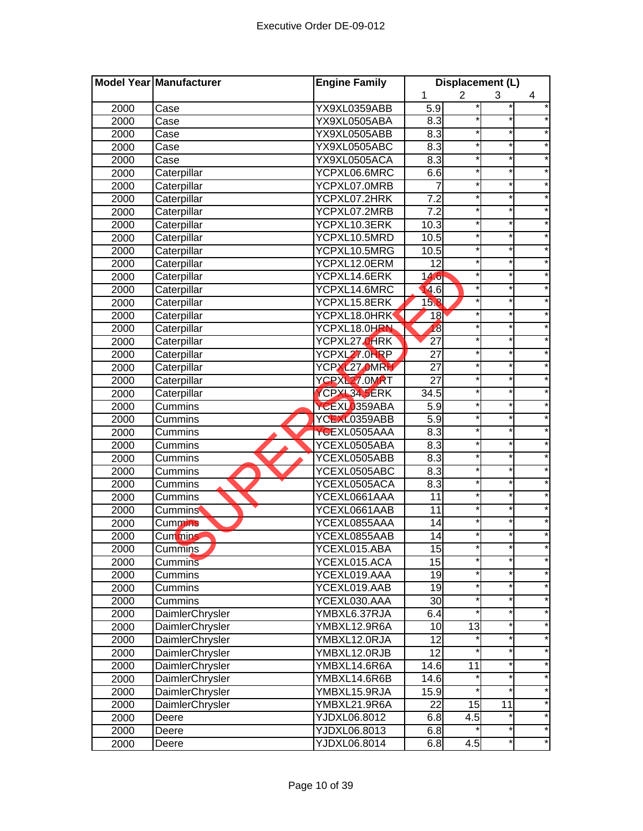|      | Model Year Manufacturer | <b>Engine Family</b> | Displacement (L)   |                |          |        |
|------|-------------------------|----------------------|--------------------|----------------|----------|--------|
|      |                         |                      | 1                  | $\overline{2}$ | 3        | 4      |
| 2000 | Case                    | YX9XL0359ABB         | 5.9                |                |          |        |
| 2000 | Case                    | YX9XL0505ABA         | 8.3                |                |          |        |
| 2000 | Case                    | YX9XL0505ABB         | 8.3                |                | $\star$  |        |
| 2000 | Case                    | YX9XL0505ABC         | 8.3                |                | $\star$  |        |
| 2000 | Case                    | YX9XL0505ACA         | 8.3                |                | $\star$  |        |
| 2000 | Caterpillar             | YCPXL06.6MRC         | 6.6                | $\star$        | $\star$  |        |
| 2000 | Caterpillar             | YCPXL07.0MRB         | 7                  |                | $\star$  |        |
| 2000 | Caterpillar             | YCPXL07.2HRK         | $\overline{7.2}$   |                | $\star$  |        |
| 2000 | Caterpillar             | YCPXL07.2MRB         | 7.2                |                | $\star$  |        |
| 2000 | Caterpillar             | YCPXL10.3ERK         | 10.3               |                | $^\star$ |        |
| 2000 | Caterpillar             | YCPXL10.5MRD         | 10.5               |                | $\star$  |        |
| 2000 | Caterpillar             | YCPXL10.5MRG         | 10.5               |                | $\star$  |        |
| 2000 | Caterpillar             | YCPXL12.0ERM         | $\overline{12}$    |                |          |        |
| 2000 | Caterpillar             | YCPXL14.6ERK         | 14.6               |                | $^\star$ |        |
| 2000 | Caterpillar             | YCPXL14.6MRC         | 4.6                |                |          |        |
| 2000 | Caterpillar             | YCPXL15.8ERK         | 15.8               |                |          |        |
| 2000 | Caterpillar             | YCPXL18.0HRK         | 18                 |                |          |        |
| 2000 | Caterpillar             | YCPXL18.0HRN         | 18                 |                |          |        |
| 2000 | Caterpillar             | YCPXL27.0HRK         | $\overline{27}$    |                |          |        |
| 2000 | Caterpillar             | YCPXL27.0HRP         | 27                 |                | $\ast$   |        |
| 2000 | Caterpillar             | YCPXL27.0MRH         | 27                 |                | $^\star$ |        |
| 2000 | Caterpillar             | YCPXL27.0MRT         | $\overline{27}$    |                | $\star$  |        |
| 2000 | Caterpillar             | <b>YCPXL34.5ERK</b>  | 34.5               |                | $\star$  |        |
| 2000 | Cummins                 | YCEXL0359ABA         | 5.9                | $\star$        | $\star$  |        |
| 2000 | Cummins                 | YCEXL0359ABB         | 5.9                |                | $\star$  |        |
| 2000 | Cummins                 | YCEXL0505AAA         | 8.3                |                | *        |        |
| 2000 | Cummins                 | YCEXL0505ABA         | 8.3                |                | *        |        |
| 2000 | Cummins                 | YCEXL0505ABB         | $\overline{8.3}$   |                | $\star$  |        |
| 2000 | Cummins                 | YCEXL0505ABC         | 8.3                |                |          |        |
| 2000 | Cummins                 | YCEXL0505ACA         | 8.3                |                | $^\star$ |        |
| 2000 | Cummins                 | YCEXL0661AAA         | 11                 |                | $^\star$ |        |
| 2000 | <b>Cummins</b>          | YCEXL0661AAB         | 11                 |                |          |        |
| 2000 | <b>Cummins</b>          | YCEXL0855AAA         | 14                 |                |          |        |
| 2000 | Cummins                 | YCEXL0855AAB         | 14                 |                |          |        |
| 2000 | Cummins                 | YCEXL015.ABA         | 15                 |                |          |        |
| 2000 | Cummins                 | YCEXL015.ACA         | 15                 |                |          | *      |
| 2000 | Cummins                 | YCEXL019.AAA         | 19                 | *              | $\ast$   |        |
| 2000 | Cummins                 | YCEXL019.AAB         | 19                 |                | *        |        |
| 2000 | Cummins                 | YCEXL030.AAA         | 30                 | *              | $\ast$   |        |
| 2000 | DaimlerChrysler         | YMBXL6.37RJA         | 6.4                |                | $\ast$   | *      |
| 2000 | DaimlerChrysler         | YMBXL12.9R6A         | 10                 | 13             | $\star$  | *      |
| 2000 | DaimlerChrysler         | YMBXL12.0RJA         | $\overline{12}$    |                | $^\star$ | *      |
| 2000 | DaimlerChrysler         | YMBXL12.0RJB         | 12                 |                | *        | *      |
| 2000 | DaimlerChrysler         | YMBXL14.6R6A         | $\overline{1}$ 4.6 | 11             | $\star$  | *      |
| 2000 | DaimlerChrysler         | YMBXL14.6R6B         | 14.6               |                | $\star$  | *      |
| 2000 | DaimlerChrysler         | YMBXL15.9RJA         | 15.9               |                |          | *      |
| 2000 | DaimlerChrysler         | YMBXL21.9R6A         | 22                 | 15             | 11       |        |
| 2000 | Deere                   | YJDXL06.8012         | 6.8                | 4.5            |          | $\ast$ |
| 2000 | Deere                   | YJDXL06.8013         | 6.8                |                | *        | *      |
| 2000 | Deere                   | YJDXL06.8014         | 6.8                | 4.5            | *        |        |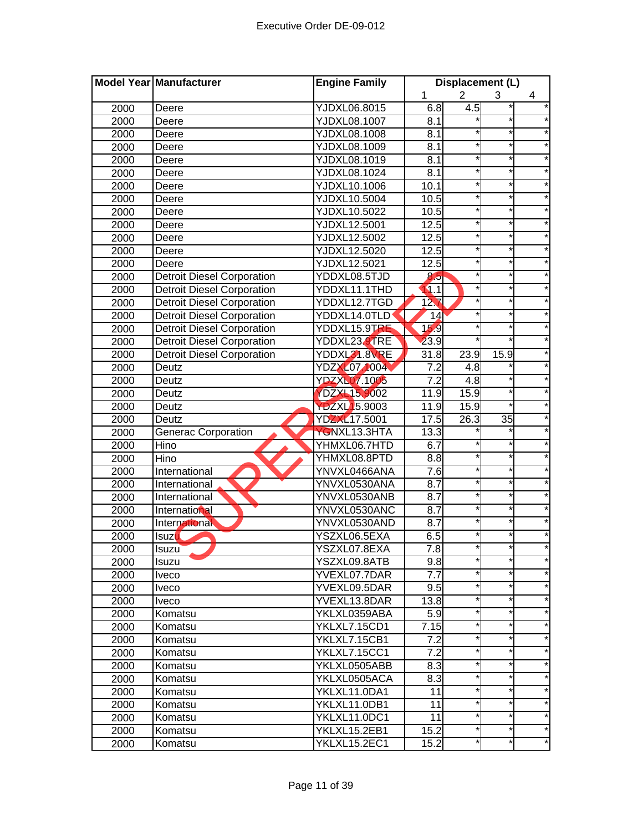|      | Model Year Manufacturer           | <b>Engine Family</b> | Displacement (L) |                |         |          |
|------|-----------------------------------|----------------------|------------------|----------------|---------|----------|
|      |                                   |                      | 1                | $\overline{2}$ | 3       | 4        |
| 2000 | Deere                             | YJDXL06.8015         | 6.8              | 4.5            |         |          |
| 2000 | Deere                             | YJDXL08.1007         | 8.1              |                |         |          |
| 2000 | Deere                             | <b>YJDXL08.1008</b>  | 8.1              |                | $\star$ |          |
| 2000 | Deere                             | YJDXL08.1009         | 8.1              |                | $\star$ |          |
| 2000 | Deere                             | YJDXL08.1019         | 8.1              | *              | $\ast$  |          |
| 2000 | Deere                             | YJDXL08.1024         | 8.1              | $\star$        | $\star$ |          |
| 2000 | Deere                             | YJDXL10.1006         | 10.1             |                | $\star$ |          |
| 2000 | Deere                             | YJDXL10.5004         | 10.5             | $\star$        | $\star$ |          |
| 2000 | Deere                             | YJDXL10.5022         | 10.5             |                | $\star$ |          |
| 2000 | Deere                             | <b>YJDXL12.5001</b>  | 12.5             |                | *       |          |
| 2000 | Deere                             | YJDXL12.5002         | 12.5             |                | *       |          |
| 2000 | Deere                             | YJDXL12.5020         | 12.5             |                | $\star$ |          |
| 2000 | Deere                             | <b>YJDXL12.5021</b>  | 12.5             |                |         |          |
| 2000 | <b>Detroit Diesel Corporation</b> | YDDXL08.5TJD         | 8.5              |                | *       |          |
| 2000 | <b>Detroit Diesel Corporation</b> | YDDXL11.1THD         | 11.1             |                | *       |          |
| 2000 | <b>Detroit Diesel Corporation</b> | YDDXL12.7TGD         | 12 <sub>7</sub>  |                |         |          |
| 2000 | <b>Detroit Diesel Corporation</b> | YDDXL14.0TLD         | 14               |                |         |          |
| 2000 | <b>Detroit Diesel Corporation</b> | YDDXL15.9TRE         | 159              |                |         |          |
| 2000 | <b>Detroit Diesel Corporation</b> | YDDXL23.9TRE         | 23.9             |                |         |          |
| 2000 | <b>Detroit Diesel Corporation</b> | YDDXL31.8VRE         | 31.8             | 23.9           | 15.9    |          |
| 2000 | Deutz                             | <b>YDZXL07 1004</b>  | 7.2              | 4.8            |         |          |
| 2000 | Deutz                             | <b>YDZXL07.1005</b>  | $\overline{7.2}$ | 4.8            | $\star$ |          |
| 2000 | Deutz                             | YDZXL15.9002         | 11.9             | 15.9           | $\star$ |          |
| 2000 | Deutz                             | YDZXL15.9003         | 11.9             | 15.9           | $\star$ |          |
| 2000 | Deutz                             | YDZXL17.5001         | 17.5             | 26.3           | 35      |          |
| 2000 | <b>Generac Corporation</b>        | YGNXL13.3HTA         | 13.3             |                |         |          |
| 2000 | Hino                              | YHMXL06.7HTD         | 6.7              |                |         |          |
| 2000 | Hino                              | YHMXL08.8PTD         | $\frac{8}{8}$    |                | $\star$ |          |
| 2000 | International                     | YNVXL0466ANA         | $\overline{7.6}$ |                |         |          |
| 2000 | International                     | YNVXL0530ANA         | 8.7              |                | *       |          |
| 2000 | International                     | YNVXL0530ANB         | 8.7              |                | $\star$ |          |
| 2000 | International                     | YNVXL0530ANC         | 8.7              |                | $\star$ |          |
| 2000 | International                     | YNVXL0530AND         | 8.7              |                |         |          |
| 2000 | <b>Isuzu</b>                      | YSZXL06.5EXA         | 6.5              |                |         |          |
| 2000 | <b>Isuzu</b>                      | YSZXL07.8EXA         | 7.8              |                |         |          |
| 2000 | Isuzu                             | YSZXL09.8ATB         | 9.8              |                |         | *        |
| 2000 | <b>Iveco</b>                      | YVEXL07.7DAR         | 7.7              | *              | $\ast$  | *        |
| 2000 | <b>Iveco</b>                      | YVEXL09.5DAR         | 9.5              |                | *       |          |
| 2000 | <i>Iveco</i>                      | YVEXL13.8DAR         | 13.8             | *              | $\ast$  |          |
| 2000 | Komatsu                           | YKLXL0359ABA         | 5.9              | *              | $\star$ | *        |
| 2000 | Komatsu                           | YKLXL7.15CD1         | 7.15             | $\star$        | $\star$ | $^\star$ |
| 2000 | Komatsu                           | YKLXL7.15CB1         | 7.2              |                | *       | *        |
| 2000 | Komatsu                           | YKLXL7.15CC1         | 7.2              | *              | *       | $^\star$ |
| 2000 | Komatsu                           | YKLXL0505ABB         | 8.3              | *              | *       | *        |
| 2000 | Komatsu                           | YKLXL0505ACA         | 8.3              | *              | $\star$ | *        |
| 2000 | Komatsu                           | YKLXL11.0DA1         | 11               |                |         | $^\star$ |
| 2000 | Komatsu                           | YKLXL11.0DB1         | 11               |                | $\star$ |          |
| 2000 | Komatsu                           | YKLXL11.0DC1         | 11               |                | *       | *        |
| 2000 | Komatsu                           | YKLXL15.2EB1         | 15.2             |                | *       | $^\star$ |
| 2000 | Komatsu                           | YKLXL15.2EC1         | 15.2             |                |         |          |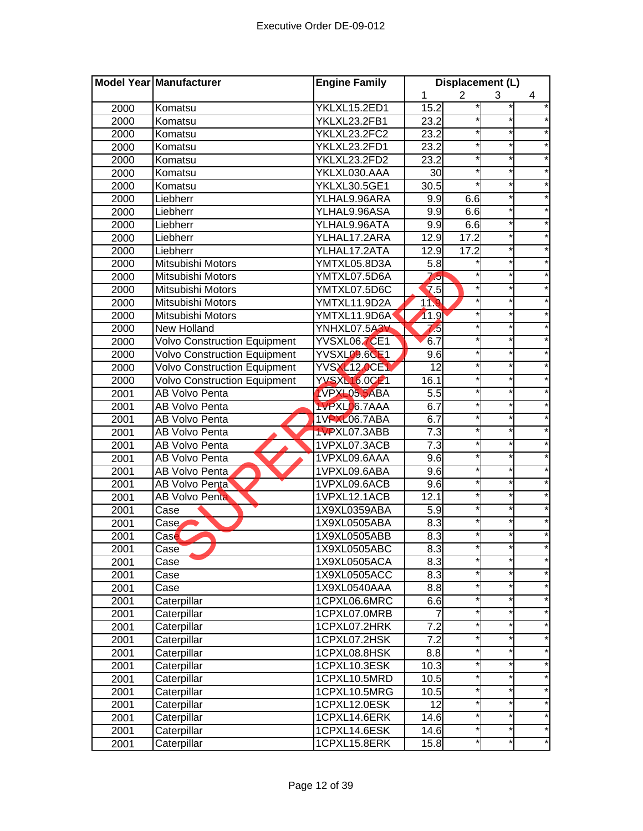|      | Model Year Manufacturer             | <b>Engine Family</b> | Displacement (L)  |                |          |          |
|------|-------------------------------------|----------------------|-------------------|----------------|----------|----------|
|      |                                     |                      | 1                 | $\overline{2}$ | 3        | 4        |
| 2000 | Komatsu                             | YKLXL15.2ED1         | 15.2              |                |          |          |
| 2000 | Komatsu                             | YKLXL23.2FB1         | 23.2              |                |          |          |
| 2000 | Komatsu                             | YKLXL23.2FC2         | 23.2              |                |          |          |
| 2000 | Komatsu                             | YKLXL23.2FD1         | 23.2              |                | *        |          |
| 2000 | Komatsu                             | YKLXL23.2FD2         | 23.2              |                | $\star$  |          |
| 2000 | Komatsu                             | YKLXL030.AAA         | 30                |                | $\star$  |          |
| 2000 | Komatsu                             | <b>YKLXL30.5GE1</b>  | 30.5              |                | $\star$  |          |
| 2000 | Liebherr                            | YLHAL9.96ARA         | 9.9               | 6.6            | $^\star$ |          |
| 2000 | Liebherr                            | YLHAL9.96ASA         | 9.9               | 6.6            | $\star$  |          |
| 2000 | Liebherr                            | YLHAL9.96ATA         | 9.9               | 6.6            |          |          |
| 2000 | Liebherr                            | YLHAL17.2ARA         | 12.9              | 17.2           |          |          |
| 2000 | Liebherr                            | YLHAL17.2ATA         | 12.9              | 17.2           |          |          |
| 2000 | Mitsubishi Motors                   | YMTXL05.8D3A         | 5.8               |                |          |          |
| 2000 | Mitsubishi Motors                   | YMTXL07.5D6A         | $\sqrt{5}$        |                |          |          |
| 2000 | Mitsubishi Motors                   | YMTXL07.5D6C         | $\overline{7.5}$  |                |          |          |
| 2000 | Mitsubishi Motors                   | YMTXL11.9D2A         | 119               |                |          |          |
| 2000 | Mitsubishi Motors                   | YMTXL11.9D6A         | 11.9              |                |          |          |
| 2000 | <b>New Holland</b>                  | YNHXL07.5A3V         | 75                |                |          |          |
| 2000 | <b>Volvo Construction Equipment</b> | YVSXL06.7CE1         | 6.7               |                | *        |          |
| 2000 | <b>Volvo Construction Equipment</b> | <b>YVSXL09.6CE1</b>  | 9.6               |                | $\star$  |          |
| 2000 | <b>Volvo Construction Equipment</b> | <b>YVSXL12.0CE1</b>  | $\overline{12}$   |                | *        |          |
| 2000 | <b>Volvo Construction Equipment</b> | <b>YVSXL16.0CE1</b>  | 16.1              |                | $\star$  |          |
| 2001 | AB Volvo Penta                      | <b>IVPXL05.5ABA</b>  | 5.5               |                | *        |          |
| 2001 | AB Volvo Penta                      | <b>IVPXLO</b> 6.7AAA | 6.7               |                | $\star$  |          |
| 2001 | AB Volvo Penta                      | 1VPXL06.7ABA         | 6.7               |                | $\star$  |          |
| 2001 | AB Volvo Penta                      | 1VPXL07.3ABB         | $\overline{7.3}$  |                | *        |          |
| 2001 | AB Volvo Penta                      | 1VPXL07.3ACB         | 7.3               |                | *        |          |
| 2001 | AB Volvo Penta                      | 1VPXL09.6AAA         | 9.6               |                |          |          |
| 2001 | <b>AB Volvo Penta</b>               | 1VPXL09.6ABA         | 9.6               |                |          |          |
| 2001 | <b>AB Volvo Penta</b>               | 1VPXL09.6ACB         | 9.6               |                |          |          |
| 2001 | <b>AB Volvo Penta</b>               | 1VPXL12.1ACB         | 12.1              |                |          |          |
| 2001 | Case                                | 1X9XL0359ABA         | 5.9               |                |          |          |
| 2001 | Case                                | 1X9XL0505ABA         | 8.3               |                |          |          |
| 2001 | Case                                | 1X9XL0505ABB         | 8.3               |                |          |          |
| 2001 | Case                                | 1X9XL0505ABC         | 8.3               |                |          |          |
| 2001 | Case                                | 1X9XL0505ACA         | 8.3               |                | *        |          |
| 2001 | Case                                | 1X9XL0505ACC         | 8.3               |                |          |          |
| 2001 | Case                                | 1X9XL0540AAA         | 8.8               |                | *        |          |
| 2001 | Caterpillar                         | 1CPXL06.6MRC         | 6.6               | $\star$        | $\star$  | $\star$  |
| 2001 | Caterpillar                         | 1CPXL07.0MRB         | 7                 | $\star$        | *        | $^\star$ |
| 2001 | Caterpillar                         | 1CPXL07.2HRK         | 7.2               |                | $\star$  |          |
| 2001 | Caterpillar                         | 1CPXL07.2HSK         | 7.2               |                | *        | *        |
| 2001 | Caterpillar                         | 1CPXL08.8HSK         | 8.8               | $\star$        | *        | $\star$  |
| 2001 | Caterpillar                         | 1CPXL10.3ESK         | 10.3              | $\star$        | *        | $\star$  |
| 2001 | Caterpillar                         | 1CPXL10.5MRD         | 10.5              |                |          | $^\star$ |
| 2001 | Caterpillar                         | 1CPXL10.5MRG         | 10.5              |                | *        |          |
| 2001 | Caterpillar                         | 1CPXL12.0ESK         | $\overline{12}$   |                |          | $\star$  |
| 2001 | Caterpillar                         | 1CPXL14.6ERK         | 14.6              |                |          | *        |
| 2001 | Caterpillar                         | 1CPXL14.6ESK         | $14.\overline{6}$ |                |          |          |
| 2001 | Caterpillar                         | 1CPXL15.8ERK         | 15.8              |                |          |          |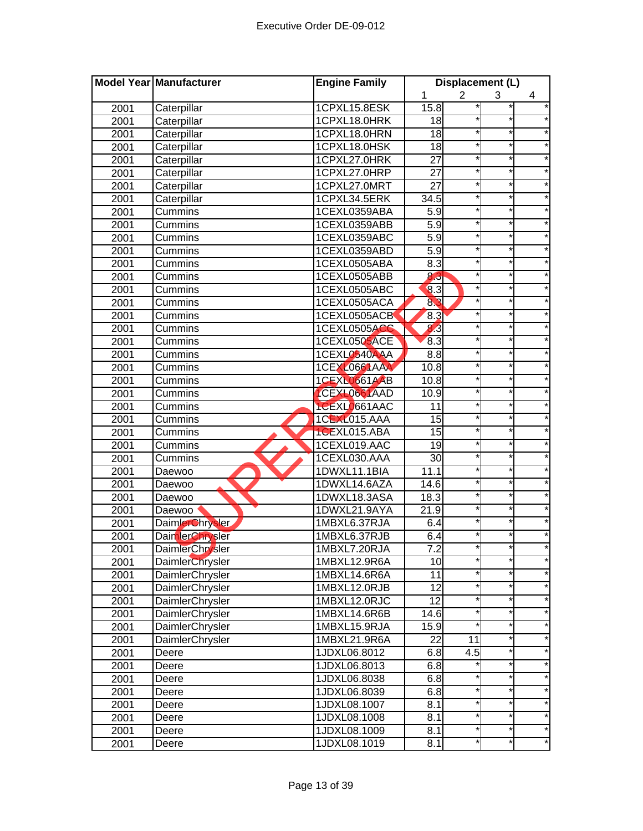|      | Model Year Manufacturer | <b>Engine Family</b> | Displacement (L)           |                  |         |         |
|------|-------------------------|----------------------|----------------------------|------------------|---------|---------|
|      |                         |                      | 1                          | $\overline{2}$   | 3       | 4       |
| 2001 | Caterpillar             | 1CPXL15.8ESK         | 15.8                       |                  |         |         |
| 2001 | Caterpillar             | 1CPXL18.0HRK         | 18                         |                  |         |         |
| 2001 | Caterpillar             | 1CPXL18.0HRN         | $\overline{18}$            |                  |         |         |
| 2001 | Caterpillar             | 1CPXL18.0HSK         | $\overline{18}$            |                  | *       |         |
| 2001 | Caterpillar             | 1CPXL27.0HRK         | $\overline{27}$            |                  | $\star$ |         |
| 2001 | Caterpillar             | 1CPXL27.0HRP         | 27                         |                  | $\star$ |         |
| 2001 | Caterpillar             | 1CPXL27.0MRT         | 27                         |                  | *       |         |
| 2001 | Caterpillar             | 1CPXL34.5ERK         | 34.5                       |                  | $\star$ |         |
| 2001 | Cummins                 | 1CEXL0359ABA         | 5.9                        |                  | *       |         |
| 2001 | Cummins                 | 1CEXL0359ABB         | 5.9                        |                  | *       |         |
| 2001 | Cummins                 | 1CEXL0359ABC         | 5.9                        |                  | $\star$ |         |
| 2001 | Cummins                 | 1CEXL0359ABD         | $\overline{5.9}$           |                  |         |         |
| 2001 | Cummins                 | 1CEXL0505ABA         | 8.3                        |                  |         |         |
| 2001 | Cummins                 | 1CEXL0505ABB         | 8.3                        |                  |         |         |
| 2001 | Cummins                 | 1CEXL0505ABC         | $\overline{\mathbf{8}}$ .3 |                  |         |         |
| 2001 | Cummins                 | 1CEXL0505ACA         | 83                         |                  |         |         |
| 2001 | Cummins                 | 1CEXL0505ACB         | 8.3                        |                  |         |         |
| 2001 | Cummins                 | 1CEXL0505ACC         | 8.3                        |                  |         |         |
| 2001 | Cummins                 | 1CEXL0505ACE         | 8.3                        |                  | *       |         |
| 2001 | Cummins                 | 1CEXL0540AAA         | 8.8                        |                  | $\star$ |         |
| 2001 | Cummins                 | 1CEXL0661AAA         | 10.8                       |                  | *       |         |
| 2001 | Cummins                 | <b>1CEXL0661AAB</b>  | 10.8                       |                  | $\star$ |         |
| 2001 | Cummins                 | ICEXL0661AAD         | 10.9                       |                  | *       |         |
| 2001 | Cummins                 | 1CEXL0661AAC         | 11                         |                  | $\star$ |         |
| 2001 | Cummins                 | 1CEXL015.AAA         | 15                         |                  | $\star$ |         |
| 2001 | Cummins                 | 1CEXL015.ABA         | $\overline{15}$            |                  | *       |         |
| 2001 | Cummins                 | 1CEXL019.AAC         | $\overline{19}$            |                  | *       |         |
| 2001 | Cummins                 | 1CEXL030.AAA         | 30                         |                  |         |         |
| 2001 | Daewoo                  | 1DWXL11.1BIA         | 11.1                       |                  |         |         |
| 2001 | Daewoo                  | 1DWXL14.6AZA         | 14.6                       |                  |         |         |
| 2001 | Daewoo                  | 1DWXL18.3ASA         | 18.3                       |                  |         |         |
| 2001 | Daewoo                  | 1DWXL21.9AYA         | 21.9                       |                  |         |         |
| 2001 | <b>DaimlerChrysler</b>  | 1MBXL6.37RJA         | 6.4                        |                  |         |         |
| 2001 | DaimlerChrysler         | 1MBXL6.37RJB         | 6.4                        |                  |         |         |
| 2001 | <b>DaimlerChrysler</b>  | 1MBXL7.20RJA         | 7.2                        |                  |         |         |
| 2001 | DaimlerChrysler         | 1MBXL12.9R6A         | 10                         |                  | *       |         |
| 2001 | DaimlerChrysler         | 1MBXL14.6R6A         | 11                         |                  |         |         |
| 2001 | DaimlerChrysler         | 1MBXL12.0RJB         | 12                         |                  | *       |         |
| 2001 | DaimlerChrysler         | 1MBXL12.0RJC         | 12                         | $\star$          | $\star$ |         |
| 2001 | DaimlerChrysler         | 1MBXL14.6R6B         | 14.6                       | $\star$          | *       | *       |
| 2001 | DaimlerChrysler         | 1MBXL15.9RJA         | 15.9                       |                  | $\star$ |         |
| 2001 | DaimlerChrysler         | 1MBXL21.9R6A         | 22                         | 11               | *       | *       |
| 2001 | Deere                   | 1JDXL06.8012         | 6.8                        | $\overline{4.5}$ | *       | *       |
| 2001 | Deere                   | 1JDXL06.8013         | 6.8                        |                  | *       | *       |
| 2001 | Deere                   | 1JDXL06.8038         | 6.8                        |                  | $\star$ |         |
| 2001 | Deere                   | 1JDXL06.8039         | 6.8                        |                  | *       |         |
| 2001 | Deere                   | 1JDXL08.1007         | 8.1                        |                  | *       | $\star$ |
| 2001 | Deere                   | 1JDXL08.1008         | 8.1                        |                  |         |         |
| 2001 | Deere                   | 1JDXL08.1009         | 8.1                        |                  |         |         |
| 2001 | Deere                   | 1JDXL08.1019         | 8.1                        |                  | *       |         |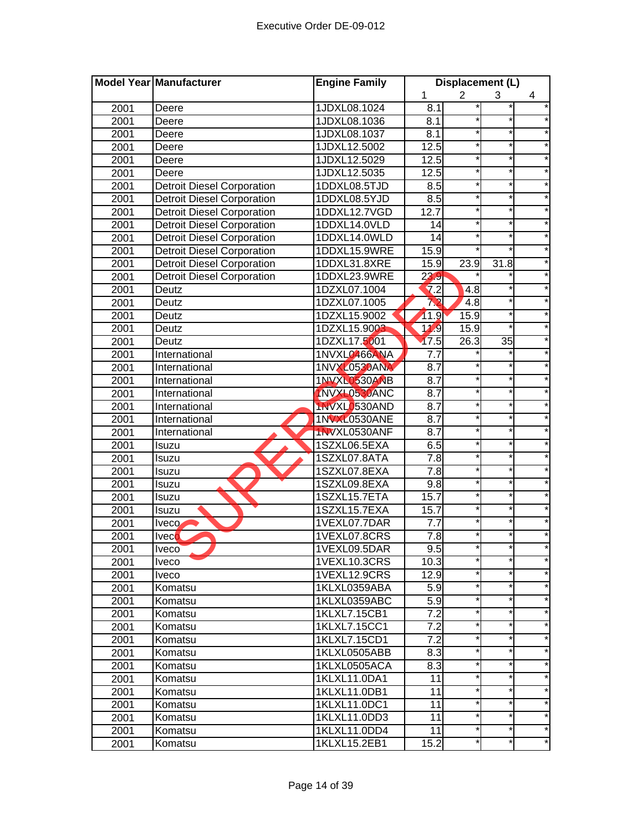|      | Model Year Manufacturer           | <b>Engine Family</b> | Displacement (L) |                |                 |   |
|------|-----------------------------------|----------------------|------------------|----------------|-----------------|---|
|      |                                   |                      | 1                | $\overline{2}$ | 3               | 4 |
| 2001 | Deere                             | 1JDXL08.1024         | 8.1              |                |                 |   |
| 2001 | Deere                             | 1JDXL08.1036         | 8.1              |                |                 |   |
| 2001 | Deere                             | 1JDXL08.1037         | 8.1              |                | $^\star$        |   |
| 2001 | Deere                             | 1JDXL12.5002         | 12.5             |                | *               |   |
| 2001 | Deere                             | 1JDXL12.5029         | 12.5             |                | $\star$         |   |
| 2001 | Deere                             | 1JDXL12.5035         | 12.5             |                | $\star$         |   |
| 2001 | <b>Detroit Diesel Corporation</b> | 1DDXL08.5TJD         | 8.5              |                | $\star$         |   |
| 2001 | <b>Detroit Diesel Corporation</b> | 1DDXL08.5YJD         | $\overline{8.5}$ |                | $\star$         |   |
| 2001 | <b>Detroit Diesel Corporation</b> | 1DDXL12.7VGD         | 12.7             |                | $\star$         |   |
| 2001 | <b>Detroit Diesel Corporation</b> | 1DDXL14.0VLD         | 14               |                |                 |   |
| 2001 | <b>Detroit Diesel Corporation</b> | 1DDXL14.0WLD         | 14               |                | $\star$         |   |
| 2001 | <b>Detroit Diesel Corporation</b> | 1DDXL15.9WRE         | 15.9             |                |                 |   |
| 2001 | <b>Detroit Diesel Corporation</b> | 1DDXL31.8XRE         | 15.9             | 23.9           | 31.8            |   |
| 2001 | <b>Detroit Diesel Corporation</b> | 1DDXL23.9WRE         | 23.9             |                |                 |   |
| 2001 | Deutz                             | 1DZXL07.1004         | 7.2              | 4.8            |                 |   |
| 2001 | Deutz                             | 1DZXL07.1005         | 72               | 4.8            |                 |   |
| 2001 | Deutz                             | 1DZXL15.9002         | 11.9             | 15.9           |                 |   |
| 2001 | Deutz                             | 1DZXL15.9003         | 11.9             | 15.9           |                 |   |
| 2001 | Deutz                             | 1DZXL17.5001         | 17.5             | 26.3           | $\overline{35}$ |   |
| 2001 | International                     | 1NVXL0466ANA         | 7.7              |                |                 |   |
| 2001 | International                     | <b>1NVXL0530ANA</b>  | 8.7              |                | *               |   |
| 2001 | International                     | 1NVXL0530ANB         | 8.7              |                | $\star$         |   |
| 2001 | International                     | 1NVXL0530ANC         | 8.7              |                | *               |   |
| 2001 | International                     | 1NVXL0530AND         | 8.7              |                | $\star$         |   |
| 2001 | International                     | <b>1NVXL0530ANE</b>  | $\overline{8.7}$ |                | $\star$         |   |
| 2001 | International                     | 1NVXL0530ANF         | 8.7              |                | *               |   |
| 2001 | Isuzu                             | 1SZXL06.5EXA         | 6.5              |                | *               |   |
| 2001 | Isuzu                             | 1SZXL07.8ATA         | $\overline{7.8}$ |                |                 |   |
| 2001 | Isuzu                             | 1SZXL07.8EXA         | $\overline{7.8}$ |                |                 |   |
| 2001 | Isuzu                             | 1SZXL09.8EXA         | 9.8              |                |                 |   |
| 2001 | Isuzu                             | 1SZXL15.7ETA         | 15.7             |                | $\star$         |   |
| 2001 | Isuzu                             | 1SZXL15.7EXA         | 15.7             |                |                 |   |
| 2001 | Iveco                             | 1VEXL07.7DAR         | 7.7              |                |                 |   |
| 2001 | <b>Iveco</b>                      | 1VEXL07.8CRS         | 7.8              |                |                 |   |
| 2001 | <b>Iveco</b>                      | 1VEXL09.5DAR         | 9.5              |                |                 |   |
| 2001 | Iveco                             | 1VEXL10.3CRS         | 10.3             |                | $\star$         |   |
| 2001 | <b>Iveco</b>                      | 1VEXL12.9CRS         | 12.9             |                |                 |   |
| 2001 | Komatsu                           | 1KLXL0359ABA         | 5.9              |                | *               |   |
| 2001 | Komatsu                           | 1KLXL0359ABC         | $\overline{5.9}$ | $\star$        | $\star$         | * |
| 2001 | Komatsu                           | 1KLXL7.15CB1         | 7.2              | $\star$        | *               | * |
| 2001 | Komatsu                           | 1KLXL7.15CC1         | $\overline{7.2}$ |                | $\star$         |   |
| 2001 | Komatsu                           | 1KLXL7.15CD1         | $\overline{7.2}$ |                | *               | * |
| 2001 | Komatsu                           | 1KLXL0505ABB         | 8.3              |                | *               | * |
| 2001 | Komatsu                           | 1KLXL0505ACA         | 8.3              | $\star$        | $\star$         | * |
| 2001 | Komatsu                           | 1KLXL11.0DA1         | 11               |                |                 |   |
| 2001 | Komatsu                           | 1KLXL11.0DB1         | 11               |                | $\star$         |   |
| 2001 | Komatsu                           | 1KLXL11.0DC1         | 11               |                |                 | * |
| 2001 | Komatsu                           | 1KLXL11.0DD3         | 11               |                |                 |   |
| 2001 | Komatsu                           | 1KLXL11.0DD4         | 11               |                |                 |   |
| 2001 | Komatsu                           | 1KLXL15.2EB1         | 15.2             |                | *               |   |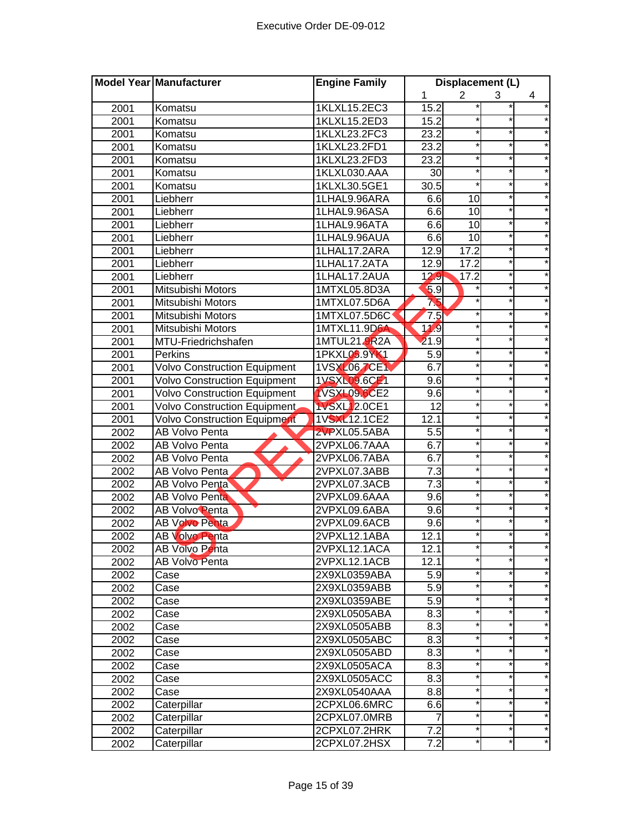| $\overline{2}$<br>1<br>4<br>3<br>1KLXL15.2EC3<br>2001<br>15.2<br>Komatsu<br>15.2<br>2001<br>1KLXL15.2ED3<br>Komatsu<br>$\star$<br>23.2<br>2001<br>1KLXL23.2FC3<br>Komatsu<br>1KLXL23.2FD1<br>23.2<br>$\star$<br>2001<br>Komatsu<br>$\ast$<br>1KLXL23.2FD3<br>23.2<br>2001<br>Komatsu<br>$\star$<br>30<br>$\star$<br>2001<br>1KLXL030.AAA<br>Komatsu<br>$\overline{30.5}$<br>$\star$<br>2001<br>1KLXL30.5GE1<br>Komatsu<br>6.6<br>$\star$<br>2001<br>1LHAL9.96ARA<br>10<br>Liebherr<br>$\star$<br>6.6<br>2001<br>1LHAL9.96ASA<br>10<br>Liebherr<br>*<br>1LHAL9.96ATA<br>6.6<br>10<br>2001<br>Liebherr<br>6.6<br>10<br>2001<br>Liebherr<br>1LHAL9.96AUA<br>17.2<br>$\star$<br>2001<br>1LHAL17.2ARA<br>12.9<br>Liebherr<br>17.2<br>1LHAL17.2ATA<br>12.9<br>2001<br>Liebherr<br>1LHAL17.2AUA<br>12.9<br>17.2<br>2001<br>Liebherr<br>5.9<br>1MTXL05.8D3A<br>2001<br>Mitsubishi Motors<br>1MTXL07.5D6A<br>75<br>2001<br>Mitsubishi Motors<br>Mitsubishi Motors<br>1MTXL07.5D6C<br>7.5<br>2001<br>11,9<br>2001<br>Mitsubishi Motors<br>1MTXL11.9D6A<br>$\star$<br>1MTUL21.9R2A<br>21.9<br>2001<br>MTU-Friedrichshafen<br>$\ast$<br>2001<br>Perkins<br>1PKXL05.9YK1<br>5.9<br>6.7<br>$^\star$<br><b>Volvo Construction Equipment</b><br>1VSXL067CE1<br>2001<br>$\star$<br>1VSXL09.6CE1<br><b>Volvo Construction Equipment</b><br>9.6<br>2001<br>$\star$<br><b>Volvo Construction Equipment</b><br><b>1VSXL09.6CE2</b><br>9.6<br>$\star$<br>2001<br>$\star$<br><b>Volvo Construction Equipment</b><br>$\overline{12}$<br>*<br><b>1VSXL12.0CE1</b><br>2001<br>1VSXL12.1CE2<br>12.1<br>$\star$<br><b>Volvo Construction Equipment</b><br>2001<br>5.5<br>*<br>2002<br>2VPXL05.5ABA<br>AB Volvo Penta<br>6.7<br>*<br>2002<br>AB Volvo Penta<br>2VPXL06.7AAA<br>$\star$<br>6.7<br>2002<br>2VPXL06.7ABA<br>AB Volvo Penta<br>7.3<br>2002<br>2VPXL07.3ABB<br>AB Volvo Penta<br>7.3<br>*<br>2002<br><b>AB Volvo Penta</b><br>2VPXL07.3ACB<br>$\star$<br>2002<br>9.6<br><b>AB Volvo Penta</b><br>2VPXL09.6AAA<br>9.6<br>2002<br>AB Volvo Penta<br>2VPXL09.6ABA<br>9.6<br>2002<br>AB Volvo Penta<br>2VPXL09.6ACB<br>12.1<br>2002<br><b>AB Volvo Penta</b><br>2VPXL12.1ABA<br>2002<br>AB Volvo Penta<br>2VPXL12.1ACA<br>12.1<br>*<br><b>AB Volvo Penta</b><br>12.1<br>2002<br>2VPXL12.1ACB<br>*<br>$\ast$<br>2002<br>2X9XL0359ABA<br>5.9<br>Case<br>*<br>2X9XL0359ABB<br>5.9<br>2002<br>Case<br>*<br>$\ast$<br>2X9XL0359ABE<br>5.9<br>2002<br>Case<br>$\ast$<br>*<br>*<br>8.3<br>2X9XL0505ABA<br>2002<br>Case<br>$\star$<br>*<br>8.3<br>*<br>2X9XL0505ABB<br>2002<br>Case<br>$^{\star}$<br>8.3<br>*<br>2X9XL0505ABC<br>2002<br>Case<br>*<br>*<br>*<br>8.3<br>2002<br>2X9XL0505ABD<br>Case<br>*<br>*<br>*<br>2X9XL0505ACA<br>8.3<br>2002<br>Case<br>$\star$<br>*<br>*<br>2002<br>2X9XL0505ACC<br>8.3<br>Case<br>2X9XL0540AAA<br>8.8<br>2002<br>Case<br>$\star$<br>Caterpillar<br>2CPXL06.6MRC<br>6.6<br>2002<br>7<br>$^\star$<br>*<br>Caterpillar<br>2CPXL07.0MRB<br>2002<br>$^\star$<br>Caterpillar<br>7.2<br>*<br>2CPXL07.2HRK<br>2002<br>7.2<br>Caterpillar<br>2CPXL07.2HSX<br>2002 | Model Year Manufacturer | <b>Engine Family</b> | Displacement (L) |  |  |  |
|-------------------------------------------------------------------------------------------------------------------------------------------------------------------------------------------------------------------------------------------------------------------------------------------------------------------------------------------------------------------------------------------------------------------------------------------------------------------------------------------------------------------------------------------------------------------------------------------------------------------------------------------------------------------------------------------------------------------------------------------------------------------------------------------------------------------------------------------------------------------------------------------------------------------------------------------------------------------------------------------------------------------------------------------------------------------------------------------------------------------------------------------------------------------------------------------------------------------------------------------------------------------------------------------------------------------------------------------------------------------------------------------------------------------------------------------------------------------------------------------------------------------------------------------------------------------------------------------------------------------------------------------------------------------------------------------------------------------------------------------------------------------------------------------------------------------------------------------------------------------------------------------------------------------------------------------------------------------------------------------------------------------------------------------------------------------------------------------------------------------------------------------------------------------------------------------------------------------------------------------------------------------------------------------------------------------------------------------------------------------------------------------------------------------------------------------------------------------------------------------------------------------------------------------------------------------------------------------------------------------------------------------------------------------------------------------------------------------------------------------------------------------------------------------------------------------------------------------------------------------------------------------------------------------------------------------------------------------------------------------------------------------------------------------------------------------|-------------------------|----------------------|------------------|--|--|--|
|                                                                                                                                                                                                                                                                                                                                                                                                                                                                                                                                                                                                                                                                                                                                                                                                                                                                                                                                                                                                                                                                                                                                                                                                                                                                                                                                                                                                                                                                                                                                                                                                                                                                                                                                                                                                                                                                                                                                                                                                                                                                                                                                                                                                                                                                                                                                                                                                                                                                                                                                                                                                                                                                                                                                                                                                                                                                                                                                                                                                                                                                   |                         |                      |                  |  |  |  |
|                                                                                                                                                                                                                                                                                                                                                                                                                                                                                                                                                                                                                                                                                                                                                                                                                                                                                                                                                                                                                                                                                                                                                                                                                                                                                                                                                                                                                                                                                                                                                                                                                                                                                                                                                                                                                                                                                                                                                                                                                                                                                                                                                                                                                                                                                                                                                                                                                                                                                                                                                                                                                                                                                                                                                                                                                                                                                                                                                                                                                                                                   |                         |                      |                  |  |  |  |
|                                                                                                                                                                                                                                                                                                                                                                                                                                                                                                                                                                                                                                                                                                                                                                                                                                                                                                                                                                                                                                                                                                                                                                                                                                                                                                                                                                                                                                                                                                                                                                                                                                                                                                                                                                                                                                                                                                                                                                                                                                                                                                                                                                                                                                                                                                                                                                                                                                                                                                                                                                                                                                                                                                                                                                                                                                                                                                                                                                                                                                                                   |                         |                      |                  |  |  |  |
|                                                                                                                                                                                                                                                                                                                                                                                                                                                                                                                                                                                                                                                                                                                                                                                                                                                                                                                                                                                                                                                                                                                                                                                                                                                                                                                                                                                                                                                                                                                                                                                                                                                                                                                                                                                                                                                                                                                                                                                                                                                                                                                                                                                                                                                                                                                                                                                                                                                                                                                                                                                                                                                                                                                                                                                                                                                                                                                                                                                                                                                                   |                         |                      |                  |  |  |  |
|                                                                                                                                                                                                                                                                                                                                                                                                                                                                                                                                                                                                                                                                                                                                                                                                                                                                                                                                                                                                                                                                                                                                                                                                                                                                                                                                                                                                                                                                                                                                                                                                                                                                                                                                                                                                                                                                                                                                                                                                                                                                                                                                                                                                                                                                                                                                                                                                                                                                                                                                                                                                                                                                                                                                                                                                                                                                                                                                                                                                                                                                   |                         |                      |                  |  |  |  |
|                                                                                                                                                                                                                                                                                                                                                                                                                                                                                                                                                                                                                                                                                                                                                                                                                                                                                                                                                                                                                                                                                                                                                                                                                                                                                                                                                                                                                                                                                                                                                                                                                                                                                                                                                                                                                                                                                                                                                                                                                                                                                                                                                                                                                                                                                                                                                                                                                                                                                                                                                                                                                                                                                                                                                                                                                                                                                                                                                                                                                                                                   |                         |                      |                  |  |  |  |
|                                                                                                                                                                                                                                                                                                                                                                                                                                                                                                                                                                                                                                                                                                                                                                                                                                                                                                                                                                                                                                                                                                                                                                                                                                                                                                                                                                                                                                                                                                                                                                                                                                                                                                                                                                                                                                                                                                                                                                                                                                                                                                                                                                                                                                                                                                                                                                                                                                                                                                                                                                                                                                                                                                                                                                                                                                                                                                                                                                                                                                                                   |                         |                      |                  |  |  |  |
|                                                                                                                                                                                                                                                                                                                                                                                                                                                                                                                                                                                                                                                                                                                                                                                                                                                                                                                                                                                                                                                                                                                                                                                                                                                                                                                                                                                                                                                                                                                                                                                                                                                                                                                                                                                                                                                                                                                                                                                                                                                                                                                                                                                                                                                                                                                                                                                                                                                                                                                                                                                                                                                                                                                                                                                                                                                                                                                                                                                                                                                                   |                         |                      |                  |  |  |  |
|                                                                                                                                                                                                                                                                                                                                                                                                                                                                                                                                                                                                                                                                                                                                                                                                                                                                                                                                                                                                                                                                                                                                                                                                                                                                                                                                                                                                                                                                                                                                                                                                                                                                                                                                                                                                                                                                                                                                                                                                                                                                                                                                                                                                                                                                                                                                                                                                                                                                                                                                                                                                                                                                                                                                                                                                                                                                                                                                                                                                                                                                   |                         |                      |                  |  |  |  |
|                                                                                                                                                                                                                                                                                                                                                                                                                                                                                                                                                                                                                                                                                                                                                                                                                                                                                                                                                                                                                                                                                                                                                                                                                                                                                                                                                                                                                                                                                                                                                                                                                                                                                                                                                                                                                                                                                                                                                                                                                                                                                                                                                                                                                                                                                                                                                                                                                                                                                                                                                                                                                                                                                                                                                                                                                                                                                                                                                                                                                                                                   |                         |                      |                  |  |  |  |
|                                                                                                                                                                                                                                                                                                                                                                                                                                                                                                                                                                                                                                                                                                                                                                                                                                                                                                                                                                                                                                                                                                                                                                                                                                                                                                                                                                                                                                                                                                                                                                                                                                                                                                                                                                                                                                                                                                                                                                                                                                                                                                                                                                                                                                                                                                                                                                                                                                                                                                                                                                                                                                                                                                                                                                                                                                                                                                                                                                                                                                                                   |                         |                      |                  |  |  |  |
|                                                                                                                                                                                                                                                                                                                                                                                                                                                                                                                                                                                                                                                                                                                                                                                                                                                                                                                                                                                                                                                                                                                                                                                                                                                                                                                                                                                                                                                                                                                                                                                                                                                                                                                                                                                                                                                                                                                                                                                                                                                                                                                                                                                                                                                                                                                                                                                                                                                                                                                                                                                                                                                                                                                                                                                                                                                                                                                                                                                                                                                                   |                         |                      |                  |  |  |  |
|                                                                                                                                                                                                                                                                                                                                                                                                                                                                                                                                                                                                                                                                                                                                                                                                                                                                                                                                                                                                                                                                                                                                                                                                                                                                                                                                                                                                                                                                                                                                                                                                                                                                                                                                                                                                                                                                                                                                                                                                                                                                                                                                                                                                                                                                                                                                                                                                                                                                                                                                                                                                                                                                                                                                                                                                                                                                                                                                                                                                                                                                   |                         |                      |                  |  |  |  |
|                                                                                                                                                                                                                                                                                                                                                                                                                                                                                                                                                                                                                                                                                                                                                                                                                                                                                                                                                                                                                                                                                                                                                                                                                                                                                                                                                                                                                                                                                                                                                                                                                                                                                                                                                                                                                                                                                                                                                                                                                                                                                                                                                                                                                                                                                                                                                                                                                                                                                                                                                                                                                                                                                                                                                                                                                                                                                                                                                                                                                                                                   |                         |                      |                  |  |  |  |
|                                                                                                                                                                                                                                                                                                                                                                                                                                                                                                                                                                                                                                                                                                                                                                                                                                                                                                                                                                                                                                                                                                                                                                                                                                                                                                                                                                                                                                                                                                                                                                                                                                                                                                                                                                                                                                                                                                                                                                                                                                                                                                                                                                                                                                                                                                                                                                                                                                                                                                                                                                                                                                                                                                                                                                                                                                                                                                                                                                                                                                                                   |                         |                      |                  |  |  |  |
|                                                                                                                                                                                                                                                                                                                                                                                                                                                                                                                                                                                                                                                                                                                                                                                                                                                                                                                                                                                                                                                                                                                                                                                                                                                                                                                                                                                                                                                                                                                                                                                                                                                                                                                                                                                                                                                                                                                                                                                                                                                                                                                                                                                                                                                                                                                                                                                                                                                                                                                                                                                                                                                                                                                                                                                                                                                                                                                                                                                                                                                                   |                         |                      |                  |  |  |  |
|                                                                                                                                                                                                                                                                                                                                                                                                                                                                                                                                                                                                                                                                                                                                                                                                                                                                                                                                                                                                                                                                                                                                                                                                                                                                                                                                                                                                                                                                                                                                                                                                                                                                                                                                                                                                                                                                                                                                                                                                                                                                                                                                                                                                                                                                                                                                                                                                                                                                                                                                                                                                                                                                                                                                                                                                                                                                                                                                                                                                                                                                   |                         |                      |                  |  |  |  |
|                                                                                                                                                                                                                                                                                                                                                                                                                                                                                                                                                                                                                                                                                                                                                                                                                                                                                                                                                                                                                                                                                                                                                                                                                                                                                                                                                                                                                                                                                                                                                                                                                                                                                                                                                                                                                                                                                                                                                                                                                                                                                                                                                                                                                                                                                                                                                                                                                                                                                                                                                                                                                                                                                                                                                                                                                                                                                                                                                                                                                                                                   |                         |                      |                  |  |  |  |
|                                                                                                                                                                                                                                                                                                                                                                                                                                                                                                                                                                                                                                                                                                                                                                                                                                                                                                                                                                                                                                                                                                                                                                                                                                                                                                                                                                                                                                                                                                                                                                                                                                                                                                                                                                                                                                                                                                                                                                                                                                                                                                                                                                                                                                                                                                                                                                                                                                                                                                                                                                                                                                                                                                                                                                                                                                                                                                                                                                                                                                                                   |                         |                      |                  |  |  |  |
|                                                                                                                                                                                                                                                                                                                                                                                                                                                                                                                                                                                                                                                                                                                                                                                                                                                                                                                                                                                                                                                                                                                                                                                                                                                                                                                                                                                                                                                                                                                                                                                                                                                                                                                                                                                                                                                                                                                                                                                                                                                                                                                                                                                                                                                                                                                                                                                                                                                                                                                                                                                                                                                                                                                                                                                                                                                                                                                                                                                                                                                                   |                         |                      |                  |  |  |  |
|                                                                                                                                                                                                                                                                                                                                                                                                                                                                                                                                                                                                                                                                                                                                                                                                                                                                                                                                                                                                                                                                                                                                                                                                                                                                                                                                                                                                                                                                                                                                                                                                                                                                                                                                                                                                                                                                                                                                                                                                                                                                                                                                                                                                                                                                                                                                                                                                                                                                                                                                                                                                                                                                                                                                                                                                                                                                                                                                                                                                                                                                   |                         |                      |                  |  |  |  |
|                                                                                                                                                                                                                                                                                                                                                                                                                                                                                                                                                                                                                                                                                                                                                                                                                                                                                                                                                                                                                                                                                                                                                                                                                                                                                                                                                                                                                                                                                                                                                                                                                                                                                                                                                                                                                                                                                                                                                                                                                                                                                                                                                                                                                                                                                                                                                                                                                                                                                                                                                                                                                                                                                                                                                                                                                                                                                                                                                                                                                                                                   |                         |                      |                  |  |  |  |
|                                                                                                                                                                                                                                                                                                                                                                                                                                                                                                                                                                                                                                                                                                                                                                                                                                                                                                                                                                                                                                                                                                                                                                                                                                                                                                                                                                                                                                                                                                                                                                                                                                                                                                                                                                                                                                                                                                                                                                                                                                                                                                                                                                                                                                                                                                                                                                                                                                                                                                                                                                                                                                                                                                                                                                                                                                                                                                                                                                                                                                                                   |                         |                      |                  |  |  |  |
|                                                                                                                                                                                                                                                                                                                                                                                                                                                                                                                                                                                                                                                                                                                                                                                                                                                                                                                                                                                                                                                                                                                                                                                                                                                                                                                                                                                                                                                                                                                                                                                                                                                                                                                                                                                                                                                                                                                                                                                                                                                                                                                                                                                                                                                                                                                                                                                                                                                                                                                                                                                                                                                                                                                                                                                                                                                                                                                                                                                                                                                                   |                         |                      |                  |  |  |  |
|                                                                                                                                                                                                                                                                                                                                                                                                                                                                                                                                                                                                                                                                                                                                                                                                                                                                                                                                                                                                                                                                                                                                                                                                                                                                                                                                                                                                                                                                                                                                                                                                                                                                                                                                                                                                                                                                                                                                                                                                                                                                                                                                                                                                                                                                                                                                                                                                                                                                                                                                                                                                                                                                                                                                                                                                                                                                                                                                                                                                                                                                   |                         |                      |                  |  |  |  |
|                                                                                                                                                                                                                                                                                                                                                                                                                                                                                                                                                                                                                                                                                                                                                                                                                                                                                                                                                                                                                                                                                                                                                                                                                                                                                                                                                                                                                                                                                                                                                                                                                                                                                                                                                                                                                                                                                                                                                                                                                                                                                                                                                                                                                                                                                                                                                                                                                                                                                                                                                                                                                                                                                                                                                                                                                                                                                                                                                                                                                                                                   |                         |                      |                  |  |  |  |
|                                                                                                                                                                                                                                                                                                                                                                                                                                                                                                                                                                                                                                                                                                                                                                                                                                                                                                                                                                                                                                                                                                                                                                                                                                                                                                                                                                                                                                                                                                                                                                                                                                                                                                                                                                                                                                                                                                                                                                                                                                                                                                                                                                                                                                                                                                                                                                                                                                                                                                                                                                                                                                                                                                                                                                                                                                                                                                                                                                                                                                                                   |                         |                      |                  |  |  |  |
|                                                                                                                                                                                                                                                                                                                                                                                                                                                                                                                                                                                                                                                                                                                                                                                                                                                                                                                                                                                                                                                                                                                                                                                                                                                                                                                                                                                                                                                                                                                                                                                                                                                                                                                                                                                                                                                                                                                                                                                                                                                                                                                                                                                                                                                                                                                                                                                                                                                                                                                                                                                                                                                                                                                                                                                                                                                                                                                                                                                                                                                                   |                         |                      |                  |  |  |  |
|                                                                                                                                                                                                                                                                                                                                                                                                                                                                                                                                                                                                                                                                                                                                                                                                                                                                                                                                                                                                                                                                                                                                                                                                                                                                                                                                                                                                                                                                                                                                                                                                                                                                                                                                                                                                                                                                                                                                                                                                                                                                                                                                                                                                                                                                                                                                                                                                                                                                                                                                                                                                                                                                                                                                                                                                                                                                                                                                                                                                                                                                   |                         |                      |                  |  |  |  |
|                                                                                                                                                                                                                                                                                                                                                                                                                                                                                                                                                                                                                                                                                                                                                                                                                                                                                                                                                                                                                                                                                                                                                                                                                                                                                                                                                                                                                                                                                                                                                                                                                                                                                                                                                                                                                                                                                                                                                                                                                                                                                                                                                                                                                                                                                                                                                                                                                                                                                                                                                                                                                                                                                                                                                                                                                                                                                                                                                                                                                                                                   |                         |                      |                  |  |  |  |
|                                                                                                                                                                                                                                                                                                                                                                                                                                                                                                                                                                                                                                                                                                                                                                                                                                                                                                                                                                                                                                                                                                                                                                                                                                                                                                                                                                                                                                                                                                                                                                                                                                                                                                                                                                                                                                                                                                                                                                                                                                                                                                                                                                                                                                                                                                                                                                                                                                                                                                                                                                                                                                                                                                                                                                                                                                                                                                                                                                                                                                                                   |                         |                      |                  |  |  |  |
|                                                                                                                                                                                                                                                                                                                                                                                                                                                                                                                                                                                                                                                                                                                                                                                                                                                                                                                                                                                                                                                                                                                                                                                                                                                                                                                                                                                                                                                                                                                                                                                                                                                                                                                                                                                                                                                                                                                                                                                                                                                                                                                                                                                                                                                                                                                                                                                                                                                                                                                                                                                                                                                                                                                                                                                                                                                                                                                                                                                                                                                                   |                         |                      |                  |  |  |  |
|                                                                                                                                                                                                                                                                                                                                                                                                                                                                                                                                                                                                                                                                                                                                                                                                                                                                                                                                                                                                                                                                                                                                                                                                                                                                                                                                                                                                                                                                                                                                                                                                                                                                                                                                                                                                                                                                                                                                                                                                                                                                                                                                                                                                                                                                                                                                                                                                                                                                                                                                                                                                                                                                                                                                                                                                                                                                                                                                                                                                                                                                   |                         |                      |                  |  |  |  |
|                                                                                                                                                                                                                                                                                                                                                                                                                                                                                                                                                                                                                                                                                                                                                                                                                                                                                                                                                                                                                                                                                                                                                                                                                                                                                                                                                                                                                                                                                                                                                                                                                                                                                                                                                                                                                                                                                                                                                                                                                                                                                                                                                                                                                                                                                                                                                                                                                                                                                                                                                                                                                                                                                                                                                                                                                                                                                                                                                                                                                                                                   |                         |                      |                  |  |  |  |
|                                                                                                                                                                                                                                                                                                                                                                                                                                                                                                                                                                                                                                                                                                                                                                                                                                                                                                                                                                                                                                                                                                                                                                                                                                                                                                                                                                                                                                                                                                                                                                                                                                                                                                                                                                                                                                                                                                                                                                                                                                                                                                                                                                                                                                                                                                                                                                                                                                                                                                                                                                                                                                                                                                                                                                                                                                                                                                                                                                                                                                                                   |                         |                      |                  |  |  |  |
|                                                                                                                                                                                                                                                                                                                                                                                                                                                                                                                                                                                                                                                                                                                                                                                                                                                                                                                                                                                                                                                                                                                                                                                                                                                                                                                                                                                                                                                                                                                                                                                                                                                                                                                                                                                                                                                                                                                                                                                                                                                                                                                                                                                                                                                                                                                                                                                                                                                                                                                                                                                                                                                                                                                                                                                                                                                                                                                                                                                                                                                                   |                         |                      |                  |  |  |  |
|                                                                                                                                                                                                                                                                                                                                                                                                                                                                                                                                                                                                                                                                                                                                                                                                                                                                                                                                                                                                                                                                                                                                                                                                                                                                                                                                                                                                                                                                                                                                                                                                                                                                                                                                                                                                                                                                                                                                                                                                                                                                                                                                                                                                                                                                                                                                                                                                                                                                                                                                                                                                                                                                                                                                                                                                                                                                                                                                                                                                                                                                   |                         |                      |                  |  |  |  |
|                                                                                                                                                                                                                                                                                                                                                                                                                                                                                                                                                                                                                                                                                                                                                                                                                                                                                                                                                                                                                                                                                                                                                                                                                                                                                                                                                                                                                                                                                                                                                                                                                                                                                                                                                                                                                                                                                                                                                                                                                                                                                                                                                                                                                                                                                                                                                                                                                                                                                                                                                                                                                                                                                                                                                                                                                                                                                                                                                                                                                                                                   |                         |                      |                  |  |  |  |
|                                                                                                                                                                                                                                                                                                                                                                                                                                                                                                                                                                                                                                                                                                                                                                                                                                                                                                                                                                                                                                                                                                                                                                                                                                                                                                                                                                                                                                                                                                                                                                                                                                                                                                                                                                                                                                                                                                                                                                                                                                                                                                                                                                                                                                                                                                                                                                                                                                                                                                                                                                                                                                                                                                                                                                                                                                                                                                                                                                                                                                                                   |                         |                      |                  |  |  |  |
|                                                                                                                                                                                                                                                                                                                                                                                                                                                                                                                                                                                                                                                                                                                                                                                                                                                                                                                                                                                                                                                                                                                                                                                                                                                                                                                                                                                                                                                                                                                                                                                                                                                                                                                                                                                                                                                                                                                                                                                                                                                                                                                                                                                                                                                                                                                                                                                                                                                                                                                                                                                                                                                                                                                                                                                                                                                                                                                                                                                                                                                                   |                         |                      |                  |  |  |  |
|                                                                                                                                                                                                                                                                                                                                                                                                                                                                                                                                                                                                                                                                                                                                                                                                                                                                                                                                                                                                                                                                                                                                                                                                                                                                                                                                                                                                                                                                                                                                                                                                                                                                                                                                                                                                                                                                                                                                                                                                                                                                                                                                                                                                                                                                                                                                                                                                                                                                                                                                                                                                                                                                                                                                                                                                                                                                                                                                                                                                                                                                   |                         |                      |                  |  |  |  |
|                                                                                                                                                                                                                                                                                                                                                                                                                                                                                                                                                                                                                                                                                                                                                                                                                                                                                                                                                                                                                                                                                                                                                                                                                                                                                                                                                                                                                                                                                                                                                                                                                                                                                                                                                                                                                                                                                                                                                                                                                                                                                                                                                                                                                                                                                                                                                                                                                                                                                                                                                                                                                                                                                                                                                                                                                                                                                                                                                                                                                                                                   |                         |                      |                  |  |  |  |
|                                                                                                                                                                                                                                                                                                                                                                                                                                                                                                                                                                                                                                                                                                                                                                                                                                                                                                                                                                                                                                                                                                                                                                                                                                                                                                                                                                                                                                                                                                                                                                                                                                                                                                                                                                                                                                                                                                                                                                                                                                                                                                                                                                                                                                                                                                                                                                                                                                                                                                                                                                                                                                                                                                                                                                                                                                                                                                                                                                                                                                                                   |                         |                      |                  |  |  |  |
|                                                                                                                                                                                                                                                                                                                                                                                                                                                                                                                                                                                                                                                                                                                                                                                                                                                                                                                                                                                                                                                                                                                                                                                                                                                                                                                                                                                                                                                                                                                                                                                                                                                                                                                                                                                                                                                                                                                                                                                                                                                                                                                                                                                                                                                                                                                                                                                                                                                                                                                                                                                                                                                                                                                                                                                                                                                                                                                                                                                                                                                                   |                         |                      |                  |  |  |  |
|                                                                                                                                                                                                                                                                                                                                                                                                                                                                                                                                                                                                                                                                                                                                                                                                                                                                                                                                                                                                                                                                                                                                                                                                                                                                                                                                                                                                                                                                                                                                                                                                                                                                                                                                                                                                                                                                                                                                                                                                                                                                                                                                                                                                                                                                                                                                                                                                                                                                                                                                                                                                                                                                                                                                                                                                                                                                                                                                                                                                                                                                   |                         |                      |                  |  |  |  |
|                                                                                                                                                                                                                                                                                                                                                                                                                                                                                                                                                                                                                                                                                                                                                                                                                                                                                                                                                                                                                                                                                                                                                                                                                                                                                                                                                                                                                                                                                                                                                                                                                                                                                                                                                                                                                                                                                                                                                                                                                                                                                                                                                                                                                                                                                                                                                                                                                                                                                                                                                                                                                                                                                                                                                                                                                                                                                                                                                                                                                                                                   |                         |                      |                  |  |  |  |
|                                                                                                                                                                                                                                                                                                                                                                                                                                                                                                                                                                                                                                                                                                                                                                                                                                                                                                                                                                                                                                                                                                                                                                                                                                                                                                                                                                                                                                                                                                                                                                                                                                                                                                                                                                                                                                                                                                                                                                                                                                                                                                                                                                                                                                                                                                                                                                                                                                                                                                                                                                                                                                                                                                                                                                                                                                                                                                                                                                                                                                                                   |                         |                      |                  |  |  |  |
|                                                                                                                                                                                                                                                                                                                                                                                                                                                                                                                                                                                                                                                                                                                                                                                                                                                                                                                                                                                                                                                                                                                                                                                                                                                                                                                                                                                                                                                                                                                                                                                                                                                                                                                                                                                                                                                                                                                                                                                                                                                                                                                                                                                                                                                                                                                                                                                                                                                                                                                                                                                                                                                                                                                                                                                                                                                                                                                                                                                                                                                                   |                         |                      |                  |  |  |  |
|                                                                                                                                                                                                                                                                                                                                                                                                                                                                                                                                                                                                                                                                                                                                                                                                                                                                                                                                                                                                                                                                                                                                                                                                                                                                                                                                                                                                                                                                                                                                                                                                                                                                                                                                                                                                                                                                                                                                                                                                                                                                                                                                                                                                                                                                                                                                                                                                                                                                                                                                                                                                                                                                                                                                                                                                                                                                                                                                                                                                                                                                   |                         |                      |                  |  |  |  |
|                                                                                                                                                                                                                                                                                                                                                                                                                                                                                                                                                                                                                                                                                                                                                                                                                                                                                                                                                                                                                                                                                                                                                                                                                                                                                                                                                                                                                                                                                                                                                                                                                                                                                                                                                                                                                                                                                                                                                                                                                                                                                                                                                                                                                                                                                                                                                                                                                                                                                                                                                                                                                                                                                                                                                                                                                                                                                                                                                                                                                                                                   |                         |                      |                  |  |  |  |
|                                                                                                                                                                                                                                                                                                                                                                                                                                                                                                                                                                                                                                                                                                                                                                                                                                                                                                                                                                                                                                                                                                                                                                                                                                                                                                                                                                                                                                                                                                                                                                                                                                                                                                                                                                                                                                                                                                                                                                                                                                                                                                                                                                                                                                                                                                                                                                                                                                                                                                                                                                                                                                                                                                                                                                                                                                                                                                                                                                                                                                                                   |                         |                      |                  |  |  |  |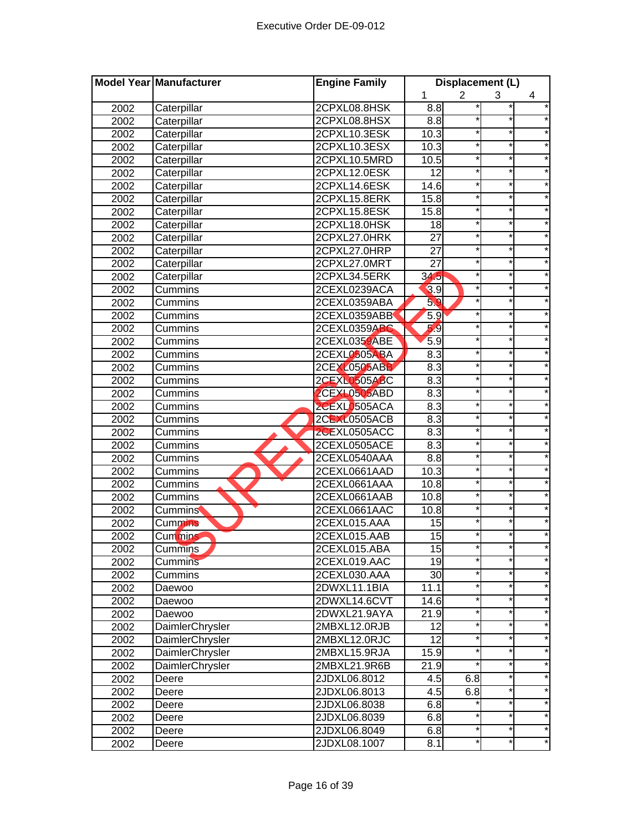|      | Model Year Manufacturer | <b>Engine Family</b> | Displacement (L) |                |          |   |
|------|-------------------------|----------------------|------------------|----------------|----------|---|
|      |                         |                      | 1                | $\overline{2}$ | 3        | 4 |
| 2002 | Caterpillar             | 2CPXL08.8HSK         | $\frac{8}{8}$    |                |          |   |
| 2002 | Caterpillar             | 2CPXL08.8HSX         | $\overline{8.8}$ |                |          |   |
| 2002 | Caterpillar             | 2CPXL10.3ESK         | 10.3             |                |          |   |
| 2002 | Caterpillar             | 2CPXL10.3ESX         | 10.3             |                | $^\star$ |   |
| 2002 | Caterpillar             | 2CPXL10.5MRD         | 10.5             |                | $\star$  |   |
| 2002 | Caterpillar             | 2CPXL12.0ESK         | $\overline{12}$  |                | $\star$  |   |
| 2002 | Caterpillar             | 2CPXL14.6ESK         | 14.6             |                | $^\star$ |   |
| 2002 | Caterpillar             | 2CPXL15.8ERK         | 15.8             |                | $\star$  |   |
| 2002 | Caterpillar             | 2CPXL15.8ESK         | 15.8             |                | $^\star$ |   |
| 2002 | Caterpillar             | 2CPXL18.0HSK         | 18               |                | $\star$  |   |
| 2002 | Caterpillar             | 2CPXL27.0HRK         | $\overline{27}$  |                | $\star$  |   |
| 2002 | Caterpillar             | 2CPXL27.0HRP         | $\overline{27}$  |                |          |   |
| 2002 | Caterpillar             | 2CPXL27.0MRT         | $\overline{27}$  |                |          |   |
| 2002 | Caterpillar             | 2CPXL34.5ERK         | 34.5             |                |          |   |
| 2002 | Cummins                 | 2CEXL0239ACA         | 3.9              |                |          |   |
| 2002 | Cummins                 | 2CEXL0359ABA         | 59               |                |          |   |
| 2002 | Cummins                 | 2CEXL0359ABB         | 5.9              |                |          |   |
| 2002 | Cummins                 | 2CEXL0359ABC         | 5.9              |                |          |   |
| 2002 | Cummins                 | 2CEXL0359ABE         | 5.9              |                | *        |   |
| 2002 | <b>Cummins</b>          | 2CEXL0505ABA         | 8.3              |                |          |   |
| 2002 | Cummins                 | 2CEXL0505ABB         | 8.3              |                | $^\star$ |   |
| 2002 | Cummins                 | 2CEXL0505ABC         | 8.3              |                | $\star$  |   |
| 2002 | Cummins                 | 2CEXL0505ABD         | 8.3              |                | *        |   |
| 2002 | Cummins                 | 2CEXL0505ACA         | 8.3              |                | $\star$  |   |
| 2002 | Cummins                 | 2CEXL0505ACB         | 8.3              |                | $\star$  |   |
| 2002 | Cummins                 | 2CEXL0505ACC         | 8.3              |                | $^\star$ |   |
| 2002 | Cummins                 | 2CEXL0505ACE         | 8.3              |                | *        |   |
| 2002 | Cummins                 | 2CEXL0540AAA         | 8.8              |                |          |   |
| 2002 | Cummins                 | 2CEXL0661AAD         | 10.3             |                |          |   |
| 2002 | Cummins                 | 2CEXL0661AAA         | 10.8             |                |          |   |
| 2002 | Cummins                 | 2CEXL0661AAB         | 10.8             |                |          |   |
| 2002 | <b>Cummins</b>          | 2CEXL0661AAC         | 10.8             |                |          |   |
| 2002 | <b>Cummins</b>          | 2CEXL015.AAA         | 15               |                |          |   |
| 2002 | <b>Cummins</b>          | 2CEXL015.AAB         | 15               |                |          |   |
| 2002 | Cummins                 | 2CEXL015.ABA         | 15               |                |          |   |
| 2002 | <b>Cummins</b>          | 2CEXL019.AAC         | 19               |                |          |   |
| 2002 | Cummins                 | 2CEXL030.AAA         | 30               |                |          |   |
| 2002 | Daewoo                  | 2DWXL11.1BIA         | 11.1             |                | $^\star$ |   |
| 2002 | Daewoo                  | 2DWXL14.6CVT         | 14.6             |                | *        |   |
| 2002 | Daewoo                  | 2DWXL21.9AYA         | 21.9             |                | *        | * |
| 2002 | DaimlerChrysler         | 2MBXL12.0RJB         | $\overline{12}$  |                | $\star$  |   |
| 2002 | DaimlerChrysler         | 2MBXL12.0RJC         | 12               |                | $\star$  | * |
| 2002 | <b>DaimlerChrysler</b>  | 2MBXL15.9RJA         | 15.9             |                | $^\star$ | * |
| 2002 | <b>DaimlerChrysler</b>  | 2MBXL21.9R6B         | 21.9             |                | *        | * |
| 2002 | Deere                   | 2JDXL06.8012         | 4.5              | 6.8            |          |   |
| 2002 | Deere                   | 2JDXL06.8013         | 4.5              | 6.8            | *        |   |
| 2002 | Deere                   | 2JDXL06.8038         | 6.8              |                |          |   |
| 2002 | Deere                   | 2JDXL06.8039         | 6.8              |                |          |   |
| 2002 | Deere                   | 2JDXL06.8049         | 6.8              |                |          |   |
| 2002 | Deere                   | 2JDXL08.1007         | 8.1              |                | *        |   |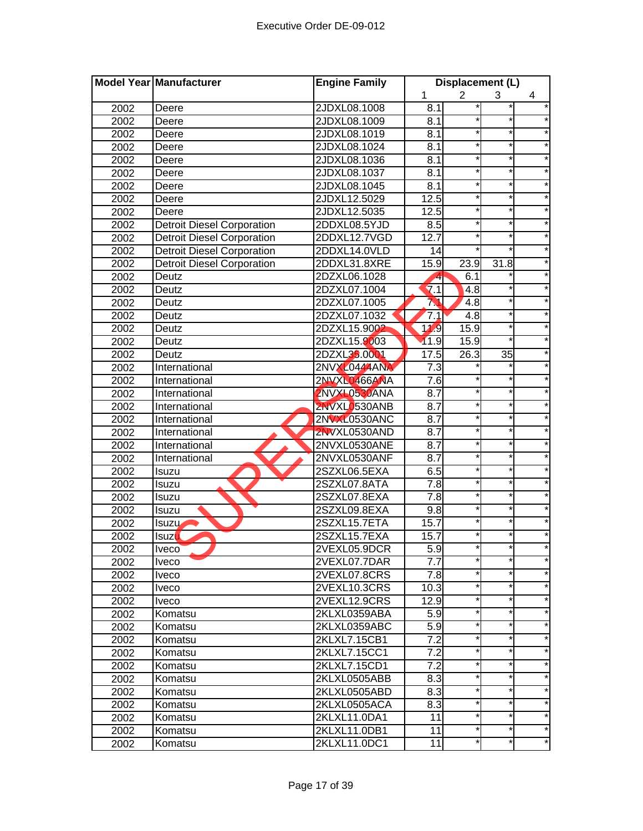|      | Model Year Manufacturer           | <b>Engine Family</b> | Displacement (L) |                |                 |            |
|------|-----------------------------------|----------------------|------------------|----------------|-----------------|------------|
|      |                                   |                      | 1                | $\overline{2}$ | 3               | 4          |
| 2002 | Deere                             | 2JDXL08.1008         | 8.1              |                |                 |            |
| 2002 | Deere                             | 2JDXL08.1009         | 8.1              |                |                 |            |
| 2002 | Deere                             | 2JDXL08.1019         | 8.1              |                | $^\star$        |            |
| 2002 | Deere                             | 2JDXL08.1024         | 8.1              |                | $^\star$        |            |
| 2002 | Deere                             | 2JDXL08.1036         | 8.1              |                | $\star$         |            |
| 2002 | Deere                             | 2JDXL08.1037         | 8.1              |                | $\star$         |            |
| 2002 | Deere                             | 2JDXL08.1045         | 8.1              |                | $\star$         |            |
| 2002 | Deere                             | 2JDXL12.5029         | 12.5             |                | $\star$         |            |
| 2002 | Deere                             | 2JDXL12.5035         | 12.5             |                | $^\star$        |            |
| 2002 | <b>Detroit Diesel Corporation</b> | 2DDXL08.5YJD         | $\overline{8.5}$ |                | $\star$         |            |
| 2002 | <b>Detroit Diesel Corporation</b> | 2DDXL12.7VGD         | 12.7             |                | $\star$         |            |
| 2002 | <b>Detroit Diesel Corporation</b> | 2DDXL14.0VLD         | 14               |                |                 |            |
| 2002 | <b>Detroit Diesel Corporation</b> | 2DDXL31.8XRE         | 15.9             | 23.9           | 31.8            |            |
| 2002 | Deutz                             | 2DZXL06.1028         |                  | 6.1            |                 |            |
| 2002 | Deutz                             | 2DZXL07.1004         | 7.1              | 4.8            |                 |            |
| 2002 | Deutz                             | 2DZXL07.1005         | M                | 4.8            |                 |            |
| 2002 | Deutz                             | 2DZXL07.1032         | 7.1              | 4.8            |                 |            |
| 2002 | Deutz                             | 2DZXL15.9002         | 11.9             | 15.9           |                 |            |
| 2002 | Deutz                             | 2DZXL15.9003         | 11.9             | 15.9           | $\star$         |            |
| 2002 | Deutz                             | 2DZXL35.0001         | 17.5             | 26.3           | $\overline{35}$ |            |
| 2002 | International                     | 2NVXL0444ANA         | $\overline{7.3}$ |                |                 |            |
| 2002 | International                     | 2NVXL0466ANA         | 7.6              |                | $^\star$        |            |
| 2002 | International                     | 2NVXL0530ANA         | 8.7              |                | *               |            |
| 2002 | International                     | 2NVXL0530ANB         | $\overline{8.7}$ |                | $\star$         |            |
| 2002 | International                     | <b>2NVXL0530ANC</b>  | $\overline{8.7}$ |                | $\star$         |            |
| 2002 | International                     | 2NVXL0530AND         | 8.7              |                | $^\star$        |            |
| 2002 | International                     | 2NVXL0530ANE         | $\overline{8.7}$ |                | $^\star$        |            |
| 2002 | International                     | 2NVXL0530ANF         | $\overline{8.7}$ |                |                 |            |
| 2002 | Isuzu                             | 2SZXL06.5EXA         | 6.5              |                |                 |            |
| 2002 | Isuzu                             | 2SZXL07.8ATA         | $\overline{7.8}$ |                |                 |            |
| 2002 | Isuzu                             | 2SZXL07.8EXA         | 7.8              |                | $\star$         |            |
| 2002 | Isuzu                             | 2SZXL09.8EXA         | 9.8              |                |                 |            |
| 2002 | Isuzu-                            | 2SZXL15.7ETA         | 15.7             |                |                 |            |
| 2002 | <b>Isuzu</b>                      | 2SZXL15.7EXA         | 15.7             |                |                 |            |
| 2002 | <b>Iveco</b>                      | 2VEXL05.9DCR         | 5.9              |                |                 |            |
| 2002 | <b>Iveco</b>                      | 2VEXL07.7DAR         | 7.7              |                | $\star$         |            |
| 2002 | <i>Iveco</i>                      | 2VEXL07.8CRS         | 7.8              |                |                 |            |
| 2002 | <b>Iveco</b>                      | 2VEXL10.3CRS         | 10.3             |                | $^\star$        |            |
| 2002 | <b>Iveco</b>                      | 2VEXL12.9CRS         | 12.9             | $\star$        | *               |            |
| 2002 | Komatsu                           | 2KLXL0359ABA         | 5.9              |                | *               | $^\star$   |
| 2002 | Komatsu                           | 2KLXL0359ABC         | 5.9              |                | $\star$         |            |
| 2002 | Komatsu                           | 2KLXL7.15CB1         | 7.2              |                | *               | *          |
| 2002 | Komatsu                           | 2KLXL7.15CC1         | 7.2              |                | $^\star$        | $^{\star}$ |
| 2002 | Komatsu                           | 2KLXL7.15CD1         | $\overline{7.2}$ | $\star$        | $\star$         | $\star$    |
| 2002 | Komatsu                           | 2KLXL0505ABB         | 8.3              |                |                 |            |
| 2002 | Komatsu                           | 2KLXL0505ABD         | 8.3              |                |                 |            |
| 2002 | Komatsu                           | 2KLXL0505ACA         | 8.3              |                |                 |            |
| 2002 | Komatsu                           | 2KLXL11.0DA1         | 11               |                |                 |            |
| 2002 | Komatsu                           | 2KLXL11.0DB1         | 11               |                |                 |            |
| 2002 | Komatsu                           | 2KLXL11.0DC1         | 11               |                |                 |            |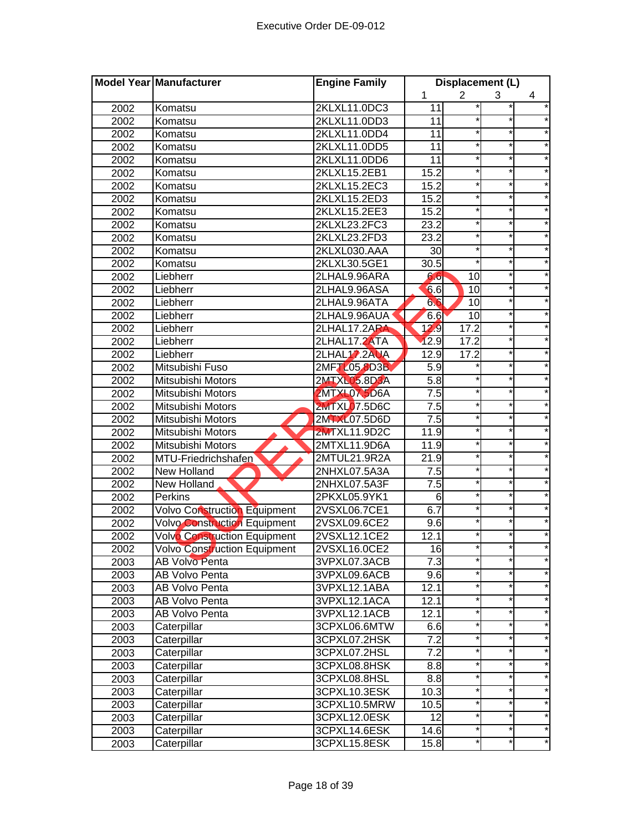|      | Model Year Manufacturer             | <b>Engine Family</b> | Displacement (L)  |                 |          |         |
|------|-------------------------------------|----------------------|-------------------|-----------------|----------|---------|
|      |                                     |                      | 1                 | $\overline{2}$  | 3        | 4       |
| 2002 | Komatsu                             | 2KLXL11.0DC3         | 11                |                 |          |         |
| 2002 | Komatsu                             | 2KLXL11.0DD3         | 11                |                 |          |         |
| 2002 | Komatsu                             | 2KLXL11.0DD4         | $\overline{11}$   |                 |          |         |
| 2002 | Komatsu                             | 2KLXL11.0DD5         | $\overline{11}$   |                 |          |         |
| 2002 | Komatsu                             | 2KLXL11.0DD6         | 11                |                 | $^\star$ |         |
| 2002 | Komatsu                             | 2KLXL15.2EB1         | 15.2              |                 | $\star$  |         |
| 2002 | Komatsu                             | 2KLXL15.2EC3         | 15.2              |                 | $\star$  |         |
| 2002 | Komatsu                             | 2KLXL15.2ED3         | 15.2              |                 | $^\star$ |         |
| 2002 | Komatsu                             | 2KLXL15.2EE3         | 15.2              |                 | $\star$  |         |
| 2002 | Komatsu                             | 2KLXL23.2FC3         | 23.2              |                 | $\star$  |         |
| 2002 | Komatsu                             | 2KLXL23.2FD3         | 23.2              |                 | $\star$  |         |
| 2002 | Komatsu                             | 2KLXL030.AAA         | 30                |                 | $\star$  |         |
| 2002 | Komatsu                             | 2KLXL30.5GE1         | 30.5              |                 |          |         |
| 2002 | Liebherr                            | 2LHAL9.96ARA         | 6.6               | 10              |          |         |
| 2002 | Liebherr                            | 2LHAL9.96ASA         | 6.6               | 10              |          |         |
| 2002 | Liebherr                            | 2LHAL9.96ATA         | 66                | 10              |          |         |
| 2002 | Liebherr                            | 2LHAL9.96AUA         | 6.6               | $\overline{10}$ |          |         |
| 2002 | Liebherr                            | 2LHAL17.2ARA         | 12.9              | 17.2            |          |         |
| 2002 | Liebherr                            | 2LHAL17.2ATA         | 12.9              | 17.2            |          |         |
| 2002 | Liebherr                            | 2LHAL17.2AUA         | 12.9              | 17.2            | *        |         |
| 2002 | Mitsubishi Fuso                     | 2MFT 105 8D3B        | 5.9               |                 |          |         |
| 2002 | Mitsubishi Motors                   | 2MTXL05.8D3A         | $\overline{5.8}$  |                 | $^\star$ |         |
| 2002 | Mitsubishi Motors                   | <b>2MTXL07 5D6A</b>  | $\overline{7.5}$  |                 | $\star$  |         |
| 2002 | Mitsubishi Motors                   | <b>2MTXL07.5D6C</b>  | 7.5               |                 | *        |         |
| 2002 | Mitsubishi Motors                   | 2MTXL07.5D6D         | 7.5               |                 | $\star$  |         |
| 2002 | Mitsubishi Motors                   | <b>2MTXL11.9D2C</b>  | 11.9              |                 | $\star$  |         |
| 2002 | Mitsubishi Motors                   | 2MTXL11.9D6A         | 11.9              |                 | $^\star$ |         |
| 2002 | MTU-Friedrichshafen                 | 2MTUL21.9R2A         | 21.9              |                 | *        |         |
| 2002 | New Holland                         | 2NHXL07.5A3A         | 7.5               |                 |          |         |
| 2002 | New Holland                         | 2NHXL07.5A3F         | $\overline{7.5}$  |                 |          |         |
| 2002 | Perkins                             | 2PKXL05.9YK1         | 6                 |                 |          |         |
| 2002 | Volvo Construction Equipment        | 2VSXL06.7CE1         | 6.7               |                 |          |         |
| 2002 | <b>Volvo Construction Equipment</b> | 2VSXL09.6CE2         | 9.6               |                 |          |         |
| 2002 | <b>Volvo Construction Equipment</b> | 2VSXL12.1CE2         | 12.1              |                 |          |         |
| 2002 | <b>Volvo Construction Equipment</b> | 2VSXL16.0CE2         | 16                |                 |          |         |
| 2003 | <b>AB Volvo Penta</b>               | 3VPXL07.3ACB         | 7.3               |                 |          |         |
| 2003 | AB Volvo Penta                      | 3VPXL09.6ACB         | 9.6               |                 |          |         |
| 2003 | AB Volvo Penta                      | 3VPXL12.1ABA         | 12.1              |                 |          |         |
| 2003 | AB Volvo Penta                      | 3VPXL12.1ACA         | 12.1              |                 | *        |         |
| 2003 | <b>AB Volvo Penta</b>               | 3VPXL12.1ACB         | 12.1              |                 | *        |         |
| 2003 | Caterpillar                         | 3CPXL06.6MTW         | 6.6               |                 | *        | *       |
| 2003 | Caterpillar                         | 3CPXL07.2HSK         | $\overline{7.2}$  |                 | $\star$  |         |
| 2003 | Caterpillar                         | 3CPXL07.2HSL         | $\overline{7.2}$  |                 | $^\star$ |         |
| 2003 | Caterpillar                         | 3CPXL08.8HSK         | 8.8               |                 | $^\star$ | *       |
| 2003 | Caterpillar                         | 3CPXL08.8HSL         | 8.8               | $\star$         | *        | $\star$ |
| 2003 | Caterpillar                         | 3CPXL10.3ESK         | 10.3              |                 |          |         |
| 2003 | Caterpillar                         | 3CPXL10.5MRW         | 10.5              |                 |          |         |
| 2003 | Caterpillar                         | 3CPXL12.0ESK         | $\overline{12}$   |                 |          |         |
| 2003 | Caterpillar                         | 3CPXL14.6ESK         | 14.6              |                 | *        |         |
| 2003 | Caterpillar                         | 3CPXL15.8ESK         | $15.\overline{8}$ |                 |          |         |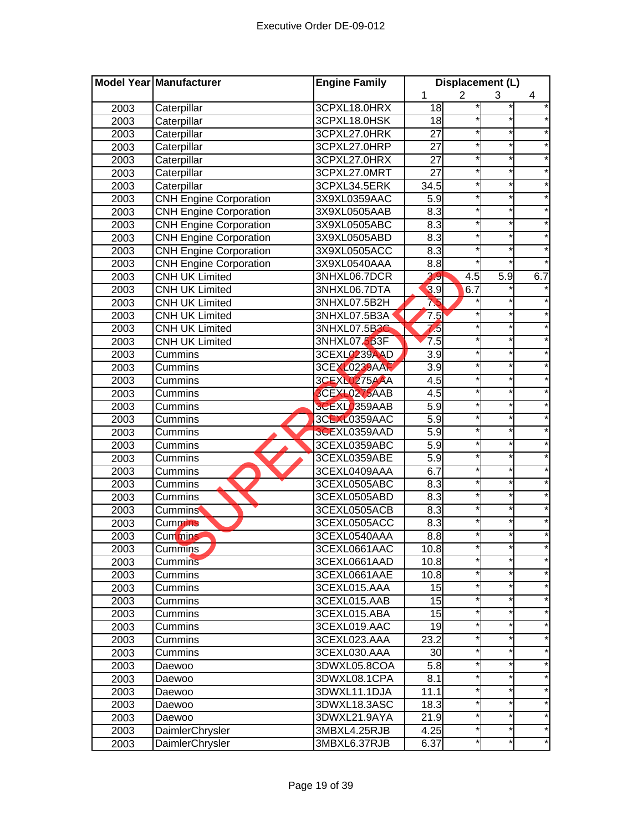|      | Model Year Manufacturer       | <b>Engine Family</b> | Displacement (L)   |                |                  |         |
|------|-------------------------------|----------------------|--------------------|----------------|------------------|---------|
|      |                               |                      | 1                  | $\overline{2}$ | 3                | 4       |
| 2003 | Caterpillar                   | 3CPXL18.0HRX         | 18                 |                |                  |         |
| 2003 | Caterpillar                   | 3CPXL18.0HSK         | 18                 |                |                  |         |
| 2003 | Caterpillar                   | 3CPXL27.0HRK         | $\overline{27}$    |                |                  |         |
| 2003 | Caterpillar                   | 3CPXL27.0HRP         | $\overline{27}$    |                | $^\star$         |         |
| 2003 | Caterpillar                   | 3CPXL27.0HRX         | $\overline{27}$    |                | $\star$          |         |
| 2003 | Caterpillar                   | 3CPXL27.0MRT         | 27                 |                | $\star$          |         |
| 2003 | Caterpillar                   | 3CPXL34.5ERK         | 34.5               |                | $\star$          |         |
| 2003 | <b>CNH Engine Corporation</b> | 3X9XL0359AAC         | 5.9                |                | $\star$          |         |
| 2003 | <b>CNH Engine Corporation</b> | 3X9XL0505AAB         | 8.3                |                | $^\star$         |         |
| 2003 | <b>CNH Engine Corporation</b> | 3X9XL0505ABC         | 8.3                |                | ¥                |         |
| 2003 | <b>CNH Engine Corporation</b> | 3X9XL0505ABD         | 8.3                |                | $\star$          |         |
| 2003 | <b>CNH Engine Corporation</b> | 3X9XL0505ACC         | 8.3                |                |                  |         |
| 2003 | <b>CNH Engine Corporation</b> | 3X9XL0540AAA         | 8.8                |                |                  |         |
| 2003 | <b>CNH UK Limited</b>         | 3NHXL06.7DCR         | 3.9                | 4.5            | $\overline{5.9}$ | 6.7     |
| 2003 | <b>CNH UK Limited</b>         | 3NHXL06.7DTA         | 3.9                | 6.7            |                  |         |
| 2003 | <b>CNH UK Limited</b>         | 3NHXL07.5B2H         | 75                 |                |                  |         |
| 2003 | <b>CNH UK Limited</b>         | 3NHXL07.5B3A         | 7.5                |                |                  |         |
| 2003 | <b>CNH UK Limited</b>         | 3NHXL07.5B3C         | 75                 |                |                  |         |
| 2003 | <b>CNH UK Limited</b>         | 3NHXL07.5B3F         | 7.5                |                | *                |         |
| 2003 | Cummins                       | 3CEXL0239AAD         | $\overline{3.9}$   |                | $\star$          |         |
| 2003 | Cummins                       | <b>3CEXL0239AAF</b>  | $\overline{3.9}$   |                | $^\star$         |         |
| 2003 | Cummins                       | 3CEXL0275AAA         | 4.5                |                | $\star$          |         |
| 2003 | Cummins                       | 3CEXL0275AAB         | 4.5                |                | *                |         |
| 2003 | Cummins                       | <b>3CEXL0359AAB</b>  | 5.9                |                | $\star$          |         |
| 2003 | Cummins                       | <b>3CEXL0359AAC</b>  | 5.9                |                | $\star$          |         |
| 2003 | Cummins                       | 3CEXL0359AAD         | 5.9                |                | $^\star$         |         |
| 2003 | Cummins                       | 3CEXL0359ABC         | 5.9                |                | *                |         |
| 2003 | Cummins                       | 3CEXL0359ABE         | 5.9                |                |                  |         |
| 2003 | Cummins                       | 3CEXL0409AAA         | 6.7                |                |                  |         |
| 2003 | Cummins                       | 3CEXL0505ABC         | $\overline{8.3}$   |                |                  |         |
| 2003 | Cummins                       | 3CEXL0505ABD         | 8.3                |                |                  |         |
| 2003 | <b>Cummins</b>                | 3CEXL0505ACB         | 8.3                |                |                  |         |
| 2003 | <b>Cummins</b>                | 3CEXL0505ACC         | 8.3                |                |                  |         |
| 2003 | <b>Cummins</b>                | 3CEXL0540AAA         | 8.8                |                |                  |         |
| 2003 | Cummins                       | 3CEXL0661AAC         | 10.8               |                |                  |         |
| 2003 | <b>Cummins</b>                | 3CEXL0661AAD         | 10.8               |                |                  |         |
| 2003 | Cummins                       | 3CEXL0661AAE         | 10.8               |                |                  |         |
| 2003 | Cummins                       | 3CEXL015.AAA         | 15                 |                | *                |         |
| 2003 | Cummins                       | 3CEXL015.AAB         | 15                 |                | *                |         |
| 2003 | Cummins                       | 3CEXL015.ABA         | 15                 |                | *                | *       |
| 2003 | Cummins                       | 3CEXL019.AAC         | 19                 |                | *                |         |
| 2003 | Cummins                       | 3CEXL023.AAA         | 23.2               |                | *                |         |
| 2003 | Cummins                       | 3CEXL030.AAA         | 30                 |                | *                | *       |
| 2003 | Daewoo                        | 3DWXL05.8COA         | 5.8                |                | $\star$          | $\star$ |
| 2003 | Daewoo                        | 3DWXL08.1CPA         | 8.1                |                |                  |         |
| 2003 | Daewoo                        | 3DWXL11.1DJA         | 11.1               |                |                  |         |
| 2003 | Daewoo                        | 3DWXL18.3ASC         | 18.3               |                |                  |         |
| 2003 | Daewoo                        | 3DWXL21.9AYA         | 21.9               |                |                  |         |
| 2003 | DaimlerChrysler               | 3MBXL4.25RJB         | $\overline{4}$ .25 |                |                  |         |
| 2003 | DaimlerChrysler               | 3MBXL6.37RJB         | 6.37               |                |                  |         |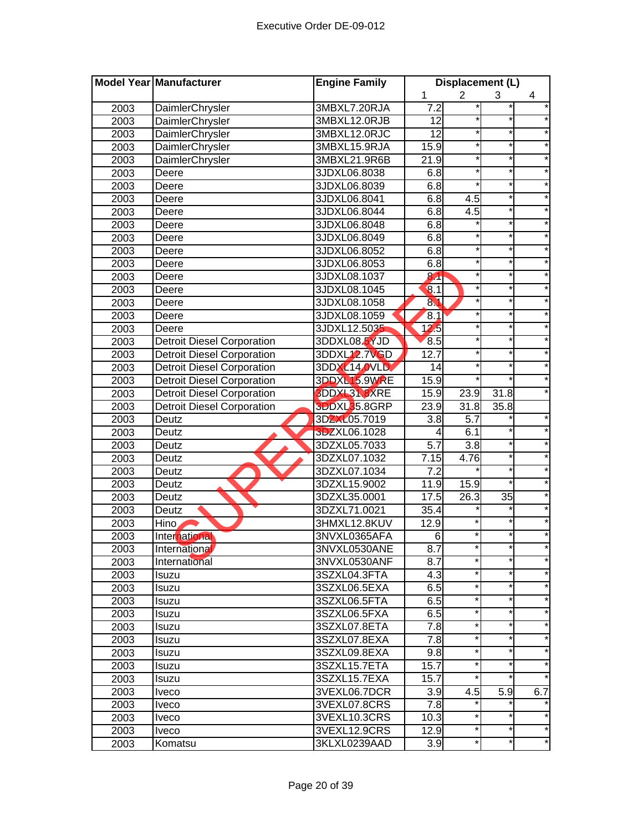|      | Model Year Manufacturer           | <b>Engine Family</b> |                  | Displacement (L)  |          |          |
|------|-----------------------------------|----------------------|------------------|-------------------|----------|----------|
|      |                                   |                      | 1                | $\overline{2}$    | 3        | 4        |
| 2003 | DaimlerChrysler                   | 3MBXL7.20RJA         | 7.2              |                   |          |          |
| 2003 | DaimlerChrysler                   | 3MBXL12.0RJB         | 12               |                   |          |          |
| 2003 | DaimlerChrysler                   | 3MBXL12.0RJC         | $\overline{12}$  |                   | $\star$  |          |
| 2003 | DaimlerChrysler                   | 3MBXL15.9RJA         | 15.9             |                   | $\star$  |          |
| 2003 | DaimlerChrysler                   | 3MBXL21.9R6B         | 21.9             | *                 | $\ast$   |          |
| 2003 | Deere                             | 3JDXL06.8038         | 6.8              |                   | $\star$  |          |
| 2003 | Deere                             | 3JDXL06.8039         | 6.8              |                   | $\star$  | $\star$  |
| 2003 | Deere                             | 3JDXL06.8041         | 6.8              | 4.5               | $\star$  |          |
| 2003 | Deere                             | 3JDXL06.8044         | 6.8              | 4.5               | $\star$  |          |
| 2003 | Deere                             | 3JDXL06.8048         | 6.8              |                   | $^\star$ |          |
| 2003 | Deere                             | 3JDXL06.8049         | 6.8              |                   | $^\star$ |          |
| 2003 | Deere                             | 3JDXL06.8052         | 6.8              |                   | $\star$  |          |
| 2003 | Deere                             | 3JDXL06.8053         | 6.8              |                   |          |          |
| 2003 | Deere                             | 3JDXL08.1037         | 8 <sup>1</sup>   |                   | $^\star$ |          |
| 2003 | Deere                             | 3JDXL08.1045         | 8.1              |                   |          |          |
| 2003 | Deere                             | 3JDXL08.1058         | 81               |                   |          |          |
| 2003 | Deere                             | 3JDXL08.1059         | 8.1              |                   |          |          |
| 2003 | Deere                             | 3JDXL12.5035         | 12.5             |                   |          |          |
| 2003 | <b>Detroit Diesel Corporation</b> | 3DDXL08.5YJD         | 8.5              |                   |          |          |
| 2003 | <b>Detroit Diesel Corporation</b> | 3DDXL12.7VGD         | 12.7             |                   | $\star$  |          |
| 2003 | <b>Detroit Diesel Corporation</b> | <b>3DDXL14.0VLD</b>  | 14               |                   |          |          |
| 2003 | <b>Detroit Diesel Corporation</b> | 3DDXL15.9WRE         | 15.9             |                   | $\star$  |          |
| 2003 | <b>Detroit Diesel Corporation</b> | 3DDXL31.8XRE         | 15.9             | 23.9              | 31.8     |          |
| 2003 | <b>Detroit Diesel Corporation</b> | <b>3DDXL35.8GRP</b>  | 23.9             | 31.8              | 35.8     |          |
| 2003 | Deutz                             | 3DZXL05.7019         | 3.8              | $\overline{5.7}$  |          |          |
| 2003 | Deutz                             | 3DZXL06.1028         | 4                | 6.1               |          |          |
| 2003 | Deutz                             | 3DZXL05.7033         | $\overline{5.7}$ | $\overline{3.8}$  |          |          |
| 2003 | Deutz                             | 3DZXL07.1032         | 7.15             | 4.76              | $^\star$ |          |
| 2003 | Deutz                             | 3DZXL07.1034         | $\overline{7.2}$ |                   |          |          |
| 2003 | Deutz                             | 3DZXL15.9002         | 11.9             | 15.9              |          |          |
| 2003 | Deutz                             | 3DZXL35.0001         | 17.5             | $\overline{26.3}$ | 35       |          |
| 2003 | Deutz                             | 3DZXL71.0021         | 35.4             |                   |          |          |
| 2003 | Hino                              | 3HMXL12.8KUV         | 12.9             |                   |          |          |
| 2003 | International                     | 3NVXL0365AFA         | 6                |                   |          |          |
| 2003 | International                     | 3NVXL0530ANE         | 8.7              |                   |          |          |
| 2003 | International                     | 3NVXL0530ANF         | 8.7              | $\star$           |          | *        |
| 2003 | <b>Isuzu</b>                      | 3SZXL04.3FTA         | 4.3              | $^\star$          | $\ast$   |          |
| 2003 | Isuzu                             | 3SZXL06.5EXA         | 6.5              | $^\star$          |          |          |
| 2003 | Isuzu                             | 3SZXL06.5FTA         | 6.5              | $^\star$          | $\ast$   |          |
| 2003 | Isuzu                             | 3SZXL06.5FXA         | 6.5              | $^\star$          | $\star$  | $^\star$ |
| 2003 | <b>Isuzu</b>                      | 3SZXL07.8ETA         | 7.8              | $^\star$          | $\star$  | *        |
| 2003 | Isuzu                             | 3SZXL07.8EXA         | 7.8              | $^{\star}$        | *        | *        |
| 2003 | Isuzu                             | 3SZXL09.8EXA         | 9.8              | $^\star$          | *        | *        |
| 2003 | Isuzu                             | 3SZXL15.7ETA         | 15.7             | $^\star$          |          | *        |
| 2003 | Isuzu                             | 3SZXL15.7EXA         | 15.7             | $\star$           | $\star$  | $\star$  |
| 2003 | <b>Iveco</b>                      | 3VEXL06.7DCR         | 3.9              | 4.5               | 5.9      | 6.7      |
| 2003 | Iveco                             | 3VEXL07.8CRS         | 7.8              |                   |          |          |
| 2003 | <i>lveco</i>                      | 3VEXL10.3CRS         | 10.3             |                   |          |          |
| 2003 | <i>lveco</i>                      | 3VEXL12.9CRS         | 12.9             |                   |          |          |
| 2003 | Komatsu                           | 3KLXL0239AAD         | 3.9              | *                 |          |          |
|      |                                   |                      |                  |                   |          |          |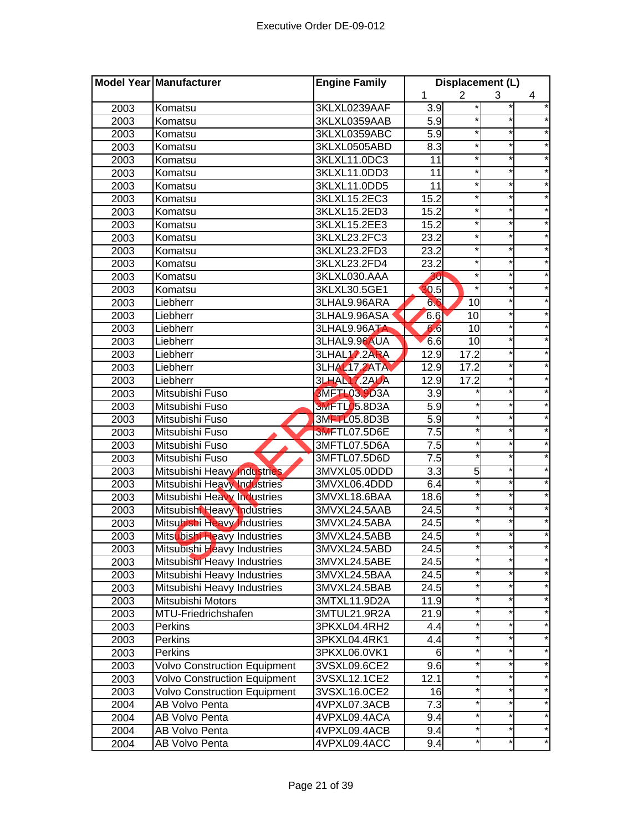|      | Model Year Manufacturer             | <b>Engine Family</b> |                    | Displacement (L) |          |            |
|------|-------------------------------------|----------------------|--------------------|------------------|----------|------------|
|      |                                     |                      | 1                  | $\overline{2}$   | 3        | 4          |
| 2003 | Komatsu                             | 3KLXL0239AAF         | 3.9                |                  |          |            |
| 2003 | Komatsu                             | 3KLXL0359AAB         | 5.9                |                  |          |            |
| 2003 | Komatsu                             | 3KLXL0359ABC         | 5.9                | *                | *        |            |
| 2003 | Komatsu                             | 3KLXL0505ABD         | 8.3                | *                |          |            |
| 2003 | Komatsu                             | 3KLXL11.0DC3         | $\overline{11}$    | *                | $^\star$ |            |
| 2003 | Komatsu                             | 3KLXL11.0DD3         | 11                 | *                | $\star$  |            |
| 2003 | Komatsu                             | 3KLXL11.0DD5         | $\overline{11}$    | $\star$          | $\star$  |            |
| 2003 | Komatsu                             | 3KLXL15.2EC3         | 15.2               | $\ast$           | $^\star$ |            |
| 2003 | Komatsu                             | 3KLXL15.2ED3         | 15.2               | *                | $\star$  |            |
| 2003 | Komatsu                             | 3KLXL15.2EE3         | 15.2               | $\star$          | $\star$  |            |
| 2003 | Komatsu                             | 3KLXL23.2FC3         | 23.2               | *                | $^\star$ |            |
| 2003 | Komatsu                             | 3KLXL23.2FD3         | 23.2               | $\ast$           | $\star$  |            |
| 2003 | Komatsu                             | 3KLXL23.2FD4         | 23.2               | $\star$          |          |            |
| 2003 | Komatsu                             | 3KLXL030.AAA         | 30                 | $\star$          |          |            |
| 2003 | Komatsu                             | 3KLXL30.5GE1         | 30.5               | $\star$          |          |            |
| 2003 | Liebherr                            | 3LHAL9.96ARA         | 66                 | 10               |          |            |
| 2003 | Liebherr                            | 3LHAL9.96ASA         | 6.6                | 10               |          |            |
| 2003 | Liebherr                            | 3LHAL9.96ATA         | 66                 | 10               |          |            |
| 2003 | Liebherr                            | 3LHAL9.96AUA         | 6.6                | 10               |          |            |
| 2003 | Liebherr                            | 3LHAL17.2ARA         | 12.9               | 17.2             |          |            |
| 2003 | Liebherr                            | <b>3LHAL17,2ATA</b>  | 12.9               | 17.2             |          |            |
| 2003 | Liebherr                            | <b>3LHAL17.2AUA</b>  | 12.9               | 17.2             | $^\star$ |            |
| 2003 | Mitsubishi Fuso                     | <b>3MFTL03.9D3A</b>  | $\overline{3.9}$   |                  | $\star$  |            |
| 2003 | Mitsubishi Fuso                     | <b>3MFTL05.8D3A</b>  | 5.9                |                  | *        |            |
| 2003 | Mitsubishi Fuso                     | 3MHZ 05.8D3B         | 5.9                |                  | $\star$  |            |
| 2003 | Mitsubishi Fuso                     | <b>3MFTL07.5D6E</b>  | $\overline{7.5}$   |                  | $\star$  |            |
| 2003 | Mitsubishi Fuso                     | 3MFTL07.5D6A         | $\overline{7.5}$   |                  | $^\star$ |            |
| 2003 | Mitsubishi Fuso                     | 3MFTL07.5D6D         | 7.5                |                  | *        |            |
| 2003 | Mitsubishi Heavy Industries         | 3MVXL05.0DDD         | $\overline{3.3}$   | 5                |          |            |
| 2003 | Mitsubishi Heavy Industries         | 3MVXL06.4DDD         | 6.4                |                  |          |            |
| 2003 | Mitsubishi Heavy Industries         | 3MVXL18.6BAA         | 18.6               |                  |          |            |
| 2003 | Mitsubishi Heavy Industries         | 3MVXL24.5AAB         | 24.5               |                  |          |            |
| 2003 | Mitsubishi Heavy Industries         | 3MVXL24.5ABA         | 24.5               |                  |          |            |
| 2003 | Mitsubishi Heavy Industries         | 3MVXL24.5ABB         | 24.5               |                  |          |            |
| 2003 | Mitsubishi Heavy Industries         | 3MVXL24.5ABD         | 24.5               |                  |          |            |
| 2003 | Mitsubishi Heavy Industries         | 3MVXL24.5ABE         | 24.5               |                  |          |            |
| 2003 | Mitsubishi Heavy Industries         | 3MVXL24.5BAA         | 24.5               |                  |          |            |
| 2003 | Mitsubishi Heavy Industries         | 3MVXL24.5BAB         | $\overline{2}$ 4.5 |                  |          |            |
| 2003 | Mitsubishi Motors                   | 3MTXL11.9D2A         | 11.9               |                  | *        |            |
| 2003 | MTU-Friedrichshafen                 | 3MTUL21.9R2A         | $\overline{2}1.9$  |                  | *        |            |
| 2003 | <b>Perkins</b>                      | 3PKXL04.4RH2         | 4.4                |                  | *        | $^{\star}$ |
| 2003 | Perkins                             | 3PKXL04.4RK1         | 4.4                |                  | $\star$  |            |
| 2003 | Perkins                             | 3PKXL06.0VK1         | 6                  |                  | *        |            |
| 2003 | <b>Volvo Construction Equipment</b> | 3VSXL09.6CE2         | 9.6                |                  | *        | *          |
| 2003 | <b>Volvo Construction Equipment</b> | 3VSXL12.1CE2         | 12.1               |                  | *        | $^\star$   |
| 2003 | <b>Volvo Construction Equipment</b> | 3VSXL16.0CE2         | 16                 |                  |          |            |
| 2004 | AB Volvo Penta                      | 4VPXL07.3ACB         | 7.3                |                  |          |            |
| 2004 | AB Volvo Penta                      | 4VPXL09.4ACA         | 9.4                |                  |          |            |
| 2004 | AB Volvo Penta                      | 4VPXL09.4ACB         | 9.4                |                  | *        |            |
| 2004 | AB Volvo Penta                      | 4VPXL09.4ACC         | 9.4                |                  |          |            |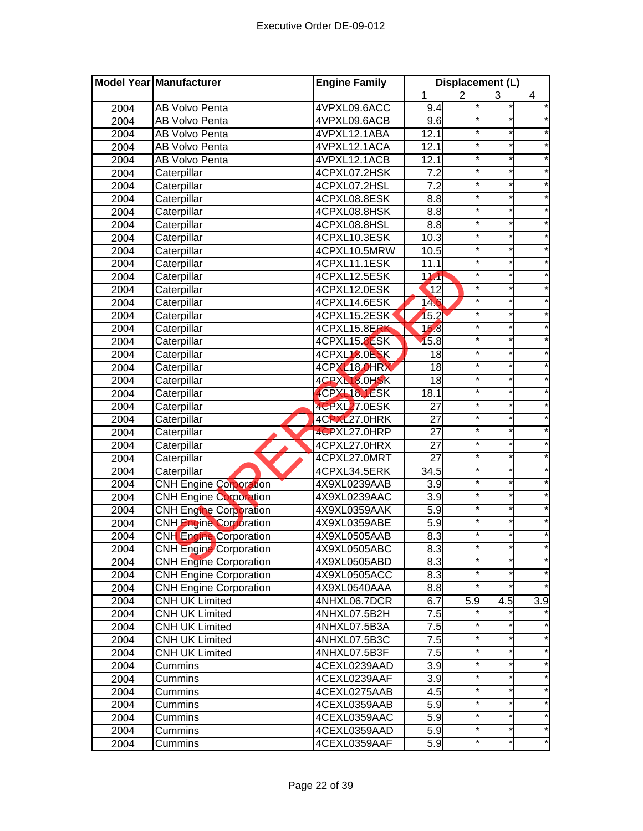|      | <b>Model Year Manufacturer</b> | <b>Engine Family</b> | Displacement (L) |                |            |            |
|------|--------------------------------|----------------------|------------------|----------------|------------|------------|
|      |                                |                      | 1                | $\overline{2}$ | 3          | 4          |
| 2004 | <b>AB Volvo Penta</b>          | 4VPXL09.6ACC         | 9.4              |                |            |            |
| 2004 | AB Volvo Penta                 | 4VPXL09.6ACB         | 9.6              |                | *          |            |
| 2004 | <b>AB Volvo Penta</b>          | 4VPXL12.1ABA         | 12.1             |                | $\star$    |            |
| 2004 | <b>AB Volvo Penta</b>          | 4VPXL12.1ACA         | 12.1             |                | *          |            |
| 2004 | AB Volvo Penta                 | 4VPXL12.1ACB         | 12.1             |                | $\star$    |            |
| 2004 | Caterpillar                    | 4CPXL07.2HSK         | 7.2              |                | $\star$    |            |
| 2004 | Caterpillar                    | 4CPXL07.2HSL         | $\overline{7.2}$ |                | $\star$    |            |
| 2004 | Caterpillar                    | 4CPXL08.8ESK         | 8.8              |                | $\star$    |            |
| 2004 | Caterpillar                    | 4CPXL08.8HSK         | 8.8              |                | *          |            |
| 2004 | Caterpillar                    | 4CPXL08.8HSL         | 8.8              |                | *          |            |
| 2004 | Caterpillar                    | 4CPXL10.3ESK         | 10.3             |                | *          |            |
| 2004 | Caterpillar                    | 4CPXL10.5MRW         | 10.5             |                |            |            |
| 2004 | Caterpillar                    | 4CPXL11.1ESK         | 11.1             |                |            |            |
| 2004 | Caterpillar                    | 4CPXL12.5ESK         | $\overline{1}$   |                |            |            |
| 2004 | Caterpillar                    | 4CPXL12.0ESK         | $\overline{12}$  |                |            |            |
| 2004 | Caterpillar                    | 4CPXL14.6ESK         | 146              |                |            |            |
| 2004 | Caterpillar                    | 4CPXL15.2ESK         | 15.2             |                |            |            |
| 2004 | Caterpillar                    | 4CPXL15.8ERK         | 158              |                |            |            |
| 2004 | Caterpillar                    | 4CPXL15.8ESK         | 15.8             |                | *          |            |
| 2004 | Caterpillar                    | 4CPXL18.0ESK         | 18               |                | $^{\star}$ |            |
| 2004 | Caterpillar                    | 4CPXL18 OHRX         | $\overline{18}$  |                | *          |            |
| 2004 | Caterpillar                    | 4CPXL18.0HSK         | $\overline{18}$  |                | $\star$    |            |
| 2004 | Caterpillar                    | 4CPXL18.1ESK         | 18.1             |                | *          |            |
| 2004 | Caterpillar                    | 4CPXL27.0ESK         | $\overline{27}$  |                | $^{\star}$ |            |
| 2004 | Caterpillar                    | 4CPXL27.0HRK         | $\overline{27}$  |                | $\star$    |            |
| 2004 | Caterpillar                    | 4CPXL27.0HRP         | $\overline{27}$  |                | *          |            |
| 2004 | Caterpillar                    | 4CPXL27.0HRX         | $\overline{27}$  |                | *          |            |
| 2004 | Caterpillar                    | 4CPXL27.0MRT         | $\overline{27}$  |                |            |            |
| 2004 | Caterpillar                    | 4CPXL34.5ERK         | 34.5             |                |            |            |
| 2004 | <b>CNH Engine Corporation</b>  | 4X9XL0239AAB         | $\overline{3.9}$ |                |            |            |
| 2004 | <b>CNH Engine Corporation</b>  | 4X9XL0239AAC         | 3.9              |                |            |            |
| 2004 | <b>CNH Engine Corporation</b>  | 4X9XL0359AAK         | $\overline{5.9}$ |                |            |            |
| 2004 | <b>CNH Engine Corporation</b>  | 4X9XL0359ABE         | 5.9              |                |            |            |
| 2004 | <b>CNH</b> Engine Corporation  | 4X9XL0505AAB         | 8.3              |                |            |            |
| 2004 | <b>CNH Engine Corporation</b>  | 4X9XL0505ABC         | 8.3              |                |            |            |
| 2004 | <b>CNH Engine Corporation</b>  | 4X9XL0505ABD         | 8.3              |                |            |            |
| 2004 | <b>CNH Engine Corporation</b>  | 4X9XL0505ACC         | 8.3              |                |            |            |
| 2004 | <b>CNH Engine Corporation</b>  | 4X9XL0540AAA         | 8.8              |                | *          |            |
| 2004 | <b>CNH UK Limited</b>          | 4NHXL06.7DCR         | 6.7              | 5.9            | 4.5        | 3.9        |
| 2004 | <b>CNH UK Limited</b>          | 4NHXL07.5B2H         | 7.5              |                |            |            |
| 2004 | <b>CNH UK Limited</b>          | 4NHXL07.5B3A         | 7.5              |                |            |            |
| 2004 | <b>CNH UK Limited</b>          | 4NHXL07.5B3C         | 7.5              |                | *          |            |
| 2004 | <b>CNH UK Limited</b>          | 4NHXL07.5B3F         | 7.5              | $\star$        | *          | $^{\star}$ |
| 2004 | Cummins                        | 4CEXL0239AAD         | 3.9              | $\star$        | *          | $\star$    |
| 2004 | Cummins                        | 4CEXL0239AAF         | 3.9              |                | $\star$    | $^\star$   |
| 2004 | Cummins                        | 4CEXL0275AAB         | 4.5              |                | *          |            |
| 2004 | Cummins                        | 4CEXL0359AAB         | 5.9              |                | *          | $\star$    |
| 2004 | Cummins                        | 4CEXL0359AAC         | 5.9              |                | *          | $^\star$   |
| 2004 | Cummins                        | 4CEXL0359AAD         | 5.9              |                |            |            |
| 2004 | Cummins                        | 4CEXL0359AAF         | 5.9              |                | *          |            |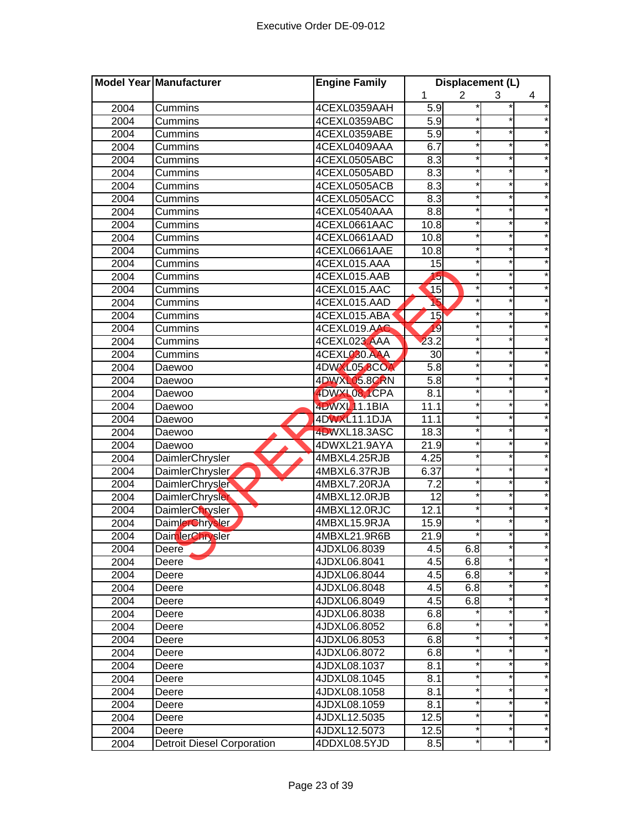|      | <b>Model Year Manufacturer</b>    | <b>Engine Family</b> | Displacement (L) |                |          |            |
|------|-----------------------------------|----------------------|------------------|----------------|----------|------------|
|      |                                   |                      | 1                | $\overline{2}$ | 3        | 4          |
| 2004 | Cummins                           | 4CEXL0359AAH         | 5.9              |                |          |            |
| 2004 | Cummins                           | 4CEXL0359ABC         | 5.9              |                | $\ast$   |            |
| 2004 | Cummins                           | 4CEXL0359ABE         | 5.9              |                | $^\star$ |            |
| 2004 | Cummins                           | 4CEXL0409AAA         | 6.7              |                | $\ast$   |            |
| 2004 | Cummins                           | 4CEXL0505ABC         | 8.3              |                | $\star$  |            |
| 2004 | Cummins                           | 4CEXL0505ABD         | 8.3              |                | $\star$  | *          |
| 2004 | Cummins                           | 4CEXL0505ACB         | 8.3              |                | $^\star$ |            |
| 2004 | Cummins                           | 4CEXL0505ACC         | 8.3              |                | *        |            |
| 2004 | Cummins                           | 4CEXL0540AAA         | 8.8              | *              | *        |            |
| 2004 | Cummins                           | 4CEXL0661AAC         | 10.8             |                | *        |            |
| 2004 | Cummins                           | 4CEXL0661AAD         | 10.8             |                | $\star$  |            |
| 2004 | Cummins                           | 4CEXL0661AAE         | 10.8             |                |          |            |
| 2004 | Cummins                           | 4CEXL015.AAA         | 15               |                | *        |            |
| 2004 | Cummins                           | 4CEXL015.AAB         | 15               |                |          |            |
| 2004 | Cummins                           | 4CEXL015.AAC         | 15               |                |          |            |
| 2004 | Cummins                           | 4CEXL015.AAD         | 16               |                |          |            |
| 2004 | Cummins                           | 4CEXL015.ABA         | 15               |                |          |            |
| 2004 | Cummins                           | 4CEXL019.AAC         | 19               |                | *        |            |
| 2004 | <b>Cummins</b>                    | 4CEXL023.AAA         | 23.2             |                | $\star$  |            |
| 2004 | Cummins                           | 4CEXL030.AAA         | 30               |                | *        |            |
| 2004 | Daewoo                            | 4DWXL05.8COA         | 5.8              |                | $\star$  |            |
| 2004 | Daewoo                            | 4DWXL05.8CRN         | 5.8              |                | $\star$  |            |
| 2004 | Daewoo                            | 4DWXL08.1CPA         | 8.1              | $\star$        | $^\star$ |            |
| 2004 | Daewoo                            | 4DWXL11.1BIA         | 11.1             |                | $\star$  |            |
| 2004 | Daewoo                            | 4DWXL11.1DJA         | 11.1             |                | *        |            |
| 2004 | Daewoo                            | 4DWXL18.3ASC         | 18.3             |                | *        |            |
| 2004 | Daewoo                            | 4DWXL21.9AYA         | 21.9             |                | $\star$  |            |
| 2004 | DaimlerChrysler                   | 4MBXL4.25RJB         | 4.25             |                |          |            |
| 2004 | DaimlerChrysler                   | 4MBXL6.37RJB         | 6.37             |                | *        |            |
| 2004 | DaimlerChrysler                   | 4MBXL7.20RJA         | 7.2              |                |          |            |
| 2004 | <b>DaimlerChrysler</b>            | 4MBXL12.0RJB         | 12               |                | $\star$  |            |
| 2004 | DaimlerChrysler                   | 4MBXL12.0RJC         | 12.1             |                |          |            |
| 2004 | DaimlerChrysler                   | 4MBXL15.9RJA         | 15.9             |                |          |            |
| 2004 | DaimlerChrysler                   | 4MBXL21.9R6B         | 21.9             |                |          |            |
| 2004 | Deere                             | 4JDXL06.8039         | 4.5              | 6.8            |          |            |
| 2004 | Deere                             | 4JDXL06.8041         | 4.5              | 6.8            | $\star$  | *          |
| 2004 | Deere                             | 4JDXL06.8044         | 4.5              | 6.8            | *        | $^\star$   |
| 2004 | Deere                             | 4JDXL06.8048         | 4.5              | 6.8            | $\ast$   | *          |
| 2004 | Deere                             | 4JDXL06.8049         | 4.5              | 6.8            | $\ast$   | $\star$    |
| 2004 | Deere                             | 4JDXL06.8038         | 6.8              |                | $\star$  | $^\star$   |
| 2004 | Deere                             | 4JDXL06.8052         | 6.8              |                | *        | *          |
| 2004 | Deere                             | 4JDXL06.8053         | 6.8              | *              | *        | *          |
| 2004 | Deere                             | 4JDXL06.8072         | 6.8              | *              | *        | $\star$    |
| 2004 | Deere                             | 4JDXL08.1037         | 8.1              | *              | $\star$  | $^\star$   |
| 2004 | Deere                             | 4JDXL08.1045         | 8.1              |                |          | *          |
| 2004 | Deere                             | 4JDXL08.1058         | 8.1              |                | $\star$  | *          |
| 2004 | Deere                             | 4JDXL08.1059         | 8.1              |                | *        | $\star$    |
| 2004 | Deere                             | 4JDXL12.5035         | 12.5             |                | *        | *          |
| 2004 | Deere                             | 4JDXL12.5073         | 12.5             |                | *        | $^{\star}$ |
| 2004 | <b>Detroit Diesel Corporation</b> | 4DDXL08.5YJD         | 8.5              |                | *        | *          |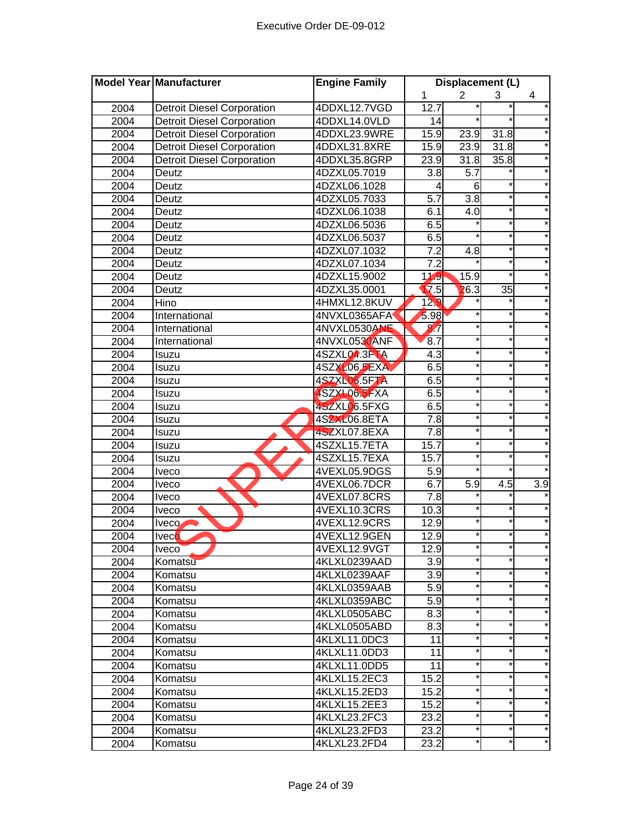|      | Model Year Manufacturer           | <b>Engine Family</b> | Displacement (L)  |                   |          |                  |
|------|-----------------------------------|----------------------|-------------------|-------------------|----------|------------------|
|      |                                   |                      | 1                 | $\overline{2}$    | 3        | 4                |
| 2004 | <b>Detroit Diesel Corporation</b> | 4DDXL12.7VGD         | 12.7              |                   |          | $^\star$         |
| 2004 | <b>Detroit Diesel Corporation</b> | 4DDXL14.0VLD         | 14                |                   |          |                  |
| 2004 | <b>Detroit Diesel Corporation</b> | 4DDXL23.9WRE         | 15.9              | $\overline{23.9}$ | 31.8     |                  |
| 2004 | <b>Detroit Diesel Corporation</b> | 4DDXL31.8XRE         | 15.9              | 23.9              | 31.8     |                  |
| 2004 | <b>Detroit Diesel Corporation</b> | 4DDXL35.8GRP         | 23.9              | 31.8              | 35.8     |                  |
| 2004 | Deutz                             | 4DZXL05.7019         | 3.8               | $\overline{5.7}$  |          |                  |
| 2004 | Deutz                             | 4DZXL06.1028         | 4                 | 6                 |          | $^\star$         |
| 2004 | Deutz                             | 4DZXL05.7033         | $\overline{5.7}$  | $\overline{3.8}$  | $\star$  |                  |
| 2004 | Deutz                             | 4DZXL06.1038         | 6.1               | 4.0               | *        | *                |
| 2004 | Deutz                             | 4DZXL06.5036         | 6.5               |                   | *        |                  |
| 2004 | Deutz                             | 4DZXL06.5037         | 6.5               |                   | $\star$  |                  |
| 2004 | Deutz                             | 4DZXL07.1032         | $\overline{7.2}$  | 4.8               |          |                  |
| 2004 | Deutz                             | 4DZXL07.1034         | 7.2               |                   | $\star$  |                  |
| 2004 | Deutz                             | 4DZXL15.9002         | 119               | 15.9              |          |                  |
| 2004 | Deutz                             | 4DZXL35.0001         | $\overline{17.5}$ | 26.3              | 35       |                  |
| 2004 | Hino                              | 4HMXL12.8KUV         | 12 <sub>0</sub>   |                   |          |                  |
| 2004 | International                     | 4NVXL0365AFA         | 5.98              |                   |          |                  |
| 2004 | International                     | 4NVXL0530ANE         | 87                |                   | *        |                  |
| 2004 | International                     | 4NVXL0530ANF         | 8.7               | *                 | $\ast$   |                  |
| 2004 | Isuzu                             | 4SZXL04.3FTA         | $\overline{4.3}$  |                   | $^\star$ |                  |
| 2004 | Isuzu                             | 4SZXL06.5EXA         | 6.5               | *                 | $\star$  |                  |
| 2004 | Isuzu                             | 4SZXL06.5FTA         | 6.5               | $\star$           | $\star$  |                  |
| 2004 | Isuzu                             | 4SZXL06.5FXA         | 6.5               | $\star$           | $\star$  |                  |
| 2004 | Isuzu                             | 4SZXL06.5FXG         | 6.5               |                   | $^\star$ |                  |
| 2004 | Isuzu                             | 4SZXL06.8ETA         | $\overline{7.8}$  | *                 | *        |                  |
| 2004 | Isuzu                             | 4SZXL07.8EXA         | $\overline{7.8}$  |                   | *        |                  |
| 2004 | Isuzu                             | 4SZXL15.7ETA         | 15.7              | *                 | $\star$  |                  |
| 2004 | Isuzu                             | 4SZXL15.7EXA         | 15.7              |                   |          |                  |
| 2004 | Iveco                             | 4VEXL05.9DGS         | 5.9               |                   | $\star$  |                  |
| 2004 | <b>Iveco</b>                      | 4VEXL06.7DCR         | 6.7               | $\overline{5.9}$  | 4.5      | $\overline{3.9}$ |
| 2004 | <b>Iveco</b>                      | 4VEXL07.8CRS         | 7.8               |                   |          |                  |
| 2004 | <b>Iveco</b>                      | 4VEXL10.3CRS         | 10.3              |                   |          |                  |
| 2004 | Iveco                             | 4VEXL12.9CRS         | 12.9              |                   |          |                  |
| 2004 | <b>Iveco</b>                      | 4VEXL12.9GEN         | 12.9              |                   |          |                  |
| 2004 | <b>Iveco</b>                      | 4VEXL12.9VGT         | 12.9              |                   |          |                  |
| 2004 | Komatsu                           | 4KLXL0239AAD         | 3.9               | ¥                 | $\star$  |                  |
| 2004 | Komatsu                           | 4KLXL0239AAF         | 3.9               |                   |          |                  |
| 2004 | Komatsu                           | 4KLXL0359AAB         | 5.9               | *                 | $\ast$   | $\star$          |
| 2004 | Komatsu                           | 4KLXL0359ABC         | 5.9               | *                 | $\star$  | $\star$          |
| 2004 | Komatsu                           | 4KLXL0505ABC         | 8.3               | $\star$           | $\star$  | $^\star$         |
| 2004 | Komatsu                           | 4KLXL0505ABD         | 8.3               |                   | *        | $^{\star}$       |
| 2004 | Komatsu                           | 4KLXL11.0DC3         | 11                | *                 | *        | $^\star$         |
| 2004 | Komatsu                           | 4KLXL11.0DD3         | 11                | *                 | *        | *                |
| 2004 | Komatsu                           | 4KLXL11.0DD5         | 11                | *                 | $\star$  | $^{\star}$       |
| 2004 | Komatsu                           | 4KLXL15.2EC3         | 15.2              |                   |          | *                |
| 2004 | Komatsu                           | 4KLXL15.2ED3         | 15.2              |                   | $\star$  |                  |
| 2004 | Komatsu                           | 4KLXL15.2EE3         | 15.2              |                   | *        | *                |
| 2004 | Komatsu                           | 4KLXL23.2FC3         | 23.2              |                   |          | $^\star$         |
| 2004 | Komatsu                           | 4KLXL23.2FD3         | 23.2              |                   |          | *                |
| 2004 | Komatsu                           | 4KLXL23.2FD4         | 23.2              |                   | *        | *                |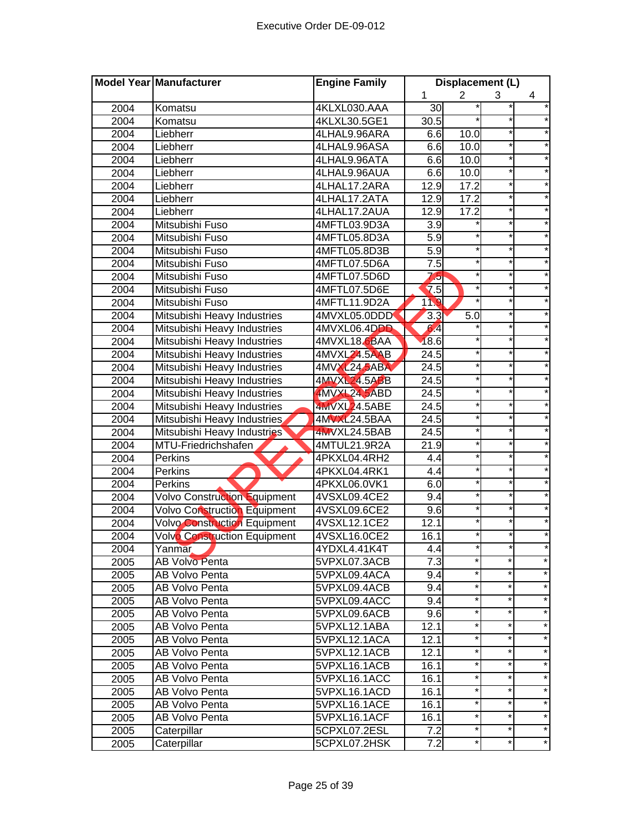|      | Model Year Manufacturer             | <b>Engine Family</b> |                   | Displacement (L) |          |         |
|------|-------------------------------------|----------------------|-------------------|------------------|----------|---------|
|      |                                     |                      | 1                 | $\overline{2}$   | 3        | 4       |
| 2004 | Komatsu                             | 4KLXL030.AAA         | 30                |                  |          |         |
| 2004 | Komatsu                             | 4KLXL30.5GE1         | $\overline{30.5}$ |                  | $\ast$   |         |
| 2004 | Liebherr                            | 4LHAL9.96ARA         | 6.6               | 10.0             |          |         |
| 2004 | Liebherr                            | 4LHAL9.96ASA         | 6.6               | 10.0             | $\star$  |         |
| 2004 | Liebherr                            | 4LHAL9.96ATA         | 6.6               | 10.0             | $\star$  |         |
| 2004 | Liebherr                            | 4LHAL9.96AUA         | 6.6               | 10.0             | $\star$  |         |
| 2004 | Liebherr                            | 4LHAL17.2ARA         | 12.9              | 17.2             | $\star$  |         |
| 2004 | Liebherr                            | 4LHAL17.2ATA         | 12.9              | 17.2             | $\star$  |         |
| 2004 | Liebherr                            | 4LHAL17.2AUA         | 12.9              | 17.2             | *        |         |
| 2004 | Mitsubishi Fuso                     | 4MFTL03.9D3A         | 3.9               |                  | *        |         |
| 2004 | Mitsubishi Fuso                     | 4MFTL05.8D3A         | 5.9               |                  | $\star$  |         |
| 2004 | Mitsubishi Fuso                     | 4MFTL05.8D3B         | 5.9               |                  |          |         |
| 2004 | Mitsubishi Fuso                     | 4MFTL07.5D6A         | 7.5               |                  | *        |         |
| 2004 | Mitsubishi Fuso                     | 4MFTL07.5D6D         | 7,5               |                  |          |         |
| 2004 | Mitsubishi Fuso                     | 4MFTL07.5D6E         | $\overline{7.5}$  |                  |          |         |
| 2004 | Mitsubishi Fuso                     | 4MFTL11.9D2A         | 110               |                  |          |         |
| 2004 | Mitsubishi Heavy Industries         | 4MVXL05.0DDD         | 3.3               | 5.0              |          |         |
| 2004 | Mitsubishi Heavy Industries         | 4MVXL06.4DDD         | 64                |                  |          |         |
| 2004 | Mitsubishi Heavy Industries         | 4MVXL18.6BAA         | 18.6              |                  | $\ast$   |         |
| 2004 | Mitsubishi Heavy Industries         | 4MVXL24.5AAB         | $\overline{24.5}$ |                  | $^\star$ |         |
| 2004 | Mitsubishi Heavy Industries         | 4MVXL24.5ABA         | $\overline{24.5}$ | *                | $\ast$   |         |
| 2004 | Mitsubishi Heavy Industries         | 4MVXL24.5ABB         | $\overline{24.5}$ | $\star$          | $\star$  |         |
| 2004 | Mitsubishi Heavy Industries         | 4MVXL24.5ABD         | 24.5              | $\star$          | $\star$  |         |
| 2004 | Mitsubishi Heavy Industries         | 4MVXL24.5ABE         | $\overline{24.5}$ |                  | $\star$  |         |
| 2004 | Mitsubishi Heavy Industries         | 4MVXL24.5BAA         | $\overline{24.5}$ | *                | *        |         |
| 2004 | Mitsubishi Heavy Industries         | 4MVXL24.5BAB         | 24.5              |                  | $\star$  |         |
| 2004 | MTU-Friedrichshafen                 | 4MTUL21.9R2A         | 21.9              | *                | $\star$  |         |
| 2004 | Perkins                             | 4PKXL04.4RH2         | 4.4               |                  |          |         |
| 2004 | Perkins                             | 4PKXL04.4RK1         | 4.4               |                  | *        |         |
| 2004 | Perkins                             | 4PKXL06.0VK1         | 6.0               |                  |          |         |
| 2004 | <b>Volvo Construction Equipment</b> | 4VSXL09.4CE2         | 9.4               |                  | $\star$  |         |
| 2004 | Volvo Construction Equipment        | 4VSXL09.6CE2         | 9.6               |                  |          |         |
| 2004 | Volvo Construction Equipment        | 4VSXL12.1CE2         | 12.1              |                  |          |         |
| 2004 | Volvo Construction Equipment        | 4VSXL16.0CE2         | 16.1              |                  |          |         |
| 2004 | Yanmar                              | 4YDXL4.41K4T         | 4.4               |                  |          |         |
| 2005 | AB Volvo Penta                      | 5VPXL07.3ACB         | $\overline{7.3}$  | $\star$          | $\star$  | $\star$ |
| 2005 | AB Volvo Penta                      | 5VPXL09.4ACA         | 9.4               | $^\star$         | *        | $\star$ |
| 2005 | AB Volvo Penta                      | 5VPXL09.4ACB         | 9.4               | $^\star$         | *        | $\star$ |
| 2005 | AB Volvo Penta                      | 5VPXL09.4ACC         | 9.4               | $^\star$         | $\star$  | $\star$ |
| 2005 | AB Volvo Penta                      | 5VPXL09.6ACB         | 9.6               | $^\star$         | *        | $\star$ |
| 2005 | AB Volvo Penta                      | 5VPXL12.1ABA         | 12.1              | $\star$          | *        | $\star$ |
| 2005 | AB Volvo Penta                      | 5VPXL12.1ACA         | 12.1              | $^\star$         | *        | $\star$ |
| 2005 | AB Volvo Penta                      | 5VPXL12.1ACB         | 12.1              | $^\star$         | *        | $\star$ |
| 2005 | AB Volvo Penta                      | 5VPXL16.1ACB         | 16.1              | $^\star$         | *        | $\star$ |
| 2005 | AB Volvo Penta                      | 5VPXL16.1ACC         | 16.1              | $^\star$         | *        | $\star$ |
| 2005 | AB Volvo Penta                      | 5VPXL16.1ACD         | 16.1              | $^\star$         | *        | $\star$ |
| 2005 | AB Volvo Penta                      | 5VPXL16.1ACE         | 16.1              | $^\star$         | *        | $\star$ |
| 2005 | AB Volvo Penta                      | 5VPXL16.1ACF         | 16.1              | *                | *        | $\star$ |
| 2005 | Caterpillar                         | 5CPXL07.2ESL         | 7.2               | $^\star$         | *        | $\star$ |
| 2005 | Caterpillar                         | 5CPXL07.2HSK         | 7.2               | $^\star$         | *        | $\star$ |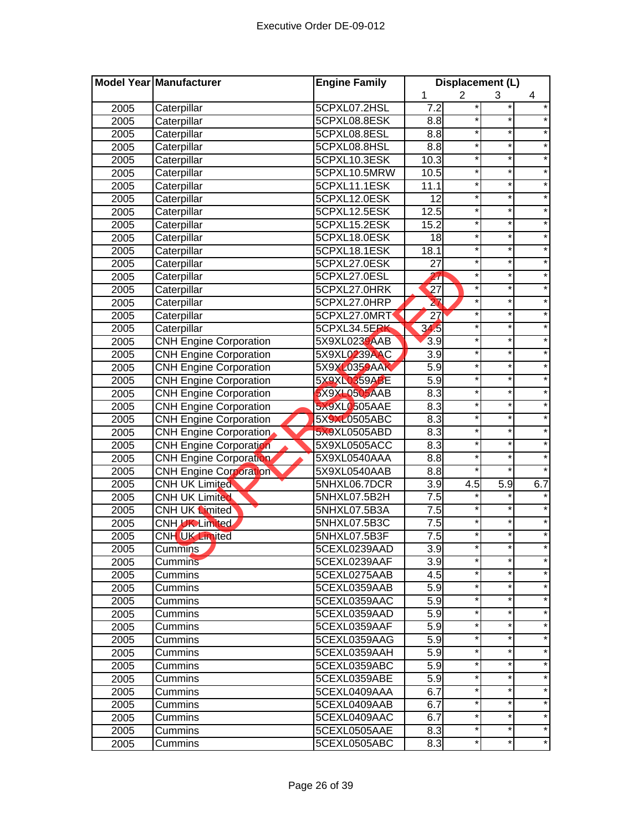|      | Model Year Manufacturer       | <b>Engine Family</b> |                  | Displacement (L) |          |         |
|------|-------------------------------|----------------------|------------------|------------------|----------|---------|
|      |                               |                      | 1                | 2                | 3        | 4       |
| 2005 | Caterpillar                   | 5CPXL07.2HSL         | 7.2              | *                |          | $\star$ |
| 2005 | Caterpillar                   | 5CPXL08.8ESK         | 8.8              | *                | *        |         |
| 2005 | Caterpillar                   | 5CPXL08.8ESL         | 8.8              | $\ast$           | $^\star$ |         |
| 2005 | Caterpillar                   | 5CPXL08.8HSL         | 8.8              | $^\star$         | $^\star$ | $\star$ |
| 2005 | Caterpillar                   | 5CPXL10.3ESK         | 10.3             | $\star$          | $\star$  | $\star$ |
| 2005 | Caterpillar                   | 5CPXL10.5MRW         | 10.5             | *                | $\star$  | $\star$ |
| 2005 | Caterpillar                   | 5CPXL11.1ESK         | 11.1             | $^{\star}$       | $\star$  | $\star$ |
| 2005 | Caterpillar                   | 5CPXL12.0ESK         | $\overline{12}$  | $\star$          | $\star$  | $\star$ |
| 2005 | Caterpillar                   | 5CPXL12.5ESK         | 12.5             | *                | $\star$  | $\star$ |
| 2005 | Caterpillar                   | 5CPXL15.2ESK         | 15.2             | *                | $\star$  | $\star$ |
| 2005 | Caterpillar                   | 5CPXL18.0ESK         | $\overline{18}$  | $\star$          | $\star$  | $\star$ |
| 2005 | Caterpillar                   | 5CPXL18.1ESK         | 18.1             | ×                | $\star$  |         |
| 2005 | Caterpillar                   | 5CPXL27.0ESK         | $\overline{27}$  | $\star$          | $\star$  |         |
| 2005 | Caterpillar                   | 5CPXL27.0ESL         | $\overline{27}$  | ×                | $\star$  |         |
| 2005 | Caterpillar                   | 5CPXL27.0HRK         | 27               | ×                | *        |         |
| 2005 | Caterpillar                   | 5CPXL27.0HRP         | 27               | *                | *        |         |
| 2005 | Caterpillar                   | 5CPXL27.0MRT         | $\overline{27}$  | *                | *        |         |
| 2005 | Caterpillar                   | 5CPXL34.5ERK         | 34.5             | *                | *        | $\star$ |
| 2005 | <b>CNH Engine Corporation</b> | 5X9XL0239AAB         | 3.9              | *                | *        |         |
| 2005 | <b>CNH Engine Corporation</b> | 5X9XL0239AAC         | $\overline{3.9}$ | ×                | $\star$  | $\star$ |
| 2005 | <b>CNH Engine Corporation</b> | 5X9XL0359AAK         | 5.9              | *                | $\star$  | $\star$ |
| 2005 | <b>CNH Engine Corporation</b> | 5X9XL0359ABE         | $\overline{5.9}$ | *                | $\star$  | $\star$ |
| 2005 | <b>CNH Engine Corporation</b> | 5X9XL0505AAB         | 8.3              | $\ast$           | $\star$  |         |
| 2005 | <b>CNH Engine Corporation</b> | 5X9XL0505AAE         | 8.3              | $\ast$           | $\star$  |         |
| 2005 | <b>CNH Engine Corporation</b> | 5X9XL0505ABC         | 8.3              | *                | *        | $\star$ |
| 2005 | <b>CNH Engine Corporation</b> | 5X9XL0505ABD         | 8.3              | *                | *        |         |
| 2005 | <b>CNH Engine Corporation</b> | 5X9XL0505ACC         | 8.3              | $\star$          | *        | $\star$ |
| 2005 | <b>CNH Engine Corporation</b> | 5X9XL0540AAA         | 8.8              | $\ast$           | *        |         |
| 2005 | <b>CNH Engine Corporation</b> | 5X9XL0540AAB         | 8.8              | $\star$          | *        |         |
| 2005 | CNH UK Limited                | 5NHXL06.7DCR         | $\overline{3.9}$ | 4.5              | 5.9      | 6.7     |
| 2005 | <b>CNH UK Limited</b>         | 5NHXL07.5B2H         | 7.5              |                  |          |         |
| 2005 | CNH UK Limited                | 5NHXL07.5B3A         | 7.5              | ×                |          |         |
| 2005 | CNH UK Limited                | 5NHXL07.5B3C         | 7.5              | $\ast$           |          |         |
| 2005 | CNH UK Limited                | 5NHXL07.5B3F         | 7.5              | *                |          |         |
| 2005 | Cummins                       | 5CEXL0239AAD         | 3.9              |                  |          |         |
| 2005 | <b>Cummins</b>                | 5CEXL0239AAF         | 3.9              | *                | *        |         |
| 2005 | Cummins                       | 5CEXL0275AAB         | 4.5              | *                | *        |         |
| 2005 | Cummins                       | 5CEXL0359AAB         | 5.9              | *                | *        |         |
| 2005 | Cummins                       | 5CEXL0359AAC         | 5.9              | *                | *        | $\star$ |
| 2005 | Cummins                       | 5CEXL0359AAD         | 5.9              | *                | *        |         |
| 2005 | Cummins                       | 5CEXL0359AAF         | 5.9              | *                | *        | $\star$ |
| 2005 | Cummins                       | 5CEXL0359AAG         | 5.9              | *                | *        | $\star$ |
| 2005 | Cummins                       | 5CEXL0359AAH         | 5.9              | *                | *        | $\star$ |
| 2005 | Cummins                       | 5CEXL0359ABC         | 5.9              | *                | *        |         |
| 2005 | Cummins                       | 5CEXL0359ABE         | 5.9              | $\star$          | *        |         |
| 2005 | Cummins                       | 5CEXL0409AAA         | 6.7              | *                | *        |         |
| 2005 | Cummins                       | 5CEXL0409AAB         | 6.7              | *                |          |         |
| 2005 | Cummins                       | 5CEXL0409AAC         | 6.7              | *                | *        |         |
| 2005 | Cummins                       | 5CEXL0505AAE         | 8.3              | *                | *        |         |
| 2005 | Cummins                       | 5CEXL0505ABC         | 8.3              | *                | *        |         |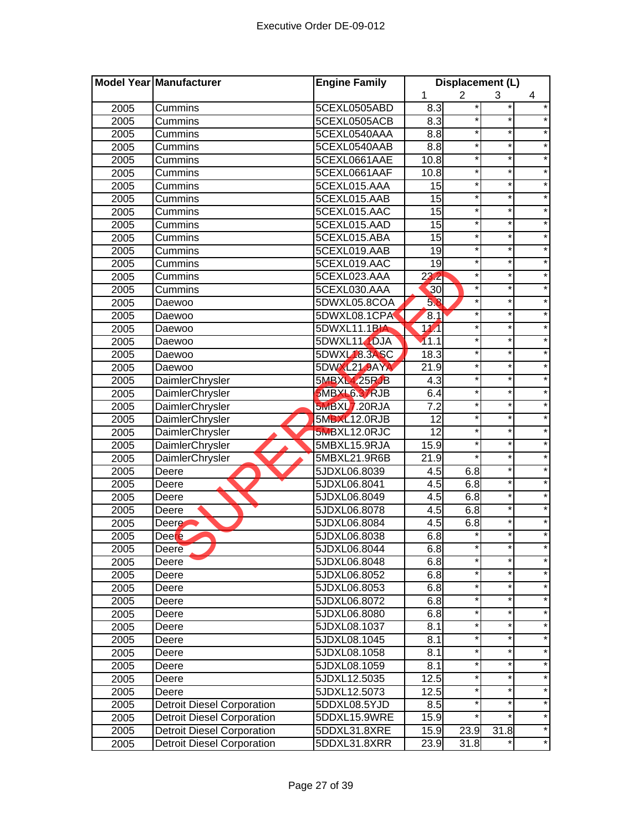|      | Model Year Manufacturer           | <b>Engine Family</b> |                   | Displacement (L) |          |         |
|------|-----------------------------------|----------------------|-------------------|------------------|----------|---------|
|      |                                   |                      | 1                 | $\overline{2}$   | 3        | 4       |
| 2005 | Cummins                           | 5CEXL0505ABD         | 8.3               |                  |          |         |
| 2005 | Cummins                           | 5CEXL0505ACB         | 8.3               |                  |          |         |
| 2005 | Cummins                           | 5CEXL0540AAA         | 8.8               | *                | *        |         |
| 2005 | Cummins                           | 5CEXL0540AAB         | 8.8               | $\ast$           | *        |         |
| 2005 | Cummins                           | 5CEXL0661AAE         | 10.8              | *                | $^\star$ | $\star$ |
| 2005 | Cummins                           | 5CEXL0661AAF         | 10.8              | *                | $\star$  | $\star$ |
| 2005 | Cummins                           | 5CEXL015.AAA         | 15                | *                | $\star$  | $\star$ |
| 2005 | Cummins                           | 5CEXL015.AAB         | 15                | $\star$          | $\star$  | $\star$ |
| 2005 | Cummins                           | 5CEXL015.AAC         | 15                | *                | $\star$  | $\star$ |
| 2005 | Cummins                           | 5CEXL015.AAD         | $\overline{15}$   | *                | $\star$  | $\star$ |
| 2005 | Cummins                           | 5CEXL015.ABA         | $\overline{15}$   | *                | *        | $\star$ |
| 2005 | Cummins                           | 5CEXL019.AAB         | $\overline{19}$   | $\ast$           | $\star$  | $\star$ |
| 2005 | Cummins                           | 5CEXL019.AAC         | $\overline{19}$   | $\ast$           | $\star$  |         |
| 2005 | Cummins                           | 5CEXL023.AAA         | 23.2              | $\ast$           | *        |         |
| 2005 | Cummins                           | 5CEXL030.AAA         | 30                | ×                | $\star$  |         |
| 2005 | Daewoo                            | 5DWXL05.8COA         | 58                | ×                | *        |         |
| 2005 | Daewoo                            | 5DWXL08.1CPA         | 8.1               | $\ast$           | *        |         |
| 2005 | Daewoo                            | 5DWXL11.1BIA         | $\overline{17}$   | *                | *        |         |
| 2005 | Daewoo                            | 5DWXL11 DJA          | 11.1              | *                | *        | $\star$ |
| 2005 | Daewoo                            | 5DWXL18.3ASC         | 18.3              | *                | *        |         |
| 2005 | Daewoo                            | 5DWXL21.9AYA         | $\overline{21.9}$ | $\star$          | $\star$  | $\star$ |
| 2005 | DaimlerChrysler                   | 5MBXL4.25RJB         | 4.3               | *                | $\star$  | $\star$ |
| 2005 | DaimlerChrysler                   | 5MBXL6.37RJB         | 6.4               | *                | *        | $\star$ |
| 2005 | <b>DaimlerChrysler</b>            | 5MBXL7.20RJA         | $\overline{7.2}$  | $\ast$           | $\star$  |         |
| 2005 | DaimlerChrysler                   | 5MBXL12.0RJB         | $\overline{12}$   | $\star$          | $\star$  |         |
| 2005 | DaimlerChrysler                   | 5MBXL12.0RJC         | $\overline{12}$   | $\star$          | *        |         |
| 2005 | <b>DaimlerChrysler</b>            | 5MBXL15.9RJA         | 15.9              | $\star$          | *        |         |
| 2005 | DaimlerChrysler                   | 5MBXL21.9R6B         | 21.9              | $\star$          | *        | $\star$ |
| 2005 | Deere                             | 5JDXL06.8039         | 4.5               | 6.8              |          |         |
| 2005 | Deere                             | 5JDXL06.8041         | 4.5               | 6.8              | *        |         |
| 2005 | Deere                             | 5JDXL06.8049         | 4.5               | 6.8              | *        |         |
| 2005 | Deere                             | 5JDXL06.8078         | 4.5               | 6.8              | $\star$  | $\star$ |
| 2005 | Deere <b>A</b>                    | 5JDXL06.8084         | 4.5               | 6.8              | *        |         |
| 2005 | Deere                             | 5JDXL06.8038         | 6.8               |                  |          |         |
| 2005 | Deere                             | 5JDXL06.8044         | 6.8               |                  |          |         |
| 2005 | Deere                             | 5JDXL06.8048         | 6.8               | *                | *        | $\star$ |
| 2005 | Deere                             | 5JDXL06.8052         | 6.8               | *                | *        |         |
| 2005 | Deere                             | 5JDXL06.8053         | 6.8               | *                | $^\star$ | $\star$ |
| 2005 | Deere                             | 5JDXL06.8072         | 6.8               | *                | $\star$  | $\star$ |
| 2005 | Deere                             | 5JDXL06.8080         | 6.8               | *                | $\star$  | $\star$ |
| 2005 | Deere                             | 5JDXL08.1037         | 8.1               | $^{\star}$       | $\star$  | $\star$ |
| 2005 | Deere                             | 5JDXL08.1045         | 8.1               | $\ast$           | $\star$  | $\star$ |
| 2005 | Deere                             | 5JDXL08.1058         | 8.1               | *                | *        | $\star$ |
| 2005 | Deere                             | 5JDXL08.1059         | 8.1               | *                | *        | $\star$ |
| 2005 | Deere                             | 5JDXL12.5035         | 12.5              | $\star$          | *        | $\star$ |
| 2005 | Deere                             | 5JDXL12.5073         | 12.5              | $\star$          | *        | $\star$ |
| 2005 | <b>Detroit Diesel Corporation</b> | 5DDXL08.5YJD         | 8.5               | $\star$          | *        | $\star$ |
| 2005 | <b>Detroit Diesel Corporation</b> | 5DDXL15.9WRE         | 15.9              | $\star$          | *        | $\star$ |
| 2005 | <b>Detroit Diesel Corporation</b> | 5DDXL31.8XRE         | 15.9              | 23.9             | 31.8     |         |
| 2005 | <b>Detroit Diesel Corporation</b> | 5DDXL31.8XRR         | 23.9              | 31.8             |          |         |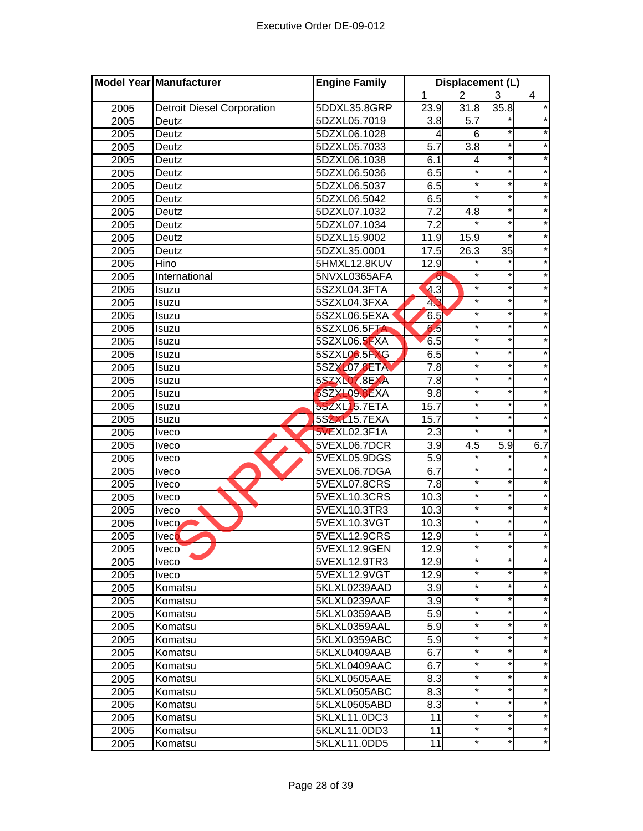|      | Model Year Manufacturer           | <b>Engine Family</b> |                  | Displacement (L) |                 |         |
|------|-----------------------------------|----------------------|------------------|------------------|-----------------|---------|
|      |                                   |                      | 1                | $\overline{2}$   | 3               | 4       |
| 2005 | <b>Detroit Diesel Corporation</b> | 5DDXL35.8GRP         | 23.9             | 31.8             | 35.8            | $\star$ |
| 2005 | Deutz                             | 5DZXL05.7019         | 3.8              | 5.7              | *               |         |
| 2005 | Deutz                             | 5DZXL06.1028         | 4                | 6                | $\star$         |         |
| 2005 | Deutz                             | 5DZXL05.7033         | $\overline{5.7}$ | $\overline{3.8}$ | *               | $\star$ |
| 2005 | Deutz                             | 5DZXL06.1038         | 6.1              | 4                | $\ast$          | $\star$ |
| 2005 | Deutz                             | 5DZXL06.5036         | 6.5              | $\star$          | $\star$         | $\star$ |
| 2005 | Deutz                             | 5DZXL06.5037         | 6.5              | $\star$          | $\star$         | $\star$ |
| 2005 | Deutz                             | 5DZXL06.5042         | 6.5              | $\star$          | $\star$         | $\star$ |
| 2005 | Deutz                             | 5DZXL07.1032         | 7.2              | 4.8              | *               | $\star$ |
| 2005 | Deutz                             | 5DZXL07.1034         | $\overline{7.2}$ |                  | *               | $\star$ |
| 2005 | Deutz                             | 5DZXL15.9002         | 11.9             | 15.9             | $\star$         | $\star$ |
| 2005 | Deutz                             | 5DZXL35.0001         | 17.5             | 26.3             | $\overline{35}$ | $\star$ |
| 2005 | Hino                              | 5HMXL12.8KUV         | 12.9             |                  | ¥               | $\star$ |
| 2005 | International                     | 5NVXL0365AFA         | ю                |                  | *               |         |
| 2005 | Isuzu                             | 5SZXL04.3FTA         | 4.3              | $\star$          | *               |         |
| 2005 | Isuzu                             | 5SZXL04.3FXA         | 43               | $^\star$         | *               | *       |
| 2005 | Isuzu                             | 5SZXL06.5EXA         | 6.5              | $^\star$         | *               | *       |
| 2005 | Isuzu                             | 5SZXL06.5FTA         | 6.5              | $^\star$         | *               | $\star$ |
| 2005 | Isuzu                             | 5SZXL06.5FXA         | 6.5              | $^\star$         | *               |         |
| 2005 | Isuzu                             | 5SZXL06.5FXG         | 6.5              | $\star$          | *               | $\star$ |
| 2005 | Isuzu                             | 5SZXL07.8ETA         | 7.8              | $\star$          | $\star$         | $\star$ |
| 2005 | Isuzu                             | 5SZXLO7.8EXA         | 7.8              | $\star$          | $\star$         | $\star$ |
| 2005 | Isuzu                             | 5SZXL09.8EXA         | 9.8              | $\star$          | $\star$         | $\star$ |
| 2005 | Isuzu                             | 5SZXL15.7ETA         | 15.7             | $\star$          | $\star$         | $\star$ |
| 2005 | Isuzu                             | 5SZXL15.7EXA         | 15.7             | $\star$          | *               | $\star$ |
| 2005 | <b>Iveco</b>                      | 5VEXL02.3F1A         | 2.3              | $\star$          | *.              |         |
| 2005 | <b>Iveco</b>                      | 5VEXL06.7DCR         | $\overline{3.9}$ | 4.5              | 5.9             | 6.7     |
| 2005 | <b>Iveco</b>                      | 5VEXL05.9DGS         | 5.9              |                  |                 |         |
| 2005 | Iveco                             | 5VEXL06.7DGA         | 6.7              | $^{\star}$       | *               |         |
| 2005 | <b>Iveco</b>                      | 5VEXL07.8CRS         | 7.8              | $\star$          | *               |         |
| 2005 | <b>Iveco</b>                      | 5VEXL10.3CRS         | 10.3             | $\star$          | $\star$         |         |
| 2005 | Iveco                             | 5VEXL10.3TR3         | 10.3             | $\star$          | *               |         |
| 2005 | Iveco                             | 5VEXL10.3VGT         | 10.3             | $\star$          | $\star$         | $\star$ |
| 2005 | <b>Iveco</b>                      | 5VEXL12.9CRS         | 12.9             | *                | *               | $\star$ |
| 2005 | <b>Iveco</b>                      | 5VEXL12.9GEN         | 12.9             | *                |                 |         |
| 2005 | <b>Iveco</b>                      | 5VEXL12.9TR3         | 12.9             | $\star$          | $\star$         | $\star$ |
| 2005 | <b>Iveco</b>                      | 5VEXL12.9VGT         | 12.9             | $^\star$         | *               | $\star$ |
| 2005 | Komatsu                           | 5KLXL0239AAD         | 3.9              | $\star$          | *               | $\star$ |
| 2005 | Komatsu                           | 5KLXL0239AAF         | 3.9              | $^\star$         | *               | $\star$ |
| 2005 | Komatsu                           | 5KLXL0359AAB         | 5.9              | $^\star$         | *               | $\star$ |
| 2005 | Komatsu                           | 5KLXL0359AAL         | 5.9              | $\star$          | *               | $\star$ |
| 2005 | Komatsu                           | 5KLXL0359ABC         | 5.9              | $^\star$         | *               | $\star$ |
| 2005 | Komatsu                           | 5KLXL0409AAB         | 6.7              | $^\star$         | *               | $\star$ |
| 2005 | Komatsu                           | 5KLXL0409AAC         | 6.7              | $^\star$         | *               | $\star$ |
| 2005 | Komatsu                           | 5KLXL0505AAE         | 8.3              | $^{\star}$       | *               | $\star$ |
| 2005 | Komatsu                           | 5KLXL0505ABC         | 8.3              | $^\star$         | *               | $\star$ |
| 2005 | Komatsu                           | 5KLXL0505ABD         | 8.3              | $^\star$         | *               | $\star$ |
| 2005 | Komatsu                           | 5KLXL11.0DC3         | 11               | $^\star$         | *               | $\star$ |
| 2005 | Komatsu                           | 5KLXL11.0DD3         | 11               | $^\star$         | *               | $\star$ |
| 2005 | Komatsu                           | 5KLXL11.0DD5         | 11               | $^\star$         | *               | $\star$ |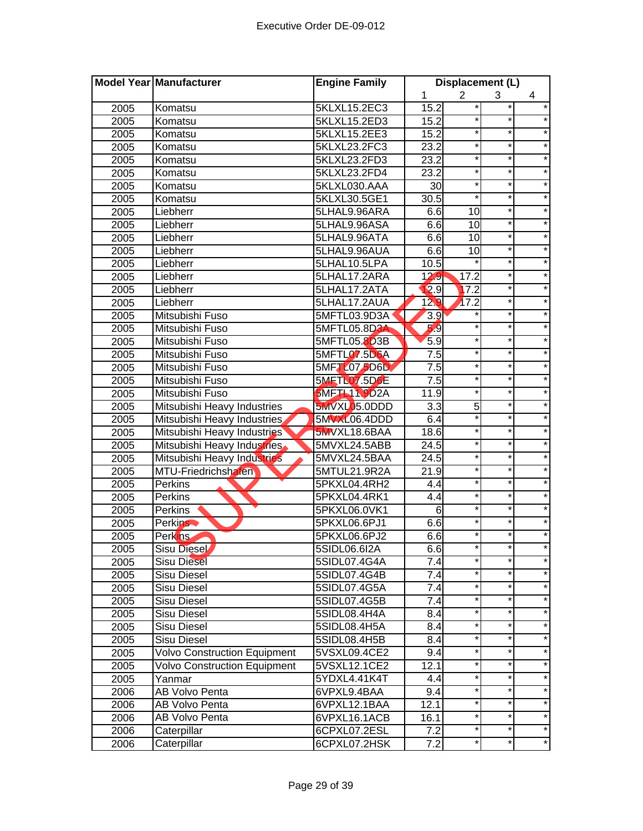| $\overline{2}$<br>1<br>4<br>3<br>5KLXL15.2EC3<br>2005<br>15.2<br>Komatsu<br>2005<br>5KLXL15.2ED3<br>15.2<br>Komatsu<br>15.2<br>*<br>5KLXL15.2EE3<br>2005<br>*<br>Komatsu<br>5KLXL23.2FC3<br>23.2<br>*<br>2005<br>*<br>Komatsu<br>5KLXL23.2FD3<br>23.2<br>*<br>$^\star$<br>$\star$<br>2005<br>Komatsu<br>$\star$<br>$\overline{2}3.2$<br>*<br>$\star$<br>2005<br>5KLXL23.2FD4<br>Komatsu<br>$\star$<br>*<br>$\star$<br>30<br>2005<br>5KLXL030.AAA<br>Komatsu<br>$\star$<br>$\star$<br>$\star$<br>30.5<br>2005<br>5KLXL30.5GE1<br>Komatsu<br>$\star$<br>$\star$<br>6.6<br>10<br>2005<br>Liebherr<br>5LHAL9.96ARA<br>$\star$<br>$\star$<br>5LHAL9.96ASA<br>6.6<br>10<br>2005<br>Liebherr<br>6.6<br>*<br>$\star$<br>5LHAL9.96ATA<br>10<br>2005<br>Liebherr<br>*<br>$\star$<br>2005<br>5LHAL9.96AUA<br>6.6<br>10<br>Liebherr<br>10.5<br>5LHAL10.5LPA<br>2005<br>Liebherr<br>5LHAL17.2ARA<br>12.9<br>17.2<br>*<br>2005<br>Liebherr<br>2.9<br>17.2<br>$\star$<br>5LHAL17.2ATA<br>2005<br>Liebherr<br>129<br>17.2<br>2005<br>Liebherr<br>5LHAL17.2AUA<br>3.9<br>Mitsubishi Fuso<br>5MFTL03.9D3A<br>2005<br>5.9<br>Mitsubishi Fuso<br>5MFTL05.8D3A<br>*<br>2005<br>5.9<br>Mitsubishi Fuso<br>5MFTL05.8D3B<br>*<br>*<br>$\star$<br>2005<br>5MFTL07.5D6A<br>$\overline{7.5}$<br>2005<br>Mitsubishi Fuso<br>$\star$<br>*<br>$\overline{7.5}$<br>*<br>$\star$<br>5MFT 207 5D6D<br>$\star$<br>2005<br>Mitsubishi Fuso<br><b>5MFTL07.5D6E</b><br>7.5<br>$\star$<br>$\star$<br>Mitsubishi Fuso<br>$\star$<br>2005<br>$\star$<br><b>5MFTL11.9D2A</b><br>11.9<br>*<br>$\star$<br>Mitsubishi Fuso<br>2005<br>$\overline{3.3}$<br>$\star$<br>Mitsubishi Heavy Industries<br>5MVXL05.0DDD<br>5<br>2005<br>$\star$<br>5MVXL06.4DDD<br>6.4<br>$\star$<br>$\star$<br>Mitsubishi Heavy Industries<br>2005<br>Mitsubishi Heavy Industries<br>*<br>*<br>2005<br>5MVXL18.6BAA<br>18.6<br>*<br>*<br>$\star$<br>Mitsubishi Heavy Industries<br>24.5<br>2005<br>5MVXL24.5ABB<br>*<br>Mitsubishi Heavy Industries<br>24.5<br>$\star$<br>$\star$<br>2005<br>5MVXL24.5BAA<br>5MTUL21.9R2A<br>×<br>*<br>2005<br>MTU-Friedrichshafen<br>21.9<br>$\star$<br>$^\star$<br>2005<br>Perkins<br>5PKXL04.4RH2<br>4.4<br>$\star$<br>$\star$<br>2005<br>Perkins<br>5PKXL04.4RK1<br>4.4<br>*<br>$\star$<br>$6\phantom{1}6$<br>2005<br>5PKXL06.0VK1<br>Perkins<br>6.6<br>$\ast$<br>2005<br>Perkins<br>5PKXL06.6PJ1<br>6.6<br>2005<br>Perkins<br>5PKXL06.6PJ2<br>2005<br>Sisu Diesel<br>5SIDL06.6I2A<br>6.6<br>*<br>$\star$<br>*<br><b>Sisu Diesel</b><br>5SIDL07.4G4A<br>7.4<br>2005<br>7.4<br>*<br>*<br>2005<br>Sisu Diesel<br>5SIDL07.4G4B<br>*<br>$^\star$<br>$\star$<br>Sisu Diesel<br>5SIDL07.4G5A<br>7.4<br>2005<br>$\star$<br>7.4<br>*<br>$\star$<br><b>Sisu Diesel</b><br>5SIDL07.4G5B<br>2005<br>*<br>$\star$<br>$\star$<br>8.4<br>5SIDL08.4H4A<br>2005<br>Sisu Diesel<br>$\star$<br>$^{\ast}$<br>$\star$<br>2005<br><b>Sisu Diesel</b><br>5SIDL08.4H5A<br>8.4<br>$\star$<br>$\star$<br><b>Sisu Diesel</b><br>8.4<br>$\star$<br>2005<br>5SIDL08.4H5B<br><b>Volvo Construction Equipment</b><br>9.4<br>*<br>*<br>$\star$<br>5VSXL09.4CE2<br>2005<br>*<br>$\star$<br><b>Volvo Construction Equipment</b><br>12.1<br>*<br>2005<br>5VSXL12.1CE2<br>*<br>$\star$<br>*<br>2005<br>5YDXL4.41K4T<br>4.4<br>Yanmar<br>$\star$<br><b>AB Volvo Penta</b><br>$\star$<br>*<br>2006<br>6VPXL9.4BAA<br>9.4<br>$\star$<br>*<br>*<br>2006<br>AB Volvo Penta<br>6VPXL12.1BAA<br>12.1<br>*<br>$\star$<br>*<br>AB Volvo Penta<br>2006<br>6VPXL16.1ACB<br>16.1<br>*<br>$\star$<br>Caterpillar<br>2006<br>6CPXL07.2ESL<br>7.2<br>$\star$<br>*<br>Caterpillar<br>7.2<br>2006<br>6CPXL07.2HSK | Model Year Manufacturer | <b>Engine Family</b> | Displacement (L) |  |  |
|---------------------------------------------------------------------------------------------------------------------------------------------------------------------------------------------------------------------------------------------------------------------------------------------------------------------------------------------------------------------------------------------------------------------------------------------------------------------------------------------------------------------------------------------------------------------------------------------------------------------------------------------------------------------------------------------------------------------------------------------------------------------------------------------------------------------------------------------------------------------------------------------------------------------------------------------------------------------------------------------------------------------------------------------------------------------------------------------------------------------------------------------------------------------------------------------------------------------------------------------------------------------------------------------------------------------------------------------------------------------------------------------------------------------------------------------------------------------------------------------------------------------------------------------------------------------------------------------------------------------------------------------------------------------------------------------------------------------------------------------------------------------------------------------------------------------------------------------------------------------------------------------------------------------------------------------------------------------------------------------------------------------------------------------------------------------------------------------------------------------------------------------------------------------------------------------------------------------------------------------------------------------------------------------------------------------------------------------------------------------------------------------------------------------------------------------------------------------------------------------------------------------------------------------------------------------------------------------------------------------------------------------------------------------------------------------------------------------------------------------------------------------------------------------------------------------------------------------------------------------------------------------------------------------------------------------------------------------------------------------------------------------------------------------------------------------------------------------------------------------------------------------------------------------------------------------------------------------------------------------------------------------------------------------------------------------------------------------------------------------------------------------------------------------------------------------------------------------------------------------------------------------------------------------------------------------------------------------------------------------------------|-------------------------|----------------------|------------------|--|--|
|                                                                                                                                                                                                                                                                                                                                                                                                                                                                                                                                                                                                                                                                                                                                                                                                                                                                                                                                                                                                                                                                                                                                                                                                                                                                                                                                                                                                                                                                                                                                                                                                                                                                                                                                                                                                                                                                                                                                                                                                                                                                                                                                                                                                                                                                                                                                                                                                                                                                                                                                                                                                                                                                                                                                                                                                                                                                                                                                                                                                                                                                                                                                                                                                                                                                                                                                                                                                                                                                                                                                                                                                                                 |                         |                      |                  |  |  |
|                                                                                                                                                                                                                                                                                                                                                                                                                                                                                                                                                                                                                                                                                                                                                                                                                                                                                                                                                                                                                                                                                                                                                                                                                                                                                                                                                                                                                                                                                                                                                                                                                                                                                                                                                                                                                                                                                                                                                                                                                                                                                                                                                                                                                                                                                                                                                                                                                                                                                                                                                                                                                                                                                                                                                                                                                                                                                                                                                                                                                                                                                                                                                                                                                                                                                                                                                                                                                                                                                                                                                                                                                                 |                         |                      |                  |  |  |
|                                                                                                                                                                                                                                                                                                                                                                                                                                                                                                                                                                                                                                                                                                                                                                                                                                                                                                                                                                                                                                                                                                                                                                                                                                                                                                                                                                                                                                                                                                                                                                                                                                                                                                                                                                                                                                                                                                                                                                                                                                                                                                                                                                                                                                                                                                                                                                                                                                                                                                                                                                                                                                                                                                                                                                                                                                                                                                                                                                                                                                                                                                                                                                                                                                                                                                                                                                                                                                                                                                                                                                                                                                 |                         |                      |                  |  |  |
|                                                                                                                                                                                                                                                                                                                                                                                                                                                                                                                                                                                                                                                                                                                                                                                                                                                                                                                                                                                                                                                                                                                                                                                                                                                                                                                                                                                                                                                                                                                                                                                                                                                                                                                                                                                                                                                                                                                                                                                                                                                                                                                                                                                                                                                                                                                                                                                                                                                                                                                                                                                                                                                                                                                                                                                                                                                                                                                                                                                                                                                                                                                                                                                                                                                                                                                                                                                                                                                                                                                                                                                                                                 |                         |                      |                  |  |  |
|                                                                                                                                                                                                                                                                                                                                                                                                                                                                                                                                                                                                                                                                                                                                                                                                                                                                                                                                                                                                                                                                                                                                                                                                                                                                                                                                                                                                                                                                                                                                                                                                                                                                                                                                                                                                                                                                                                                                                                                                                                                                                                                                                                                                                                                                                                                                                                                                                                                                                                                                                                                                                                                                                                                                                                                                                                                                                                                                                                                                                                                                                                                                                                                                                                                                                                                                                                                                                                                                                                                                                                                                                                 |                         |                      |                  |  |  |
|                                                                                                                                                                                                                                                                                                                                                                                                                                                                                                                                                                                                                                                                                                                                                                                                                                                                                                                                                                                                                                                                                                                                                                                                                                                                                                                                                                                                                                                                                                                                                                                                                                                                                                                                                                                                                                                                                                                                                                                                                                                                                                                                                                                                                                                                                                                                                                                                                                                                                                                                                                                                                                                                                                                                                                                                                                                                                                                                                                                                                                                                                                                                                                                                                                                                                                                                                                                                                                                                                                                                                                                                                                 |                         |                      |                  |  |  |
|                                                                                                                                                                                                                                                                                                                                                                                                                                                                                                                                                                                                                                                                                                                                                                                                                                                                                                                                                                                                                                                                                                                                                                                                                                                                                                                                                                                                                                                                                                                                                                                                                                                                                                                                                                                                                                                                                                                                                                                                                                                                                                                                                                                                                                                                                                                                                                                                                                                                                                                                                                                                                                                                                                                                                                                                                                                                                                                                                                                                                                                                                                                                                                                                                                                                                                                                                                                                                                                                                                                                                                                                                                 |                         |                      |                  |  |  |
|                                                                                                                                                                                                                                                                                                                                                                                                                                                                                                                                                                                                                                                                                                                                                                                                                                                                                                                                                                                                                                                                                                                                                                                                                                                                                                                                                                                                                                                                                                                                                                                                                                                                                                                                                                                                                                                                                                                                                                                                                                                                                                                                                                                                                                                                                                                                                                                                                                                                                                                                                                                                                                                                                                                                                                                                                                                                                                                                                                                                                                                                                                                                                                                                                                                                                                                                                                                                                                                                                                                                                                                                                                 |                         |                      |                  |  |  |
|                                                                                                                                                                                                                                                                                                                                                                                                                                                                                                                                                                                                                                                                                                                                                                                                                                                                                                                                                                                                                                                                                                                                                                                                                                                                                                                                                                                                                                                                                                                                                                                                                                                                                                                                                                                                                                                                                                                                                                                                                                                                                                                                                                                                                                                                                                                                                                                                                                                                                                                                                                                                                                                                                                                                                                                                                                                                                                                                                                                                                                                                                                                                                                                                                                                                                                                                                                                                                                                                                                                                                                                                                                 |                         |                      |                  |  |  |
|                                                                                                                                                                                                                                                                                                                                                                                                                                                                                                                                                                                                                                                                                                                                                                                                                                                                                                                                                                                                                                                                                                                                                                                                                                                                                                                                                                                                                                                                                                                                                                                                                                                                                                                                                                                                                                                                                                                                                                                                                                                                                                                                                                                                                                                                                                                                                                                                                                                                                                                                                                                                                                                                                                                                                                                                                                                                                                                                                                                                                                                                                                                                                                                                                                                                                                                                                                                                                                                                                                                                                                                                                                 |                         |                      |                  |  |  |
|                                                                                                                                                                                                                                                                                                                                                                                                                                                                                                                                                                                                                                                                                                                                                                                                                                                                                                                                                                                                                                                                                                                                                                                                                                                                                                                                                                                                                                                                                                                                                                                                                                                                                                                                                                                                                                                                                                                                                                                                                                                                                                                                                                                                                                                                                                                                                                                                                                                                                                                                                                                                                                                                                                                                                                                                                                                                                                                                                                                                                                                                                                                                                                                                                                                                                                                                                                                                                                                                                                                                                                                                                                 |                         |                      |                  |  |  |
|                                                                                                                                                                                                                                                                                                                                                                                                                                                                                                                                                                                                                                                                                                                                                                                                                                                                                                                                                                                                                                                                                                                                                                                                                                                                                                                                                                                                                                                                                                                                                                                                                                                                                                                                                                                                                                                                                                                                                                                                                                                                                                                                                                                                                                                                                                                                                                                                                                                                                                                                                                                                                                                                                                                                                                                                                                                                                                                                                                                                                                                                                                                                                                                                                                                                                                                                                                                                                                                                                                                                                                                                                                 |                         |                      |                  |  |  |
|                                                                                                                                                                                                                                                                                                                                                                                                                                                                                                                                                                                                                                                                                                                                                                                                                                                                                                                                                                                                                                                                                                                                                                                                                                                                                                                                                                                                                                                                                                                                                                                                                                                                                                                                                                                                                                                                                                                                                                                                                                                                                                                                                                                                                                                                                                                                                                                                                                                                                                                                                                                                                                                                                                                                                                                                                                                                                                                                                                                                                                                                                                                                                                                                                                                                                                                                                                                                                                                                                                                                                                                                                                 |                         |                      |                  |  |  |
|                                                                                                                                                                                                                                                                                                                                                                                                                                                                                                                                                                                                                                                                                                                                                                                                                                                                                                                                                                                                                                                                                                                                                                                                                                                                                                                                                                                                                                                                                                                                                                                                                                                                                                                                                                                                                                                                                                                                                                                                                                                                                                                                                                                                                                                                                                                                                                                                                                                                                                                                                                                                                                                                                                                                                                                                                                                                                                                                                                                                                                                                                                                                                                                                                                                                                                                                                                                                                                                                                                                                                                                                                                 |                         |                      |                  |  |  |
|                                                                                                                                                                                                                                                                                                                                                                                                                                                                                                                                                                                                                                                                                                                                                                                                                                                                                                                                                                                                                                                                                                                                                                                                                                                                                                                                                                                                                                                                                                                                                                                                                                                                                                                                                                                                                                                                                                                                                                                                                                                                                                                                                                                                                                                                                                                                                                                                                                                                                                                                                                                                                                                                                                                                                                                                                                                                                                                                                                                                                                                                                                                                                                                                                                                                                                                                                                                                                                                                                                                                                                                                                                 |                         |                      |                  |  |  |
|                                                                                                                                                                                                                                                                                                                                                                                                                                                                                                                                                                                                                                                                                                                                                                                                                                                                                                                                                                                                                                                                                                                                                                                                                                                                                                                                                                                                                                                                                                                                                                                                                                                                                                                                                                                                                                                                                                                                                                                                                                                                                                                                                                                                                                                                                                                                                                                                                                                                                                                                                                                                                                                                                                                                                                                                                                                                                                                                                                                                                                                                                                                                                                                                                                                                                                                                                                                                                                                                                                                                                                                                                                 |                         |                      |                  |  |  |
|                                                                                                                                                                                                                                                                                                                                                                                                                                                                                                                                                                                                                                                                                                                                                                                                                                                                                                                                                                                                                                                                                                                                                                                                                                                                                                                                                                                                                                                                                                                                                                                                                                                                                                                                                                                                                                                                                                                                                                                                                                                                                                                                                                                                                                                                                                                                                                                                                                                                                                                                                                                                                                                                                                                                                                                                                                                                                                                                                                                                                                                                                                                                                                                                                                                                                                                                                                                                                                                                                                                                                                                                                                 |                         |                      |                  |  |  |
|                                                                                                                                                                                                                                                                                                                                                                                                                                                                                                                                                                                                                                                                                                                                                                                                                                                                                                                                                                                                                                                                                                                                                                                                                                                                                                                                                                                                                                                                                                                                                                                                                                                                                                                                                                                                                                                                                                                                                                                                                                                                                                                                                                                                                                                                                                                                                                                                                                                                                                                                                                                                                                                                                                                                                                                                                                                                                                                                                                                                                                                                                                                                                                                                                                                                                                                                                                                                                                                                                                                                                                                                                                 |                         |                      |                  |  |  |
|                                                                                                                                                                                                                                                                                                                                                                                                                                                                                                                                                                                                                                                                                                                                                                                                                                                                                                                                                                                                                                                                                                                                                                                                                                                                                                                                                                                                                                                                                                                                                                                                                                                                                                                                                                                                                                                                                                                                                                                                                                                                                                                                                                                                                                                                                                                                                                                                                                                                                                                                                                                                                                                                                                                                                                                                                                                                                                                                                                                                                                                                                                                                                                                                                                                                                                                                                                                                                                                                                                                                                                                                                                 |                         |                      |                  |  |  |
|                                                                                                                                                                                                                                                                                                                                                                                                                                                                                                                                                                                                                                                                                                                                                                                                                                                                                                                                                                                                                                                                                                                                                                                                                                                                                                                                                                                                                                                                                                                                                                                                                                                                                                                                                                                                                                                                                                                                                                                                                                                                                                                                                                                                                                                                                                                                                                                                                                                                                                                                                                                                                                                                                                                                                                                                                                                                                                                                                                                                                                                                                                                                                                                                                                                                                                                                                                                                                                                                                                                                                                                                                                 |                         |                      |                  |  |  |
|                                                                                                                                                                                                                                                                                                                                                                                                                                                                                                                                                                                                                                                                                                                                                                                                                                                                                                                                                                                                                                                                                                                                                                                                                                                                                                                                                                                                                                                                                                                                                                                                                                                                                                                                                                                                                                                                                                                                                                                                                                                                                                                                                                                                                                                                                                                                                                                                                                                                                                                                                                                                                                                                                                                                                                                                                                                                                                                                                                                                                                                                                                                                                                                                                                                                                                                                                                                                                                                                                                                                                                                                                                 |                         |                      |                  |  |  |
|                                                                                                                                                                                                                                                                                                                                                                                                                                                                                                                                                                                                                                                                                                                                                                                                                                                                                                                                                                                                                                                                                                                                                                                                                                                                                                                                                                                                                                                                                                                                                                                                                                                                                                                                                                                                                                                                                                                                                                                                                                                                                                                                                                                                                                                                                                                                                                                                                                                                                                                                                                                                                                                                                                                                                                                                                                                                                                                                                                                                                                                                                                                                                                                                                                                                                                                                                                                                                                                                                                                                                                                                                                 |                         |                      |                  |  |  |
|                                                                                                                                                                                                                                                                                                                                                                                                                                                                                                                                                                                                                                                                                                                                                                                                                                                                                                                                                                                                                                                                                                                                                                                                                                                                                                                                                                                                                                                                                                                                                                                                                                                                                                                                                                                                                                                                                                                                                                                                                                                                                                                                                                                                                                                                                                                                                                                                                                                                                                                                                                                                                                                                                                                                                                                                                                                                                                                                                                                                                                                                                                                                                                                                                                                                                                                                                                                                                                                                                                                                                                                                                                 |                         |                      |                  |  |  |
|                                                                                                                                                                                                                                                                                                                                                                                                                                                                                                                                                                                                                                                                                                                                                                                                                                                                                                                                                                                                                                                                                                                                                                                                                                                                                                                                                                                                                                                                                                                                                                                                                                                                                                                                                                                                                                                                                                                                                                                                                                                                                                                                                                                                                                                                                                                                                                                                                                                                                                                                                                                                                                                                                                                                                                                                                                                                                                                                                                                                                                                                                                                                                                                                                                                                                                                                                                                                                                                                                                                                                                                                                                 |                         |                      |                  |  |  |
|                                                                                                                                                                                                                                                                                                                                                                                                                                                                                                                                                                                                                                                                                                                                                                                                                                                                                                                                                                                                                                                                                                                                                                                                                                                                                                                                                                                                                                                                                                                                                                                                                                                                                                                                                                                                                                                                                                                                                                                                                                                                                                                                                                                                                                                                                                                                                                                                                                                                                                                                                                                                                                                                                                                                                                                                                                                                                                                                                                                                                                                                                                                                                                                                                                                                                                                                                                                                                                                                                                                                                                                                                                 |                         |                      |                  |  |  |
|                                                                                                                                                                                                                                                                                                                                                                                                                                                                                                                                                                                                                                                                                                                                                                                                                                                                                                                                                                                                                                                                                                                                                                                                                                                                                                                                                                                                                                                                                                                                                                                                                                                                                                                                                                                                                                                                                                                                                                                                                                                                                                                                                                                                                                                                                                                                                                                                                                                                                                                                                                                                                                                                                                                                                                                                                                                                                                                                                                                                                                                                                                                                                                                                                                                                                                                                                                                                                                                                                                                                                                                                                                 |                         |                      |                  |  |  |
|                                                                                                                                                                                                                                                                                                                                                                                                                                                                                                                                                                                                                                                                                                                                                                                                                                                                                                                                                                                                                                                                                                                                                                                                                                                                                                                                                                                                                                                                                                                                                                                                                                                                                                                                                                                                                                                                                                                                                                                                                                                                                                                                                                                                                                                                                                                                                                                                                                                                                                                                                                                                                                                                                                                                                                                                                                                                                                                                                                                                                                                                                                                                                                                                                                                                                                                                                                                                                                                                                                                                                                                                                                 |                         |                      |                  |  |  |
|                                                                                                                                                                                                                                                                                                                                                                                                                                                                                                                                                                                                                                                                                                                                                                                                                                                                                                                                                                                                                                                                                                                                                                                                                                                                                                                                                                                                                                                                                                                                                                                                                                                                                                                                                                                                                                                                                                                                                                                                                                                                                                                                                                                                                                                                                                                                                                                                                                                                                                                                                                                                                                                                                                                                                                                                                                                                                                                                                                                                                                                                                                                                                                                                                                                                                                                                                                                                                                                                                                                                                                                                                                 |                         |                      |                  |  |  |
|                                                                                                                                                                                                                                                                                                                                                                                                                                                                                                                                                                                                                                                                                                                                                                                                                                                                                                                                                                                                                                                                                                                                                                                                                                                                                                                                                                                                                                                                                                                                                                                                                                                                                                                                                                                                                                                                                                                                                                                                                                                                                                                                                                                                                                                                                                                                                                                                                                                                                                                                                                                                                                                                                                                                                                                                                                                                                                                                                                                                                                                                                                                                                                                                                                                                                                                                                                                                                                                                                                                                                                                                                                 |                         |                      |                  |  |  |
|                                                                                                                                                                                                                                                                                                                                                                                                                                                                                                                                                                                                                                                                                                                                                                                                                                                                                                                                                                                                                                                                                                                                                                                                                                                                                                                                                                                                                                                                                                                                                                                                                                                                                                                                                                                                                                                                                                                                                                                                                                                                                                                                                                                                                                                                                                                                                                                                                                                                                                                                                                                                                                                                                                                                                                                                                                                                                                                                                                                                                                                                                                                                                                                                                                                                                                                                                                                                                                                                                                                                                                                                                                 |                         |                      |                  |  |  |
|                                                                                                                                                                                                                                                                                                                                                                                                                                                                                                                                                                                                                                                                                                                                                                                                                                                                                                                                                                                                                                                                                                                                                                                                                                                                                                                                                                                                                                                                                                                                                                                                                                                                                                                                                                                                                                                                                                                                                                                                                                                                                                                                                                                                                                                                                                                                                                                                                                                                                                                                                                                                                                                                                                                                                                                                                                                                                                                                                                                                                                                                                                                                                                                                                                                                                                                                                                                                                                                                                                                                                                                                                                 |                         |                      |                  |  |  |
|                                                                                                                                                                                                                                                                                                                                                                                                                                                                                                                                                                                                                                                                                                                                                                                                                                                                                                                                                                                                                                                                                                                                                                                                                                                                                                                                                                                                                                                                                                                                                                                                                                                                                                                                                                                                                                                                                                                                                                                                                                                                                                                                                                                                                                                                                                                                                                                                                                                                                                                                                                                                                                                                                                                                                                                                                                                                                                                                                                                                                                                                                                                                                                                                                                                                                                                                                                                                                                                                                                                                                                                                                                 |                         |                      |                  |  |  |
|                                                                                                                                                                                                                                                                                                                                                                                                                                                                                                                                                                                                                                                                                                                                                                                                                                                                                                                                                                                                                                                                                                                                                                                                                                                                                                                                                                                                                                                                                                                                                                                                                                                                                                                                                                                                                                                                                                                                                                                                                                                                                                                                                                                                                                                                                                                                                                                                                                                                                                                                                                                                                                                                                                                                                                                                                                                                                                                                                                                                                                                                                                                                                                                                                                                                                                                                                                                                                                                                                                                                                                                                                                 |                         |                      |                  |  |  |
|                                                                                                                                                                                                                                                                                                                                                                                                                                                                                                                                                                                                                                                                                                                                                                                                                                                                                                                                                                                                                                                                                                                                                                                                                                                                                                                                                                                                                                                                                                                                                                                                                                                                                                                                                                                                                                                                                                                                                                                                                                                                                                                                                                                                                                                                                                                                                                                                                                                                                                                                                                                                                                                                                                                                                                                                                                                                                                                                                                                                                                                                                                                                                                                                                                                                                                                                                                                                                                                                                                                                                                                                                                 |                         |                      |                  |  |  |
|                                                                                                                                                                                                                                                                                                                                                                                                                                                                                                                                                                                                                                                                                                                                                                                                                                                                                                                                                                                                                                                                                                                                                                                                                                                                                                                                                                                                                                                                                                                                                                                                                                                                                                                                                                                                                                                                                                                                                                                                                                                                                                                                                                                                                                                                                                                                                                                                                                                                                                                                                                                                                                                                                                                                                                                                                                                                                                                                                                                                                                                                                                                                                                                                                                                                                                                                                                                                                                                                                                                                                                                                                                 |                         |                      |                  |  |  |
|                                                                                                                                                                                                                                                                                                                                                                                                                                                                                                                                                                                                                                                                                                                                                                                                                                                                                                                                                                                                                                                                                                                                                                                                                                                                                                                                                                                                                                                                                                                                                                                                                                                                                                                                                                                                                                                                                                                                                                                                                                                                                                                                                                                                                                                                                                                                                                                                                                                                                                                                                                                                                                                                                                                                                                                                                                                                                                                                                                                                                                                                                                                                                                                                                                                                                                                                                                                                                                                                                                                                                                                                                                 |                         |                      |                  |  |  |
|                                                                                                                                                                                                                                                                                                                                                                                                                                                                                                                                                                                                                                                                                                                                                                                                                                                                                                                                                                                                                                                                                                                                                                                                                                                                                                                                                                                                                                                                                                                                                                                                                                                                                                                                                                                                                                                                                                                                                                                                                                                                                                                                                                                                                                                                                                                                                                                                                                                                                                                                                                                                                                                                                                                                                                                                                                                                                                                                                                                                                                                                                                                                                                                                                                                                                                                                                                                                                                                                                                                                                                                                                                 |                         |                      |                  |  |  |
|                                                                                                                                                                                                                                                                                                                                                                                                                                                                                                                                                                                                                                                                                                                                                                                                                                                                                                                                                                                                                                                                                                                                                                                                                                                                                                                                                                                                                                                                                                                                                                                                                                                                                                                                                                                                                                                                                                                                                                                                                                                                                                                                                                                                                                                                                                                                                                                                                                                                                                                                                                                                                                                                                                                                                                                                                                                                                                                                                                                                                                                                                                                                                                                                                                                                                                                                                                                                                                                                                                                                                                                                                                 |                         |                      |                  |  |  |
|                                                                                                                                                                                                                                                                                                                                                                                                                                                                                                                                                                                                                                                                                                                                                                                                                                                                                                                                                                                                                                                                                                                                                                                                                                                                                                                                                                                                                                                                                                                                                                                                                                                                                                                                                                                                                                                                                                                                                                                                                                                                                                                                                                                                                                                                                                                                                                                                                                                                                                                                                                                                                                                                                                                                                                                                                                                                                                                                                                                                                                                                                                                                                                                                                                                                                                                                                                                                                                                                                                                                                                                                                                 |                         |                      |                  |  |  |
|                                                                                                                                                                                                                                                                                                                                                                                                                                                                                                                                                                                                                                                                                                                                                                                                                                                                                                                                                                                                                                                                                                                                                                                                                                                                                                                                                                                                                                                                                                                                                                                                                                                                                                                                                                                                                                                                                                                                                                                                                                                                                                                                                                                                                                                                                                                                                                                                                                                                                                                                                                                                                                                                                                                                                                                                                                                                                                                                                                                                                                                                                                                                                                                                                                                                                                                                                                                                                                                                                                                                                                                                                                 |                         |                      |                  |  |  |
|                                                                                                                                                                                                                                                                                                                                                                                                                                                                                                                                                                                                                                                                                                                                                                                                                                                                                                                                                                                                                                                                                                                                                                                                                                                                                                                                                                                                                                                                                                                                                                                                                                                                                                                                                                                                                                                                                                                                                                                                                                                                                                                                                                                                                                                                                                                                                                                                                                                                                                                                                                                                                                                                                                                                                                                                                                                                                                                                                                                                                                                                                                                                                                                                                                                                                                                                                                                                                                                                                                                                                                                                                                 |                         |                      |                  |  |  |
|                                                                                                                                                                                                                                                                                                                                                                                                                                                                                                                                                                                                                                                                                                                                                                                                                                                                                                                                                                                                                                                                                                                                                                                                                                                                                                                                                                                                                                                                                                                                                                                                                                                                                                                                                                                                                                                                                                                                                                                                                                                                                                                                                                                                                                                                                                                                                                                                                                                                                                                                                                                                                                                                                                                                                                                                                                                                                                                                                                                                                                                                                                                                                                                                                                                                                                                                                                                                                                                                                                                                                                                                                                 |                         |                      |                  |  |  |
|                                                                                                                                                                                                                                                                                                                                                                                                                                                                                                                                                                                                                                                                                                                                                                                                                                                                                                                                                                                                                                                                                                                                                                                                                                                                                                                                                                                                                                                                                                                                                                                                                                                                                                                                                                                                                                                                                                                                                                                                                                                                                                                                                                                                                                                                                                                                                                                                                                                                                                                                                                                                                                                                                                                                                                                                                                                                                                                                                                                                                                                                                                                                                                                                                                                                                                                                                                                                                                                                                                                                                                                                                                 |                         |                      |                  |  |  |
|                                                                                                                                                                                                                                                                                                                                                                                                                                                                                                                                                                                                                                                                                                                                                                                                                                                                                                                                                                                                                                                                                                                                                                                                                                                                                                                                                                                                                                                                                                                                                                                                                                                                                                                                                                                                                                                                                                                                                                                                                                                                                                                                                                                                                                                                                                                                                                                                                                                                                                                                                                                                                                                                                                                                                                                                                                                                                                                                                                                                                                                                                                                                                                                                                                                                                                                                                                                                                                                                                                                                                                                                                                 |                         |                      |                  |  |  |
|                                                                                                                                                                                                                                                                                                                                                                                                                                                                                                                                                                                                                                                                                                                                                                                                                                                                                                                                                                                                                                                                                                                                                                                                                                                                                                                                                                                                                                                                                                                                                                                                                                                                                                                                                                                                                                                                                                                                                                                                                                                                                                                                                                                                                                                                                                                                                                                                                                                                                                                                                                                                                                                                                                                                                                                                                                                                                                                                                                                                                                                                                                                                                                                                                                                                                                                                                                                                                                                                                                                                                                                                                                 |                         |                      |                  |  |  |
|                                                                                                                                                                                                                                                                                                                                                                                                                                                                                                                                                                                                                                                                                                                                                                                                                                                                                                                                                                                                                                                                                                                                                                                                                                                                                                                                                                                                                                                                                                                                                                                                                                                                                                                                                                                                                                                                                                                                                                                                                                                                                                                                                                                                                                                                                                                                                                                                                                                                                                                                                                                                                                                                                                                                                                                                                                                                                                                                                                                                                                                                                                                                                                                                                                                                                                                                                                                                                                                                                                                                                                                                                                 |                         |                      |                  |  |  |
|                                                                                                                                                                                                                                                                                                                                                                                                                                                                                                                                                                                                                                                                                                                                                                                                                                                                                                                                                                                                                                                                                                                                                                                                                                                                                                                                                                                                                                                                                                                                                                                                                                                                                                                                                                                                                                                                                                                                                                                                                                                                                                                                                                                                                                                                                                                                                                                                                                                                                                                                                                                                                                                                                                                                                                                                                                                                                                                                                                                                                                                                                                                                                                                                                                                                                                                                                                                                                                                                                                                                                                                                                                 |                         |                      |                  |  |  |
|                                                                                                                                                                                                                                                                                                                                                                                                                                                                                                                                                                                                                                                                                                                                                                                                                                                                                                                                                                                                                                                                                                                                                                                                                                                                                                                                                                                                                                                                                                                                                                                                                                                                                                                                                                                                                                                                                                                                                                                                                                                                                                                                                                                                                                                                                                                                                                                                                                                                                                                                                                                                                                                                                                                                                                                                                                                                                                                                                                                                                                                                                                                                                                                                                                                                                                                                                                                                                                                                                                                                                                                                                                 |                         |                      |                  |  |  |
|                                                                                                                                                                                                                                                                                                                                                                                                                                                                                                                                                                                                                                                                                                                                                                                                                                                                                                                                                                                                                                                                                                                                                                                                                                                                                                                                                                                                                                                                                                                                                                                                                                                                                                                                                                                                                                                                                                                                                                                                                                                                                                                                                                                                                                                                                                                                                                                                                                                                                                                                                                                                                                                                                                                                                                                                                                                                                                                                                                                                                                                                                                                                                                                                                                                                                                                                                                                                                                                                                                                                                                                                                                 |                         |                      |                  |  |  |
|                                                                                                                                                                                                                                                                                                                                                                                                                                                                                                                                                                                                                                                                                                                                                                                                                                                                                                                                                                                                                                                                                                                                                                                                                                                                                                                                                                                                                                                                                                                                                                                                                                                                                                                                                                                                                                                                                                                                                                                                                                                                                                                                                                                                                                                                                                                                                                                                                                                                                                                                                                                                                                                                                                                                                                                                                                                                                                                                                                                                                                                                                                                                                                                                                                                                                                                                                                                                                                                                                                                                                                                                                                 |                         |                      |                  |  |  |
|                                                                                                                                                                                                                                                                                                                                                                                                                                                                                                                                                                                                                                                                                                                                                                                                                                                                                                                                                                                                                                                                                                                                                                                                                                                                                                                                                                                                                                                                                                                                                                                                                                                                                                                                                                                                                                                                                                                                                                                                                                                                                                                                                                                                                                                                                                                                                                                                                                                                                                                                                                                                                                                                                                                                                                                                                                                                                                                                                                                                                                                                                                                                                                                                                                                                                                                                                                                                                                                                                                                                                                                                                                 |                         |                      |                  |  |  |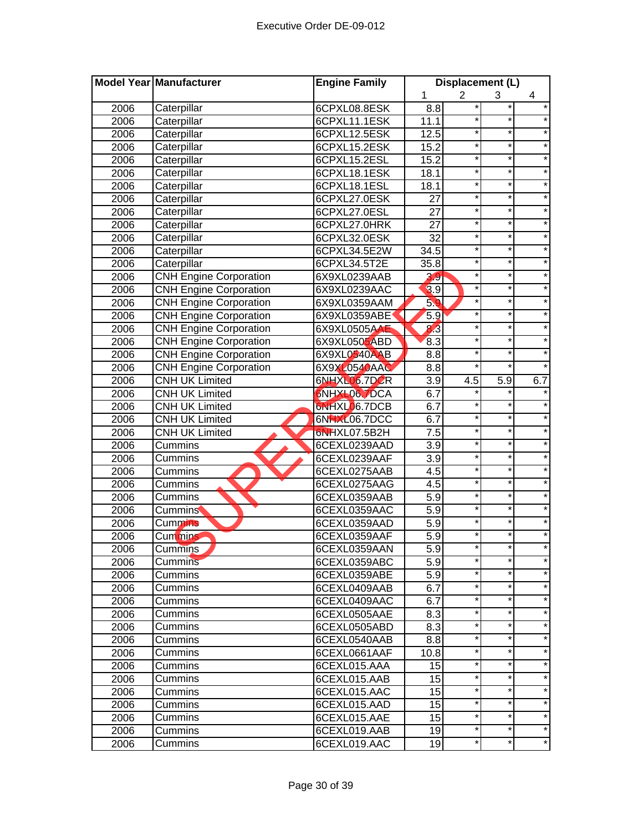|      | Model Year Manufacturer       | <b>Engine Family</b> |                  | Displacement (L) |          |         |
|------|-------------------------------|----------------------|------------------|------------------|----------|---------|
|      |                               |                      | 1                | $\overline{2}$   | 3        | 4       |
| 2006 | Caterpillar                   | 6CPXL08.8ESK         | 8.8              | *                |          |         |
| 2006 | Caterpillar                   | 6CPXL11.1ESK         | 11.1             |                  |          |         |
| 2006 | Caterpillar                   | 6CPXL12.5ESK         | 12.5             | $^\star$         | $^\star$ |         |
| 2006 | Caterpillar                   | 6CPXL15.2ESK         | 15.2             | *                | $\star$  | $\star$ |
| 2006 | Caterpillar                   | 6CPXL15.2ESL         | 15.2             | $^{\ast}$        | *        | $\star$ |
| 2006 | Caterpillar                   | 6CPXL18.1ESK         | 18.1             | $\star$          | $\star$  | $\star$ |
| 2006 | Caterpillar                   | 6CPXL18.1ESL         | 18.1             | $\star$          | $\star$  | $\star$ |
| 2006 | Caterpillar                   | 6CPXL27.0ESK         | 27               | *                | $\star$  | $\star$ |
| 2006 | Caterpillar                   | 6CPXL27.0ESL         | 27               | *                | *        | $\star$ |
| 2006 | Caterpillar                   | 6CPXL27.0HRK         | 27               | $\ast$           | $\star$  | $\star$ |
| 2006 | Caterpillar                   | 6CPXL32.0ESK         | $\overline{32}$  | $\ast$           | $\star$  |         |
| 2006 | Caterpillar                   | 6CPXL34.5E2W         | 34.5             | $\star$          | *        |         |
| 2006 | Caterpillar                   | 6CPXL34.5T2E         | 35.8             | $\star$          | $\star$  |         |
| 2006 | <b>CNH Engine Corporation</b> | 6X9XL0239AAB         | 3.9              | ×                | *        |         |
| 2006 | <b>CNH Engine Corporation</b> | 6X9XL0239AAC         | 3.9              | *                | *        |         |
| 2006 | <b>CNH Engine Corporation</b> | 6X9XL0359AAM         | 5.9              | *                | *        |         |
| 2006 | <b>CNH Engine Corporation</b> | 6X9XL0359ABE         | 5.9              | *                | *        | $\star$ |
| 2006 | <b>CNH Engine Corporation</b> | 6X9XL0505AAE         | $8\overline{3}$  | *                | *        |         |
| 2006 | <b>CNH Engine Corporation</b> | 6X9XL0505ABD         | 8.3              | *                | *        |         |
| 2006 | <b>CNH Engine Corporation</b> | 6X9XL0540AAB         | 8.8              | *                | $\star$  |         |
| 2006 | <b>CNH Engine Corporation</b> | 6X9XL0540AAC         | 8.8              | *                | $\star$  | $\star$ |
| 2006 | <b>CNH UK Limited</b>         | 6NHXL06.7DCR         | 3.9              | 4.5              | 5.9      | 6.7     |
| 2006 | <b>CNH UK Limited</b>         | <b>SNHXL06.7DCA</b>  | 6.7              |                  |          |         |
| 2006 | <b>CNH UK Limited</b>         | 6NHXL06.7DCB         | 6.7              | $\star$          | *        |         |
| 2006 | <b>CNH UK Limited</b>         | 6NHXL06.7DCC         | 6.7              | *                | *        | $\star$ |
| 2006 | <b>CNH UK Limited</b>         | 6NHXL07.5B2H         | $\overline{7.5}$ | $\star$          | *        |         |
| 2006 | Cummins                       | 6CEXL0239AAD         | $\overline{3.9}$ | $\ast$           | *        |         |
| 2006 | Cummins                       | 6CEXL0239AAF         | $\overline{3.9}$ | $\star$          | *        |         |
| 2006 | Cummins                       | 6CEXL0275AAB         | 4.5              | $\ast$           | $\star$  |         |
| 2006 | Cummins                       | 6CEXL0275AAG         | 4.5              | $\ast$           | *        |         |
| 2006 | Cummins                       | 6CEXL0359AAB         | 5.9              | ×                | *        |         |
| 2006 | <b>Cummins</b>                | 6CEXL0359AAC         | 5.9              | ×                |          |         |
| 2006 | <b>Cummins</b>                | 6CEXL0359AAD         | 5.9              | *                | *        |         |
| 2006 | Cummins                       | 6CEXL0359AAF         | $\overline{5.9}$ | *                | *        | $\star$ |
| 2006 | Cummins                       | 6CEXL0359AAN         | $5.\overline{9}$ | *                |          |         |
| 2006 | <b>Cummins</b>                | 6CEXL0359ABC         | 5.9              | $\star$          | *        |         |
| 2006 | Cummins                       | 6CEXL0359ABE         | 5.9              | *                | *        |         |
| 2006 | Cummins                       | 6CEXL0409AAB         | 6.7              | *                | *        | $\star$ |
| 2006 | Cummins                       | 6CEXL0409AAC         | 6.7              | *                | *        | $\star$ |
| 2006 | Cummins                       | 6CEXL0505AAE         | 8.3              | *                | *        | $\star$ |
| 2006 | Cummins                       | 6CEXL0505ABD         | 8.3              | *                | *        | $\star$ |
| 2006 | Cummins                       | 6CEXL0540AAB         | 8.8              | *                | *        | *       |
| 2006 |                               |                      | 10.8             | *                | *        | $\star$ |
| 2006 | Cummins                       | 6CEXL0661AAF         |                  | $\star$          | *        |         |
|      | Cummins<br>Cummins            | 6CEXL015.AAA         | 15               | *                | *        |         |
| 2006 |                               | 6CEXL015.AAB         | 15<br>15         | *                | *        | $\star$ |
| 2006 | Cummins                       | 6CEXL015.AAC         |                  | *                | *        |         |
| 2006 | Cummins                       | 6CEXL015.AAD         | 15               | *                | *        |         |
| 2006 | Cummins                       | 6CEXL015.AAE         | 15               | *                | *        | $\ast$  |
| 2006 | Cummins                       | 6CEXL019.AAB         | 19               | *                | *        | $\star$ |
| 2006 | Cummins                       | 6CEXL019.AAC         | 19               |                  |          |         |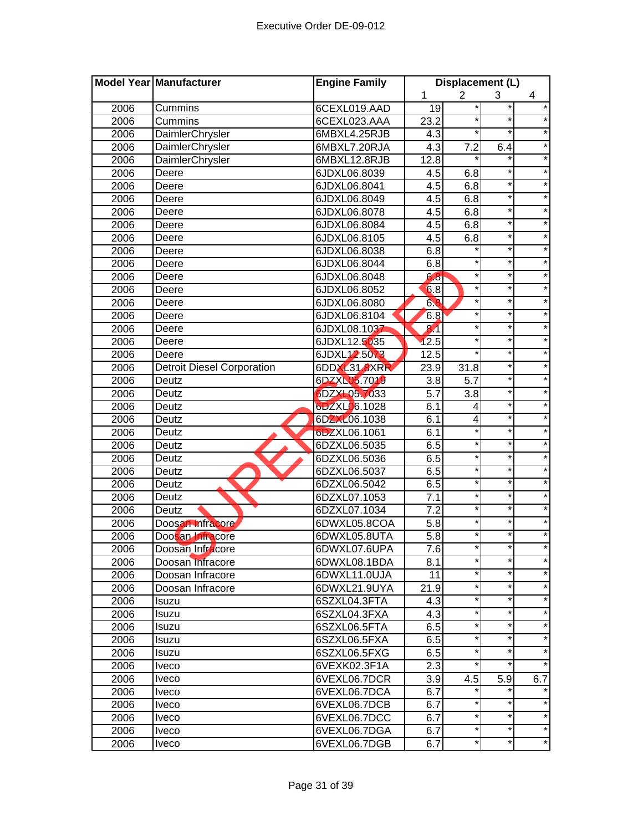|      | <b>Model Year Manufacturer</b>    | <b>Engine Family</b> |                  | Displacement (L) |         |            |
|------|-----------------------------------|----------------------|------------------|------------------|---------|------------|
|      |                                   |                      | 1                | $\overline{2}$   | 3       | 4          |
| 2006 | Cummins                           | 6CEXL019.AAD         | 19               | *                |         | $\star$    |
| 2006 | Cummins                           | 6CEXL023.AAA         | 23.2             | *                | $\star$ |            |
| 2006 | DaimlerChrysler                   | 6MBXL4.25RJB         | 4.3              | $^{\star}$       | $\ast$  |            |
| 2006 | <b>DaimlerChrysler</b>            | 6MBXL7.20RJA         | $\overline{4.3}$ | 7.2              | 6.4     | $\star$    |
| 2006 | DaimlerChrysler                   | 6MBXL12.8RJB         | 12.8             | $\star$          | ¥       | $\star$    |
| 2006 | Deere                             | 6JDXL06.8039         | 4.5              | 6.8              | $\star$ | $\star$    |
| 2006 | Deere                             | 6JDXL06.8041         | 4.5              | 6.8              | $\star$ | $\star$    |
| 2006 | Deere                             | 6JDXL06.8049         | 4.5              | 6.8              | $\star$ | $\star$    |
| 2006 | Deere                             | 6JDXL06.8078         | 4.5              | 6.8              | *       | $\star$    |
| 2006 | Deere                             | 6JDXL06.8084         | 4.5              | 6.8              | $\star$ | $\star$    |
| 2006 | Deere                             | 6JDXL06.8105         | 4.5              | 6.8              | $\star$ | $\star$    |
| 2006 | Deere                             | 6JDXL06.8038         | 6.8              |                  | $\star$ | $\star$    |
| 2006 | Deere                             | 6JDXL06.8044         | 6.8              | $\star$          | *       | $\star$    |
| 2006 | Deere                             | 6JDXL06.8048         | 6.8              | $\star$          | $\star$ |            |
| 2006 | Deere                             | 6JDXL06.8052         | 6.8              | $\star$          | $\star$ |            |
| 2006 | Deere                             | 6JDXL06.8080         | 6.8              | $^\star$         | $\star$ | *          |
| 2006 | Deere                             | 6JDXL06.8104         | 6.8              | $^\star$         | *       | *          |
| 2006 | Deere                             | 6JDXL08.1037         | 81               | $^\star$         | *       | $\star$    |
| 2006 | Deere                             | 6JDXL12.5035         | 12.5             | $^\star$         | *       | $\star$    |
| 2006 | Deere                             | 6JDXL12.5073         | 12.5             | $^\star$         | $\star$ | $\star$    |
| 2006 | <b>Detroit Diesel Corporation</b> | 6DDXL31.8XRR         | 23.9             | 31.8             | *       | $\star$    |
| 2006 | Deutz                             | 6DZXL05.7019         | 3.8              | $\overline{5.7}$ | $\star$ | $\star$    |
| 2006 | Deutz                             | 6DZXL05.7033         | 5.7              | 3.8              | $\star$ | $\star$    |
| 2006 | Deutz                             | 6DZXL06.1028         | 6.1              | 4                | $\star$ | $\star$    |
| 2006 | Deutz                             | 6DZXL06.1038         | 6.1              | 4                | *       | $\star$    |
| 2006 | Deutz                             | 6DZXL06.1061         | 6.1              | $\ast$           | *       | $\star$    |
| 2006 | Deutz                             | 6DZXL06.5035         | 6.5              | $^\star$         | $\star$ | $\star$    |
| 2006 | Deutz                             | 6DZXL06.5036         | 6.5              | $\star$          | ¥       | $\star$    |
| 2006 | Deutz                             | 6DZXL06.5037         | 6.5              | $^\star$         | $\star$ |            |
| 2006 | Deutz                             | 6DZXL06.5042         | 6.5              | $\star$          | *       | $\star$    |
| 2006 | Deutz                             | 6DZXL07.1053         | $\overline{7}.1$ | $\star$          | $\star$ | $\star$    |
| 2006 | Deutz                             | 6DZXL07.1034         | 7.2              | $\star$          | $\star$ |            |
| 2006 | Doosan Infracore                  | 6DWXL05.8COA         | 5.8              | $\star$          | *       | $\star$    |
| 2006 | Doosan Infracore                  | 6DWXL05.8UTA         | 5.8              | *                | $\star$ | $\star$    |
| 2006 | Doosan Infracore                  | 6DWXL07.6UPA         | 7.6              |                  |         |            |
| 2006 | Doosan Infracore                  | 6DWXL08.1BDA         | 8.1              | $\star$          | $\star$ | $\star$    |
| 2006 | Doosan Infracore                  | 6DWXL11.0UJA         | 11               | $^\star$         | *       | $\star$    |
| 2006 | Doosan Infracore                  | 6DWXL21.9UYA         | 21.9             | $^\star$         | *       | $\star$    |
| 2006 | Isuzu                             | 6SZXL04.3FTA         | 4.3              | $^\star$         | *       | $\star$    |
| 2006 | Isuzu                             | 6SZXL04.3FXA         | 4.3              | $^\star$         | *       | $\star$    |
| 2006 | Isuzu                             | 6SZXL06.5FTA         | 6.5              | $^\star$         | *       | $\star$    |
| 2006 | Isuzu                             | 6SZXL06.5FXA         | 6.5              | $^\star$         | *       | $\star$    |
| 2006 | Isuzu                             | 6SZXL06.5FXG         | 6.5              | $^\star$         | *       | $^{\star}$ |
| 2006 | <b>Iveco</b>                      | 6VEXK02.3F1A         | 2.3              | $\star$          | *       | $\star$    |
| 2006 | <i>lveco</i>                      | 6VEXL06.7DCR         | 3.9              | 4.5              | 5.9     | 6.7        |
| 2006 | Iveco                             | 6VEXL06.7DCA         | 6.7              |                  |         |            |
| 2006 | <i>lveco</i>                      | 6VEXL06.7DCB         | 6.7              |                  | *       |            |
| 2006 | Iveco                             | 6VEXL06.7DCC         | 6.7              | *                |         |            |
| 2006 | Iveco                             | 6VEXL06.7DGA         | 6.7              | *                | *       | $\star$    |
| 2006 | Iveco                             | 6VEXL06.7DGB         | 6.7              | $^\star$         | *       | $\star$    |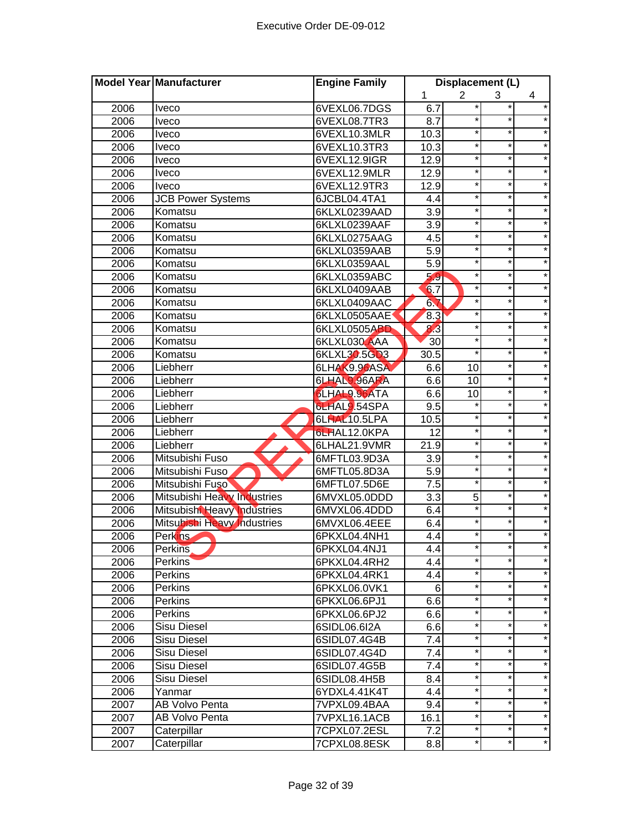| 2<br>1<br>3<br>4<br>$\star$<br>6VEXL06.7DGS<br>6.7<br>*<br>2006<br><b>Iveco</b><br>*<br>2006<br>6VEXL08.7TR3<br>8.7<br>*<br>Iveco<br>10.3<br>$\ast$<br>$^\star$<br>2006<br>6VEXL10.3MLR<br><b>Iveco</b><br>$^\star$<br>$\star$<br>$\star$<br>2006<br>6VEXL10.3TR3<br>10.3<br><b>Iveco</b><br>$\star$<br>$\star$<br>$\star$<br>6VEXL12.9IGR<br>12.9<br>2006<br><b>Iveco</b><br>$\star$<br>*<br>$\star$<br>2006<br>6VEXL12.9MLR<br>12.9<br><i>veco</i><br>$\star$<br>$\star$<br>$\star$<br>2006<br>6VEXL12.9TR3<br>12.9<br><b>Iveco</b><br>$\star$<br>$\star$<br>$\star$<br>2006<br><b>JCB Power Systems</b><br>6JCBL04.4TA1<br>4.4<br>*<br>$\star$<br>*<br>2006<br>6KLXL0239AAD<br>3.9<br>Komatsu<br>*<br>$\star$<br>*<br>2006<br>Komatsu<br>3.9<br>6KLXL0239AAF<br>$\star$<br>$\star$<br>4.5<br>$\ast$<br>2006<br>Komatsu<br>6KLXL0275AAG<br>×<br>$\star$<br>2006<br>Komatsu<br>5.9<br>6KLXL0359AAB<br>$\star$<br>5.9<br>$\star$<br>2006<br>Komatsu<br>6KLXL0359AAL<br>5.9<br>$\star$<br>*<br>$\star$<br>2006<br>Komatsu<br>6KLXL0359ABC<br>6.7<br>*<br>*<br>2006<br>Komatsu<br>6KLXL0409AAB<br>6.7<br>$\star$<br>*<br>Komatsu<br>2006<br>6KLXL0409AAC<br>Komatsu<br>8.3<br>*<br>*<br>2006<br>6KLXL0505AAE<br>*<br>8.3<br>*<br>$\star$<br>2006<br>Komatsu<br>6KLXL0505ABD<br>30<br>$\star$<br>$^\star$<br>2006<br>Komatsu<br>6KLXL030 AAA<br>$\star$<br>$\star$<br>6KLXL30.5GD3<br>$\star$<br>2006<br>30.5<br>Komatsu<br>$\star$<br>6LHAK9.96ASA<br>6.6<br>$\star$<br>2006<br>Liebherr<br>10<br>$\star$<br>$\star$<br>6LHAL9.96ARA<br>6.6<br>10<br>2006<br>Liebherr<br>$\star$<br>$\star$<br>6LHAL9.96ATA<br>2006<br>Liebherr<br>6.6<br>10<br>$\star$<br>$\star$<br>6LHAL9.54SPA<br>9.5<br>2006<br>Liebherr<br>$\star$<br>*<br>$\star$<br>2006<br>Liebherr<br>6LHAL10.5LPA<br>10.5<br>*<br>*<br>$\star$<br>12<br>2006<br>Liebherr<br>6LHAL12.0KPA<br>*<br>21.9<br>$\star$<br>$\star$<br>2006<br>6LHAL21.9VMR<br>Liebherr<br>$\star$<br>$\star$<br>$\ast$<br>2006<br>Mitsubishi Fuso<br>6MFTL03.9D3A<br>3.9<br>$\overline{5.9}$<br>$\star$<br>$^\star$<br>2006<br>6MFTL05.8D3A<br>Mitsubishi Fuso<br>$\star$<br>$\star$<br>$\overline{7.5}$<br>2006<br>6MFTL07.5D6E<br>Mitsubishi Fuso<br>*<br>$\star$<br>5<br>Mitsubishi Heavy Industries<br>3.3<br>2006<br>6MVXL05.0DDD<br>*<br>*<br>6.4<br>2006<br>Mitsubishi Heavy Industries<br>6MVXL06.4DDD<br>$\ast$<br>6.4<br>2006<br>Mitsubishi Heavy Industries<br>6MVXL06.4EEE<br>4.4<br>*<br>*<br>2006<br>Perkins<br>6PKXL04.4NH1<br>2006<br><b>Perkins</b><br>6PKXL04.4NJ1<br>4.4<br>$\star$<br>$\star$<br>*<br>4.4<br>2006<br><b>Perkins</b><br>6PKXL04.4RH2<br>*<br>$^\star$<br>$\star$<br>2006<br>Perkins<br>6PKXL04.4RK1<br>4.4<br>$\star$<br>*<br>$\star$<br>Perkins<br>6<br>2006<br>6PKXL06.0VK1<br>*<br>$\star$<br>6.6<br>*<br>2006<br>Perkins<br>6PKXL06.6PJ1<br>$\star$<br>$^{\ast}$<br>$\star$<br>6.6<br>2006<br><b>Perkins</b><br>6PKXL06.6PJ2<br>$\star$<br>$\star$<br>*<br><b>Sisu Diesel</b><br>2006<br>6SIDL06.6I2A<br>6.6<br>*<br>*<br>$\star$<br>2006<br>Sisu Diesel<br>6SIDL07.4G4B<br>7.4<br>*<br>$\star$<br>*<br>Sisu Diesel<br>7.4<br>2006<br>6SIDL07.4G4D<br>*<br>$\star$<br>*<br>2006<br>6SIDL07.4G5B<br>7.4<br>Sisu Diesel<br>$\star$<br>$\star$<br>*<br>2006<br>Sisu Diesel<br>6SIDL08.4H5B<br>8.4<br>$\star$<br>*<br>*<br>2006<br>4.4<br>6YDXL4.41K4T<br>Yanmar<br>*<br>$\star$<br>*<br>AB Volvo Penta<br>2007<br>9.4<br>7VPXL09.4BAA<br>*<br>*<br>AB Volvo Penta<br>16.1<br>2007<br>7VPXL16.1ACB<br>*<br>$^\star$<br>Caterpillar<br>7.2<br>2007<br>7CPXL07.2ESL<br>$\star$<br>Caterpillar<br>*<br>*<br>2007<br>8.8<br>7CPXL08.8ESK | Model Year Manufacturer | <b>Engine Family</b> | Displacement (L) |  |  |
|-----------------------------------------------------------------------------------------------------------------------------------------------------------------------------------------------------------------------------------------------------------------------------------------------------------------------------------------------------------------------------------------------------------------------------------------------------------------------------------------------------------------------------------------------------------------------------------------------------------------------------------------------------------------------------------------------------------------------------------------------------------------------------------------------------------------------------------------------------------------------------------------------------------------------------------------------------------------------------------------------------------------------------------------------------------------------------------------------------------------------------------------------------------------------------------------------------------------------------------------------------------------------------------------------------------------------------------------------------------------------------------------------------------------------------------------------------------------------------------------------------------------------------------------------------------------------------------------------------------------------------------------------------------------------------------------------------------------------------------------------------------------------------------------------------------------------------------------------------------------------------------------------------------------------------------------------------------------------------------------------------------------------------------------------------------------------------------------------------------------------------------------------------------------------------------------------------------------------------------------------------------------------------------------------------------------------------------------------------------------------------------------------------------------------------------------------------------------------------------------------------------------------------------------------------------------------------------------------------------------------------------------------------------------------------------------------------------------------------------------------------------------------------------------------------------------------------------------------------------------------------------------------------------------------------------------------------------------------------------------------------------------------------------------------------------------------------------------------------------------------------------------------------------------------------------------------------------------------------------------------------------------------------------------------------------------------------------------------------------------------------------------------------------------------------------------------------------------------------------------------------------------------------------------------------------------------------------------------------------|-------------------------|----------------------|------------------|--|--|
|                                                                                                                                                                                                                                                                                                                                                                                                                                                                                                                                                                                                                                                                                                                                                                                                                                                                                                                                                                                                                                                                                                                                                                                                                                                                                                                                                                                                                                                                                                                                                                                                                                                                                                                                                                                                                                                                                                                                                                                                                                                                                                                                                                                                                                                                                                                                                                                                                                                                                                                                                                                                                                                                                                                                                                                                                                                                                                                                                                                                                                                                                                                                                                                                                                                                                                                                                                                                                                                                                                                                                                                                           |                         |                      |                  |  |  |
|                                                                                                                                                                                                                                                                                                                                                                                                                                                                                                                                                                                                                                                                                                                                                                                                                                                                                                                                                                                                                                                                                                                                                                                                                                                                                                                                                                                                                                                                                                                                                                                                                                                                                                                                                                                                                                                                                                                                                                                                                                                                                                                                                                                                                                                                                                                                                                                                                                                                                                                                                                                                                                                                                                                                                                                                                                                                                                                                                                                                                                                                                                                                                                                                                                                                                                                                                                                                                                                                                                                                                                                                           |                         |                      |                  |  |  |
|                                                                                                                                                                                                                                                                                                                                                                                                                                                                                                                                                                                                                                                                                                                                                                                                                                                                                                                                                                                                                                                                                                                                                                                                                                                                                                                                                                                                                                                                                                                                                                                                                                                                                                                                                                                                                                                                                                                                                                                                                                                                                                                                                                                                                                                                                                                                                                                                                                                                                                                                                                                                                                                                                                                                                                                                                                                                                                                                                                                                                                                                                                                                                                                                                                                                                                                                                                                                                                                                                                                                                                                                           |                         |                      |                  |  |  |
|                                                                                                                                                                                                                                                                                                                                                                                                                                                                                                                                                                                                                                                                                                                                                                                                                                                                                                                                                                                                                                                                                                                                                                                                                                                                                                                                                                                                                                                                                                                                                                                                                                                                                                                                                                                                                                                                                                                                                                                                                                                                                                                                                                                                                                                                                                                                                                                                                                                                                                                                                                                                                                                                                                                                                                                                                                                                                                                                                                                                                                                                                                                                                                                                                                                                                                                                                                                                                                                                                                                                                                                                           |                         |                      |                  |  |  |
|                                                                                                                                                                                                                                                                                                                                                                                                                                                                                                                                                                                                                                                                                                                                                                                                                                                                                                                                                                                                                                                                                                                                                                                                                                                                                                                                                                                                                                                                                                                                                                                                                                                                                                                                                                                                                                                                                                                                                                                                                                                                                                                                                                                                                                                                                                                                                                                                                                                                                                                                                                                                                                                                                                                                                                                                                                                                                                                                                                                                                                                                                                                                                                                                                                                                                                                                                                                                                                                                                                                                                                                                           |                         |                      |                  |  |  |
|                                                                                                                                                                                                                                                                                                                                                                                                                                                                                                                                                                                                                                                                                                                                                                                                                                                                                                                                                                                                                                                                                                                                                                                                                                                                                                                                                                                                                                                                                                                                                                                                                                                                                                                                                                                                                                                                                                                                                                                                                                                                                                                                                                                                                                                                                                                                                                                                                                                                                                                                                                                                                                                                                                                                                                                                                                                                                                                                                                                                                                                                                                                                                                                                                                                                                                                                                                                                                                                                                                                                                                                                           |                         |                      |                  |  |  |
|                                                                                                                                                                                                                                                                                                                                                                                                                                                                                                                                                                                                                                                                                                                                                                                                                                                                                                                                                                                                                                                                                                                                                                                                                                                                                                                                                                                                                                                                                                                                                                                                                                                                                                                                                                                                                                                                                                                                                                                                                                                                                                                                                                                                                                                                                                                                                                                                                                                                                                                                                                                                                                                                                                                                                                                                                                                                                                                                                                                                                                                                                                                                                                                                                                                                                                                                                                                                                                                                                                                                                                                                           |                         |                      |                  |  |  |
|                                                                                                                                                                                                                                                                                                                                                                                                                                                                                                                                                                                                                                                                                                                                                                                                                                                                                                                                                                                                                                                                                                                                                                                                                                                                                                                                                                                                                                                                                                                                                                                                                                                                                                                                                                                                                                                                                                                                                                                                                                                                                                                                                                                                                                                                                                                                                                                                                                                                                                                                                                                                                                                                                                                                                                                                                                                                                                                                                                                                                                                                                                                                                                                                                                                                                                                                                                                                                                                                                                                                                                                                           |                         |                      |                  |  |  |
|                                                                                                                                                                                                                                                                                                                                                                                                                                                                                                                                                                                                                                                                                                                                                                                                                                                                                                                                                                                                                                                                                                                                                                                                                                                                                                                                                                                                                                                                                                                                                                                                                                                                                                                                                                                                                                                                                                                                                                                                                                                                                                                                                                                                                                                                                                                                                                                                                                                                                                                                                                                                                                                                                                                                                                                                                                                                                                                                                                                                                                                                                                                                                                                                                                                                                                                                                                                                                                                                                                                                                                                                           |                         |                      |                  |  |  |
|                                                                                                                                                                                                                                                                                                                                                                                                                                                                                                                                                                                                                                                                                                                                                                                                                                                                                                                                                                                                                                                                                                                                                                                                                                                                                                                                                                                                                                                                                                                                                                                                                                                                                                                                                                                                                                                                                                                                                                                                                                                                                                                                                                                                                                                                                                                                                                                                                                                                                                                                                                                                                                                                                                                                                                                                                                                                                                                                                                                                                                                                                                                                                                                                                                                                                                                                                                                                                                                                                                                                                                                                           |                         |                      |                  |  |  |
|                                                                                                                                                                                                                                                                                                                                                                                                                                                                                                                                                                                                                                                                                                                                                                                                                                                                                                                                                                                                                                                                                                                                                                                                                                                                                                                                                                                                                                                                                                                                                                                                                                                                                                                                                                                                                                                                                                                                                                                                                                                                                                                                                                                                                                                                                                                                                                                                                                                                                                                                                                                                                                                                                                                                                                                                                                                                                                                                                                                                                                                                                                                                                                                                                                                                                                                                                                                                                                                                                                                                                                                                           |                         |                      |                  |  |  |
|                                                                                                                                                                                                                                                                                                                                                                                                                                                                                                                                                                                                                                                                                                                                                                                                                                                                                                                                                                                                                                                                                                                                                                                                                                                                                                                                                                                                                                                                                                                                                                                                                                                                                                                                                                                                                                                                                                                                                                                                                                                                                                                                                                                                                                                                                                                                                                                                                                                                                                                                                                                                                                                                                                                                                                                                                                                                                                                                                                                                                                                                                                                                                                                                                                                                                                                                                                                                                                                                                                                                                                                                           |                         |                      |                  |  |  |
|                                                                                                                                                                                                                                                                                                                                                                                                                                                                                                                                                                                                                                                                                                                                                                                                                                                                                                                                                                                                                                                                                                                                                                                                                                                                                                                                                                                                                                                                                                                                                                                                                                                                                                                                                                                                                                                                                                                                                                                                                                                                                                                                                                                                                                                                                                                                                                                                                                                                                                                                                                                                                                                                                                                                                                                                                                                                                                                                                                                                                                                                                                                                                                                                                                                                                                                                                                                                                                                                                                                                                                                                           |                         |                      |                  |  |  |
|                                                                                                                                                                                                                                                                                                                                                                                                                                                                                                                                                                                                                                                                                                                                                                                                                                                                                                                                                                                                                                                                                                                                                                                                                                                                                                                                                                                                                                                                                                                                                                                                                                                                                                                                                                                                                                                                                                                                                                                                                                                                                                                                                                                                                                                                                                                                                                                                                                                                                                                                                                                                                                                                                                                                                                                                                                                                                                                                                                                                                                                                                                                                                                                                                                                                                                                                                                                                                                                                                                                                                                                                           |                         |                      |                  |  |  |
|                                                                                                                                                                                                                                                                                                                                                                                                                                                                                                                                                                                                                                                                                                                                                                                                                                                                                                                                                                                                                                                                                                                                                                                                                                                                                                                                                                                                                                                                                                                                                                                                                                                                                                                                                                                                                                                                                                                                                                                                                                                                                                                                                                                                                                                                                                                                                                                                                                                                                                                                                                                                                                                                                                                                                                                                                                                                                                                                                                                                                                                                                                                                                                                                                                                                                                                                                                                                                                                                                                                                                                                                           |                         |                      |                  |  |  |
|                                                                                                                                                                                                                                                                                                                                                                                                                                                                                                                                                                                                                                                                                                                                                                                                                                                                                                                                                                                                                                                                                                                                                                                                                                                                                                                                                                                                                                                                                                                                                                                                                                                                                                                                                                                                                                                                                                                                                                                                                                                                                                                                                                                                                                                                                                                                                                                                                                                                                                                                                                                                                                                                                                                                                                                                                                                                                                                                                                                                                                                                                                                                                                                                                                                                                                                                                                                                                                                                                                                                                                                                           |                         |                      |                  |  |  |
|                                                                                                                                                                                                                                                                                                                                                                                                                                                                                                                                                                                                                                                                                                                                                                                                                                                                                                                                                                                                                                                                                                                                                                                                                                                                                                                                                                                                                                                                                                                                                                                                                                                                                                                                                                                                                                                                                                                                                                                                                                                                                                                                                                                                                                                                                                                                                                                                                                                                                                                                                                                                                                                                                                                                                                                                                                                                                                                                                                                                                                                                                                                                                                                                                                                                                                                                                                                                                                                                                                                                                                                                           |                         |                      |                  |  |  |
|                                                                                                                                                                                                                                                                                                                                                                                                                                                                                                                                                                                                                                                                                                                                                                                                                                                                                                                                                                                                                                                                                                                                                                                                                                                                                                                                                                                                                                                                                                                                                                                                                                                                                                                                                                                                                                                                                                                                                                                                                                                                                                                                                                                                                                                                                                                                                                                                                                                                                                                                                                                                                                                                                                                                                                                                                                                                                                                                                                                                                                                                                                                                                                                                                                                                                                                                                                                                                                                                                                                                                                                                           |                         |                      |                  |  |  |
|                                                                                                                                                                                                                                                                                                                                                                                                                                                                                                                                                                                                                                                                                                                                                                                                                                                                                                                                                                                                                                                                                                                                                                                                                                                                                                                                                                                                                                                                                                                                                                                                                                                                                                                                                                                                                                                                                                                                                                                                                                                                                                                                                                                                                                                                                                                                                                                                                                                                                                                                                                                                                                                                                                                                                                                                                                                                                                                                                                                                                                                                                                                                                                                                                                                                                                                                                                                                                                                                                                                                                                                                           |                         |                      |                  |  |  |
|                                                                                                                                                                                                                                                                                                                                                                                                                                                                                                                                                                                                                                                                                                                                                                                                                                                                                                                                                                                                                                                                                                                                                                                                                                                                                                                                                                                                                                                                                                                                                                                                                                                                                                                                                                                                                                                                                                                                                                                                                                                                                                                                                                                                                                                                                                                                                                                                                                                                                                                                                                                                                                                                                                                                                                                                                                                                                                                                                                                                                                                                                                                                                                                                                                                                                                                                                                                                                                                                                                                                                                                                           |                         |                      |                  |  |  |
|                                                                                                                                                                                                                                                                                                                                                                                                                                                                                                                                                                                                                                                                                                                                                                                                                                                                                                                                                                                                                                                                                                                                                                                                                                                                                                                                                                                                                                                                                                                                                                                                                                                                                                                                                                                                                                                                                                                                                                                                                                                                                                                                                                                                                                                                                                                                                                                                                                                                                                                                                                                                                                                                                                                                                                                                                                                                                                                                                                                                                                                                                                                                                                                                                                                                                                                                                                                                                                                                                                                                                                                                           |                         |                      |                  |  |  |
|                                                                                                                                                                                                                                                                                                                                                                                                                                                                                                                                                                                                                                                                                                                                                                                                                                                                                                                                                                                                                                                                                                                                                                                                                                                                                                                                                                                                                                                                                                                                                                                                                                                                                                                                                                                                                                                                                                                                                                                                                                                                                                                                                                                                                                                                                                                                                                                                                                                                                                                                                                                                                                                                                                                                                                                                                                                                                                                                                                                                                                                                                                                                                                                                                                                                                                                                                                                                                                                                                                                                                                                                           |                         |                      |                  |  |  |
|                                                                                                                                                                                                                                                                                                                                                                                                                                                                                                                                                                                                                                                                                                                                                                                                                                                                                                                                                                                                                                                                                                                                                                                                                                                                                                                                                                                                                                                                                                                                                                                                                                                                                                                                                                                                                                                                                                                                                                                                                                                                                                                                                                                                                                                                                                                                                                                                                                                                                                                                                                                                                                                                                                                                                                                                                                                                                                                                                                                                                                                                                                                                                                                                                                                                                                                                                                                                                                                                                                                                                                                                           |                         |                      |                  |  |  |
|                                                                                                                                                                                                                                                                                                                                                                                                                                                                                                                                                                                                                                                                                                                                                                                                                                                                                                                                                                                                                                                                                                                                                                                                                                                                                                                                                                                                                                                                                                                                                                                                                                                                                                                                                                                                                                                                                                                                                                                                                                                                                                                                                                                                                                                                                                                                                                                                                                                                                                                                                                                                                                                                                                                                                                                                                                                                                                                                                                                                                                                                                                                                                                                                                                                                                                                                                                                                                                                                                                                                                                                                           |                         |                      |                  |  |  |
|                                                                                                                                                                                                                                                                                                                                                                                                                                                                                                                                                                                                                                                                                                                                                                                                                                                                                                                                                                                                                                                                                                                                                                                                                                                                                                                                                                                                                                                                                                                                                                                                                                                                                                                                                                                                                                                                                                                                                                                                                                                                                                                                                                                                                                                                                                                                                                                                                                                                                                                                                                                                                                                                                                                                                                                                                                                                                                                                                                                                                                                                                                                                                                                                                                                                                                                                                                                                                                                                                                                                                                                                           |                         |                      |                  |  |  |
|                                                                                                                                                                                                                                                                                                                                                                                                                                                                                                                                                                                                                                                                                                                                                                                                                                                                                                                                                                                                                                                                                                                                                                                                                                                                                                                                                                                                                                                                                                                                                                                                                                                                                                                                                                                                                                                                                                                                                                                                                                                                                                                                                                                                                                                                                                                                                                                                                                                                                                                                                                                                                                                                                                                                                                                                                                                                                                                                                                                                                                                                                                                                                                                                                                                                                                                                                                                                                                                                                                                                                                                                           |                         |                      |                  |  |  |
|                                                                                                                                                                                                                                                                                                                                                                                                                                                                                                                                                                                                                                                                                                                                                                                                                                                                                                                                                                                                                                                                                                                                                                                                                                                                                                                                                                                                                                                                                                                                                                                                                                                                                                                                                                                                                                                                                                                                                                                                                                                                                                                                                                                                                                                                                                                                                                                                                                                                                                                                                                                                                                                                                                                                                                                                                                                                                                                                                                                                                                                                                                                                                                                                                                                                                                                                                                                                                                                                                                                                                                                                           |                         |                      |                  |  |  |
|                                                                                                                                                                                                                                                                                                                                                                                                                                                                                                                                                                                                                                                                                                                                                                                                                                                                                                                                                                                                                                                                                                                                                                                                                                                                                                                                                                                                                                                                                                                                                                                                                                                                                                                                                                                                                                                                                                                                                                                                                                                                                                                                                                                                                                                                                                                                                                                                                                                                                                                                                                                                                                                                                                                                                                                                                                                                                                                                                                                                                                                                                                                                                                                                                                                                                                                                                                                                                                                                                                                                                                                                           |                         |                      |                  |  |  |
|                                                                                                                                                                                                                                                                                                                                                                                                                                                                                                                                                                                                                                                                                                                                                                                                                                                                                                                                                                                                                                                                                                                                                                                                                                                                                                                                                                                                                                                                                                                                                                                                                                                                                                                                                                                                                                                                                                                                                                                                                                                                                                                                                                                                                                                                                                                                                                                                                                                                                                                                                                                                                                                                                                                                                                                                                                                                                                                                                                                                                                                                                                                                                                                                                                                                                                                                                                                                                                                                                                                                                                                                           |                         |                      |                  |  |  |
|                                                                                                                                                                                                                                                                                                                                                                                                                                                                                                                                                                                                                                                                                                                                                                                                                                                                                                                                                                                                                                                                                                                                                                                                                                                                                                                                                                                                                                                                                                                                                                                                                                                                                                                                                                                                                                                                                                                                                                                                                                                                                                                                                                                                                                                                                                                                                                                                                                                                                                                                                                                                                                                                                                                                                                                                                                                                                                                                                                                                                                                                                                                                                                                                                                                                                                                                                                                                                                                                                                                                                                                                           |                         |                      |                  |  |  |
|                                                                                                                                                                                                                                                                                                                                                                                                                                                                                                                                                                                                                                                                                                                                                                                                                                                                                                                                                                                                                                                                                                                                                                                                                                                                                                                                                                                                                                                                                                                                                                                                                                                                                                                                                                                                                                                                                                                                                                                                                                                                                                                                                                                                                                                                                                                                                                                                                                                                                                                                                                                                                                                                                                                                                                                                                                                                                                                                                                                                                                                                                                                                                                                                                                                                                                                                                                                                                                                                                                                                                                                                           |                         |                      |                  |  |  |
|                                                                                                                                                                                                                                                                                                                                                                                                                                                                                                                                                                                                                                                                                                                                                                                                                                                                                                                                                                                                                                                                                                                                                                                                                                                                                                                                                                                                                                                                                                                                                                                                                                                                                                                                                                                                                                                                                                                                                                                                                                                                                                                                                                                                                                                                                                                                                                                                                                                                                                                                                                                                                                                                                                                                                                                                                                                                                                                                                                                                                                                                                                                                                                                                                                                                                                                                                                                                                                                                                                                                                                                                           |                         |                      |                  |  |  |
|                                                                                                                                                                                                                                                                                                                                                                                                                                                                                                                                                                                                                                                                                                                                                                                                                                                                                                                                                                                                                                                                                                                                                                                                                                                                                                                                                                                                                                                                                                                                                                                                                                                                                                                                                                                                                                                                                                                                                                                                                                                                                                                                                                                                                                                                                                                                                                                                                                                                                                                                                                                                                                                                                                                                                                                                                                                                                                                                                                                                                                                                                                                                                                                                                                                                                                                                                                                                                                                                                                                                                                                                           |                         |                      |                  |  |  |
|                                                                                                                                                                                                                                                                                                                                                                                                                                                                                                                                                                                                                                                                                                                                                                                                                                                                                                                                                                                                                                                                                                                                                                                                                                                                                                                                                                                                                                                                                                                                                                                                                                                                                                                                                                                                                                                                                                                                                                                                                                                                                                                                                                                                                                                                                                                                                                                                                                                                                                                                                                                                                                                                                                                                                                                                                                                                                                                                                                                                                                                                                                                                                                                                                                                                                                                                                                                                                                                                                                                                                                                                           |                         |                      |                  |  |  |
|                                                                                                                                                                                                                                                                                                                                                                                                                                                                                                                                                                                                                                                                                                                                                                                                                                                                                                                                                                                                                                                                                                                                                                                                                                                                                                                                                                                                                                                                                                                                                                                                                                                                                                                                                                                                                                                                                                                                                                                                                                                                                                                                                                                                                                                                                                                                                                                                                                                                                                                                                                                                                                                                                                                                                                                                                                                                                                                                                                                                                                                                                                                                                                                                                                                                                                                                                                                                                                                                                                                                                                                                           |                         |                      |                  |  |  |
|                                                                                                                                                                                                                                                                                                                                                                                                                                                                                                                                                                                                                                                                                                                                                                                                                                                                                                                                                                                                                                                                                                                                                                                                                                                                                                                                                                                                                                                                                                                                                                                                                                                                                                                                                                                                                                                                                                                                                                                                                                                                                                                                                                                                                                                                                                                                                                                                                                                                                                                                                                                                                                                                                                                                                                                                                                                                                                                                                                                                                                                                                                                                                                                                                                                                                                                                                                                                                                                                                                                                                                                                           |                         |                      |                  |  |  |
|                                                                                                                                                                                                                                                                                                                                                                                                                                                                                                                                                                                                                                                                                                                                                                                                                                                                                                                                                                                                                                                                                                                                                                                                                                                                                                                                                                                                                                                                                                                                                                                                                                                                                                                                                                                                                                                                                                                                                                                                                                                                                                                                                                                                                                                                                                                                                                                                                                                                                                                                                                                                                                                                                                                                                                                                                                                                                                                                                                                                                                                                                                                                                                                                                                                                                                                                                                                                                                                                                                                                                                                                           |                         |                      |                  |  |  |
|                                                                                                                                                                                                                                                                                                                                                                                                                                                                                                                                                                                                                                                                                                                                                                                                                                                                                                                                                                                                                                                                                                                                                                                                                                                                                                                                                                                                                                                                                                                                                                                                                                                                                                                                                                                                                                                                                                                                                                                                                                                                                                                                                                                                                                                                                                                                                                                                                                                                                                                                                                                                                                                                                                                                                                                                                                                                                                                                                                                                                                                                                                                                                                                                                                                                                                                                                                                                                                                                                                                                                                                                           |                         |                      |                  |  |  |
|                                                                                                                                                                                                                                                                                                                                                                                                                                                                                                                                                                                                                                                                                                                                                                                                                                                                                                                                                                                                                                                                                                                                                                                                                                                                                                                                                                                                                                                                                                                                                                                                                                                                                                                                                                                                                                                                                                                                                                                                                                                                                                                                                                                                                                                                                                                                                                                                                                                                                                                                                                                                                                                                                                                                                                                                                                                                                                                                                                                                                                                                                                                                                                                                                                                                                                                                                                                                                                                                                                                                                                                                           |                         |                      |                  |  |  |
|                                                                                                                                                                                                                                                                                                                                                                                                                                                                                                                                                                                                                                                                                                                                                                                                                                                                                                                                                                                                                                                                                                                                                                                                                                                                                                                                                                                                                                                                                                                                                                                                                                                                                                                                                                                                                                                                                                                                                                                                                                                                                                                                                                                                                                                                                                                                                                                                                                                                                                                                                                                                                                                                                                                                                                                                                                                                                                                                                                                                                                                                                                                                                                                                                                                                                                                                                                                                                                                                                                                                                                                                           |                         |                      |                  |  |  |
|                                                                                                                                                                                                                                                                                                                                                                                                                                                                                                                                                                                                                                                                                                                                                                                                                                                                                                                                                                                                                                                                                                                                                                                                                                                                                                                                                                                                                                                                                                                                                                                                                                                                                                                                                                                                                                                                                                                                                                                                                                                                                                                                                                                                                                                                                                                                                                                                                                                                                                                                                                                                                                                                                                                                                                                                                                                                                                                                                                                                                                                                                                                                                                                                                                                                                                                                                                                                                                                                                                                                                                                                           |                         |                      |                  |  |  |
|                                                                                                                                                                                                                                                                                                                                                                                                                                                                                                                                                                                                                                                                                                                                                                                                                                                                                                                                                                                                                                                                                                                                                                                                                                                                                                                                                                                                                                                                                                                                                                                                                                                                                                                                                                                                                                                                                                                                                                                                                                                                                                                                                                                                                                                                                                                                                                                                                                                                                                                                                                                                                                                                                                                                                                                                                                                                                                                                                                                                                                                                                                                                                                                                                                                                                                                                                                                                                                                                                                                                                                                                           |                         |                      |                  |  |  |
|                                                                                                                                                                                                                                                                                                                                                                                                                                                                                                                                                                                                                                                                                                                                                                                                                                                                                                                                                                                                                                                                                                                                                                                                                                                                                                                                                                                                                                                                                                                                                                                                                                                                                                                                                                                                                                                                                                                                                                                                                                                                                                                                                                                                                                                                                                                                                                                                                                                                                                                                                                                                                                                                                                                                                                                                                                                                                                                                                                                                                                                                                                                                                                                                                                                                                                                                                                                                                                                                                                                                                                                                           |                         |                      |                  |  |  |
|                                                                                                                                                                                                                                                                                                                                                                                                                                                                                                                                                                                                                                                                                                                                                                                                                                                                                                                                                                                                                                                                                                                                                                                                                                                                                                                                                                                                                                                                                                                                                                                                                                                                                                                                                                                                                                                                                                                                                                                                                                                                                                                                                                                                                                                                                                                                                                                                                                                                                                                                                                                                                                                                                                                                                                                                                                                                                                                                                                                                                                                                                                                                                                                                                                                                                                                                                                                                                                                                                                                                                                                                           |                         |                      |                  |  |  |
|                                                                                                                                                                                                                                                                                                                                                                                                                                                                                                                                                                                                                                                                                                                                                                                                                                                                                                                                                                                                                                                                                                                                                                                                                                                                                                                                                                                                                                                                                                                                                                                                                                                                                                                                                                                                                                                                                                                                                                                                                                                                                                                                                                                                                                                                                                                                                                                                                                                                                                                                                                                                                                                                                                                                                                                                                                                                                                                                                                                                                                                                                                                                                                                                                                                                                                                                                                                                                                                                                                                                                                                                           |                         |                      |                  |  |  |
|                                                                                                                                                                                                                                                                                                                                                                                                                                                                                                                                                                                                                                                                                                                                                                                                                                                                                                                                                                                                                                                                                                                                                                                                                                                                                                                                                                                                                                                                                                                                                                                                                                                                                                                                                                                                                                                                                                                                                                                                                                                                                                                                                                                                                                                                                                                                                                                                                                                                                                                                                                                                                                                                                                                                                                                                                                                                                                                                                                                                                                                                                                                                                                                                                                                                                                                                                                                                                                                                                                                                                                                                           |                         |                      |                  |  |  |
|                                                                                                                                                                                                                                                                                                                                                                                                                                                                                                                                                                                                                                                                                                                                                                                                                                                                                                                                                                                                                                                                                                                                                                                                                                                                                                                                                                                                                                                                                                                                                                                                                                                                                                                                                                                                                                                                                                                                                                                                                                                                                                                                                                                                                                                                                                                                                                                                                                                                                                                                                                                                                                                                                                                                                                                                                                                                                                                                                                                                                                                                                                                                                                                                                                                                                                                                                                                                                                                                                                                                                                                                           |                         |                      |                  |  |  |
|                                                                                                                                                                                                                                                                                                                                                                                                                                                                                                                                                                                                                                                                                                                                                                                                                                                                                                                                                                                                                                                                                                                                                                                                                                                                                                                                                                                                                                                                                                                                                                                                                                                                                                                                                                                                                                                                                                                                                                                                                                                                                                                                                                                                                                                                                                                                                                                                                                                                                                                                                                                                                                                                                                                                                                                                                                                                                                                                                                                                                                                                                                                                                                                                                                                                                                                                                                                                                                                                                                                                                                                                           |                         |                      |                  |  |  |
|                                                                                                                                                                                                                                                                                                                                                                                                                                                                                                                                                                                                                                                                                                                                                                                                                                                                                                                                                                                                                                                                                                                                                                                                                                                                                                                                                                                                                                                                                                                                                                                                                                                                                                                                                                                                                                                                                                                                                                                                                                                                                                                                                                                                                                                                                                                                                                                                                                                                                                                                                                                                                                                                                                                                                                                                                                                                                                                                                                                                                                                                                                                                                                                                                                                                                                                                                                                                                                                                                                                                                                                                           |                         |                      |                  |  |  |
|                                                                                                                                                                                                                                                                                                                                                                                                                                                                                                                                                                                                                                                                                                                                                                                                                                                                                                                                                                                                                                                                                                                                                                                                                                                                                                                                                                                                                                                                                                                                                                                                                                                                                                                                                                                                                                                                                                                                                                                                                                                                                                                                                                                                                                                                                                                                                                                                                                                                                                                                                                                                                                                                                                                                                                                                                                                                                                                                                                                                                                                                                                                                                                                                                                                                                                                                                                                                                                                                                                                                                                                                           |                         |                      |                  |  |  |
|                                                                                                                                                                                                                                                                                                                                                                                                                                                                                                                                                                                                                                                                                                                                                                                                                                                                                                                                                                                                                                                                                                                                                                                                                                                                                                                                                                                                                                                                                                                                                                                                                                                                                                                                                                                                                                                                                                                                                                                                                                                                                                                                                                                                                                                                                                                                                                                                                                                                                                                                                                                                                                                                                                                                                                                                                                                                                                                                                                                                                                                                                                                                                                                                                                                                                                                                                                                                                                                                                                                                                                                                           |                         |                      |                  |  |  |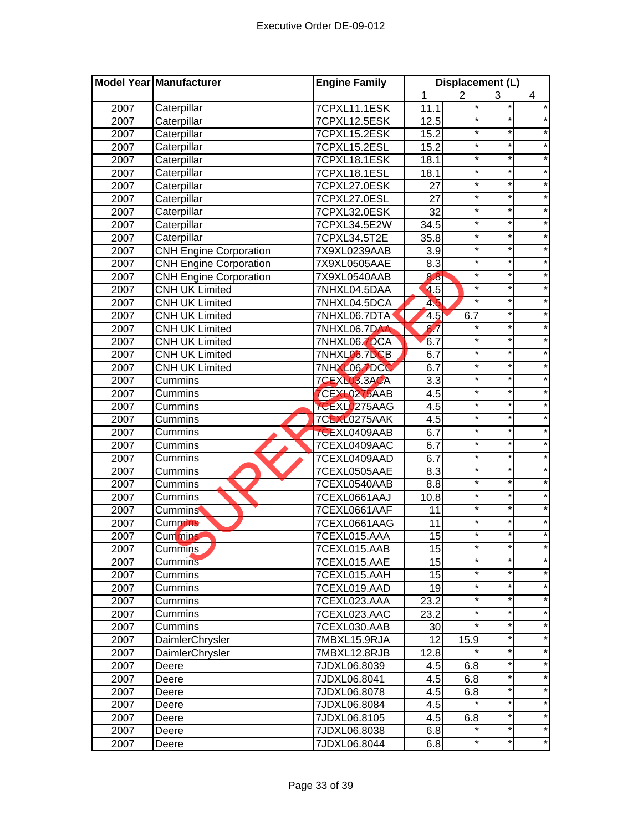|      | Model Year Manufacturer       | <b>Engine Family</b> |                  | Displacement (L) |          |         |
|------|-------------------------------|----------------------|------------------|------------------|----------|---------|
|      |                               |                      | 1                | $\overline{2}$   | 3        | 4       |
| 2007 | Caterpillar                   | 7CPXL11.1ESK         | 11.1             |                  |          |         |
| 2007 | Caterpillar                   | 7CPXL12.5ESK         | 12.5             | *                | *        |         |
| 2007 | Caterpillar                   | 7CPXL15.2ESK         | 15.2             | $\ast$           | $^\star$ |         |
| 2007 | Caterpillar                   | 7CPXL15.2ESL         | 15.2             | $\star$          | $^\star$ |         |
| 2007 | Caterpillar                   | 7CPXL18.1ESK         | 18.1             | $\star$          | $\star$  | $\star$ |
| 2007 | Caterpillar                   | 7CPXL18.1ESL         | 18.1             | $\star$          | $\star$  | $\star$ |
| 2007 | Caterpillar                   | 7CPXL27.0ESK         | 27               | $\star$          | $\star$  | $\star$ |
| 2007 | Caterpillar                   | 7CPXL27.0ESL         | 27               | $\star$          | $\star$  | $\star$ |
| 2007 | Caterpillar                   | 7CPXL32.0ESK         | 32               | *                | $\star$  | $\star$ |
| 2007 | Caterpillar                   | 7CPXL34.5E2W         | 34.5             | $\star$          | *        | $\star$ |
| 2007 | Caterpillar                   | 7CPXL34.5T2E         | 35.8             | $\ast$           | *        | $\star$ |
| 2007 | <b>CNH Engine Corporation</b> | 7X9XL0239AAB         | 3.9              | $\star$          | *        |         |
| 2007 | <b>CNH Engine Corporation</b> | 7X9XL0505AAE         | 8.3              | *                | $\star$  |         |
| 2007 | <b>CNH Engine Corporation</b> | 7X9XL0540AAB         | 8.8              | *                | *        |         |
| 2007 | <b>CNH UK Limited</b>         | 7NHXL04.5DAA         | 4.5              | $\ast$           | *        |         |
| 2007 | <b>CNH UK Limited</b>         | 7NHXL04.5DCA         | 45               |                  | *        |         |
| 2007 | <b>CNH UK Limited</b>         | 7NHXL06.7DTA         | 4.5              | 6.7              | *        |         |
| 2007 | <b>CNH UK Limited</b>         | 7NHXL06.7DAA         | 6.7              | *                | *        | $\star$ |
| 2007 | <b>CNH UK Limited</b>         | 7NHXL06.7DCA         | 6.7              | *                | *        |         |
| 2007 | <b>CNH UK Limited</b>         | 7NHXL06.7DCB         | 6.7              | $\star$          | $\star$  |         |
| 2007 | <b>CNH UK Limited</b>         | <b>7NHXL06.7DCC</b>  | 6.7              | $\star$          | $\star$  | $\star$ |
| 2007 | Cummins                       | 7CEXL03.3ACA         | $\overline{3.3}$ | *                | $\star$  | $\star$ |
| 2007 | Cummins                       | CEXL0275AAB          | 4.5              | $\ast$           | $\star$  |         |
| 2007 | Cummins                       | 7CEXL0275AAG         | 4.5              | $\star$          | $\star$  |         |
| 2007 | Cummins                       | <b>7CEXL0275AAK</b>  | 4.5              | *                | $\star$  |         |
| 2007 | Cummins                       | 7CEXL0409AAB         | 6.7              | *                | *        |         |
| 2007 | Cummins                       | 7CEXL0409AAC         | 6.7              | $\star$          | *        | $\star$ |
| 2007 | Cummins                       | 7CEXL0409AAD         | 6.7              | $\ast$           | $\star$  |         |
| 2007 | Cummins                       | 7CEXL0505AAE         | 8.3              | $\star$          | *        |         |
| 2007 | Cummins                       | 7CEXL0540AAB         | 8.8              | $\star$          | $\star$  |         |
| 2007 | Cummins                       | 7CEXL0661AAJ         | 10.8             | $\star$          | $\star$  |         |
| 2007 | <b>Cummins</b>                | 7CEXL0661AAF         | 11               | $\ast$           | *        |         |
| 2007 | <b>Cummins</b>                | 7CEXL0661AAG         | 11               | $\ast$           |          |         |
| 2007 | <b>Cummins</b>                | 7CEXL015.AAA         | 15               | *                |          |         |
| 2007 | Cummins                       | 7CEXL015.AAB         | 15               |                  |          |         |
| 2007 | <b>Cummins</b>                | 7CEXL015.AAE         | 15               | *                | *        | $\star$ |
| 2007 | Cummins                       | 7CEXL015.AAH         | 15               | *                | *        |         |
| 2007 | Cummins                       | 7CEXL019.AAD         | 19               | *                | $\star$  | $\star$ |
| 2007 | Cummins                       | 7CEXL023.AAA         | 23.2             | *                | *        | $\star$ |
| 2007 | Cummins                       | 7CEXL023.AAC         | 23.2             | *                | *        | $\star$ |
| 2007 | Cummins                       | 7CEXL030.AAB         | 30               |                  | *        | $\star$ |
| 2007 | DaimlerChrysler               | 7MBXL15.9RJA         | 12               | 15.9             | *        | $\star$ |
| 2007 | DaimlerChrysler               | 7MBXL12.8RJB         | 12.8             |                  | *.       | $\star$ |
| 2007 | Deere                         | 7JDXL06.8039         | 4.5              | 6.8              | *        | $\star$ |
| 2007 | Deere                         | 7JDXL06.8041         | 4.5              | 6.8              |          |         |
| 2007 | Deere                         | 7JDXL06.8078         | 4.5              | 6.8              | *        | $\star$ |
| 2007 | Deere                         | 7JDXL06.8084         | 4.5              |                  | *        | $\star$ |
| 2007 | Deere                         | 7JDXL06.8105         | 4.5              | 6.8              |          |         |
| 2007 | Deere                         | 7JDXL06.8038         | 6.8              |                  | *        |         |
| 2007 | Deere                         | 7JDXL06.8044         | 6.8              | *                | *        | $\star$ |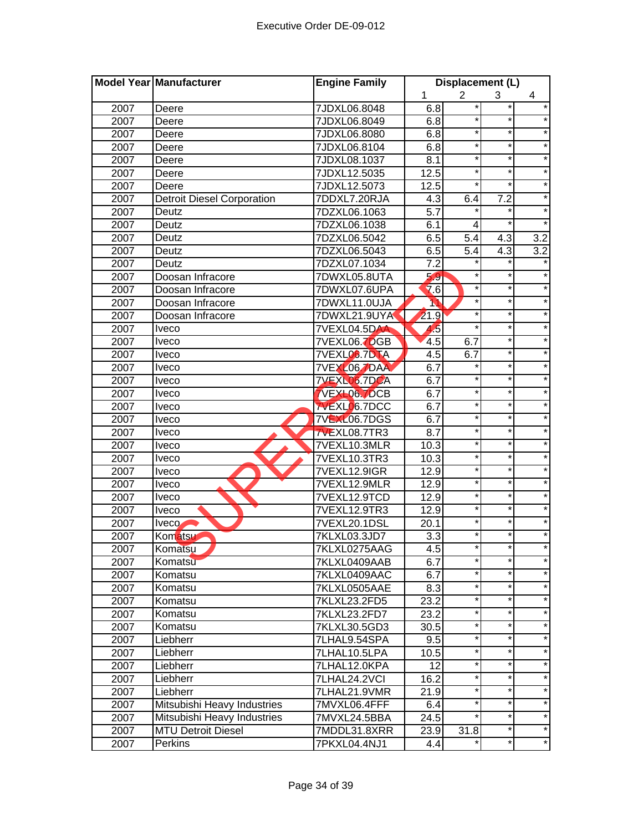|      | <b>Model Year Manufacturer</b>    | <b>Engine Family</b> |                  | Displacement (L) |          |                  |
|------|-----------------------------------|----------------------|------------------|------------------|----------|------------------|
|      |                                   |                      | 1                | 2                | 3        | 4                |
| 2007 | Deere                             | 7JDXL06.8048         | 6.8              |                  |          | $\star$          |
| 2007 | Deere                             | 7JDXL06.8049         | 6.8              | *                | *        |                  |
| 2007 | Deere                             | 7JDXL06.8080         | 6.8              | $\ast$           | $^\star$ |                  |
| 2007 | Deere                             | 7JDXL06.8104         | 6.8              | $^\star$         | $\star$  | $\star$          |
| 2007 | Deere                             | 7JDXL08.1037         | $\overline{8.1}$ | $\star$          | $\star$  | $\star$          |
| 2007 | Deere                             | 7JDXL12.5035         | 12.5             | $\star$          | $\star$  | $\star$          |
| 2007 | Deere                             | 7JDXL12.5073         | 12.5             | $\star$          | $\star$  | $\star$          |
| 2007 | <b>Detroit Diesel Corporation</b> | 7DDXL7.20RJA         | 4.3              | 6.4              | 7.2      | $\star$          |
| 2007 | Deutz                             | 7DZXL06.1063         | 5.7              | $\star$          | $\star$  | $\star$          |
| 2007 | Deutz                             | 7DZXL06.1038         | 6.1              | 4                |          |                  |
| 2007 | Deutz                             | 7DZXL06.5042         | 6.5              | 5.4              | 4.3      | 3.2              |
| 2007 | Deutz                             | 7DZXL06.5043         | 6.5              | $\overline{5.4}$ | 4.3      | $\overline{3.2}$ |
| 2007 | Deutz                             | 7DZXL07.1034         | $\overline{7.2}$ |                  |          |                  |
| 2007 | Doosan Infracore                  | 7DWXL05.8UTA         | 5.9              | $\ast$           | ×        |                  |
| 2007 | Doosan Infracore                  | 7DWXL07.6UPA         | 7.6              | ×                | *        |                  |
| 2007 | Doosan Infracore                  | 7DWXL11.0UJA         | M                | $\star$          | *        |                  |
| 2007 | Doosan Infracore                  | 7DWXL21.9UYA         | 21.9             | *                | *        |                  |
| 2007 | <b>Iveco</b>                      | 7VEXL04.5DAA         | 4,5              | *                | *        | $\star$          |
| 2007 | <b>Iveco</b>                      | 7VEXL06.7DGB         | 4.5              | 6.7              | *        |                  |
| 2007 | <b>Iveco</b>                      | 7VEXLO6.7DTA         | 4.5              | 6.7              | $\star$  | $\star$          |
| 2007 | <b>Iveco</b>                      | <b>7VEXL067DAA</b>   | 6.7              | $\star$          | $\star$  | $\star$          |
| 2007 | <b>Iveco</b>                      | <b>7VEXL06.7DCA</b>  | 6.7              | *                | $\star$  | $\star$          |
| 2007 | <i>veco</i>                       | <b>VEXL06 7DCB</b>   | 6.7              | $\star$          | $\star$  | $\star$          |
| 2007 | <b>Iveco</b>                      | <b>7VEXL06.7DCC</b>  | 6.7              | $\star$          | $\star$  | $\star$          |
| 2007 | <b>Iveco</b>                      | <b>7VEXL06.7DGS</b>  | 6.7              | $\star$          | $\star$  | $\star$          |
| 2007 | <b>Iveco</b>                      | 7VEXL08.7TR3         | 8.7              | $\star$          | $\star$  | $\star$          |
| 2007 | <b>Iveco</b>                      | 7VEXL10.3MLR         | 10.3             | $\star$          | *        | $\star$          |
| 2007 | <b>Iveco</b>                      | 7VEXL10.3TR3         | 10.3             | $\ast$           | $\star$  | $\star$          |
| 2007 | Iveco                             | 7VEXL12.9IGR         | 12.9             | $\star$          | $^\star$ |                  |
| 2007 | <b>Iveco</b>                      | 7VEXL12.9MLR         | 12.9             | $\star$          | $\star$  |                  |
| 2007 | <b>Iveco</b>                      | 7VEXL12.9TCD         | 12.9             | $\star$          | $\star$  | $\star$          |
| 2007 | Iveco                             | 7VEXL12.9TR3         | 12.9             | $\ast$           | *        |                  |
| 2007 | Iveco                             | 7VEXL20.1DSL         | 20.1             | $\ast$           |          |                  |
| 2007 | Komatsu                           | 7KLXL03.3JD7         | 3.3              | *                | *        |                  |
| 2007 | Komatsu                           | 7KLXL0275AAG         | 4.5              |                  |          |                  |
| 2007 | Komatsu                           | 7KLXL0409AAB         | 6.7              | *                | $\star$  | $\star$          |
| 2007 | Komatsu                           | 7KLXL0409AAC         | 6.7              | *                | *        | $\star$          |
| 2007 | Komatsu                           | 7KLXL0505AAE         | 8.3              | *                | $\star$  | $\star$          |
| 2007 | Komatsu                           | 7KLXL23.2FD5         | 23.2             | *                | $\star$  | $\star$          |
| 2007 | Komatsu                           | 7KLXL23.2FD7         | 23.2             | *                | $\star$  | $\star$          |
| 2007 | Komatsu                           | 7KLXL30.5GD3         | 30.5             | *                | $\star$  | $\star$          |
| 2007 | Liebherr                          | 7LHAL9.54SPA         | 9.5              | *                | *        | $\star$          |
| 2007 | Liebherr                          | 7LHAL10.5LPA         | 10.5             | *                | *        | $\star$          |
| 2007 | Liebherr                          | 7LHAL12.0KPA         | 12               | *                | *        | $\star$          |
| 2007 | Liebherr                          | 7LHAL24.2VCI         | 16.2             | $\star$          |          |                  |
| 2007 | Liebherr                          | 7LHAL21.9VMR         | 21.9             | $\star$          | *        | $\star$          |
| 2007 | Mitsubishi Heavy Industries       | 7MVXL06.4FFF         | 6.4              | $\star$          | *        | $\star$          |
| 2007 | Mitsubishi Heavy Industries       | 7MVXL24.5BBA         | 24.5             |                  |          |                  |
| 2007 | <b>MTU Detroit Diesel</b>         | 7MDDL31.8XRR         | 23.9             | 31.8             | $^\star$ |                  |
| 2007 | Perkins                           | 7PKXL04.4NJ1         | 4.4              |                  | *        | $\star$          |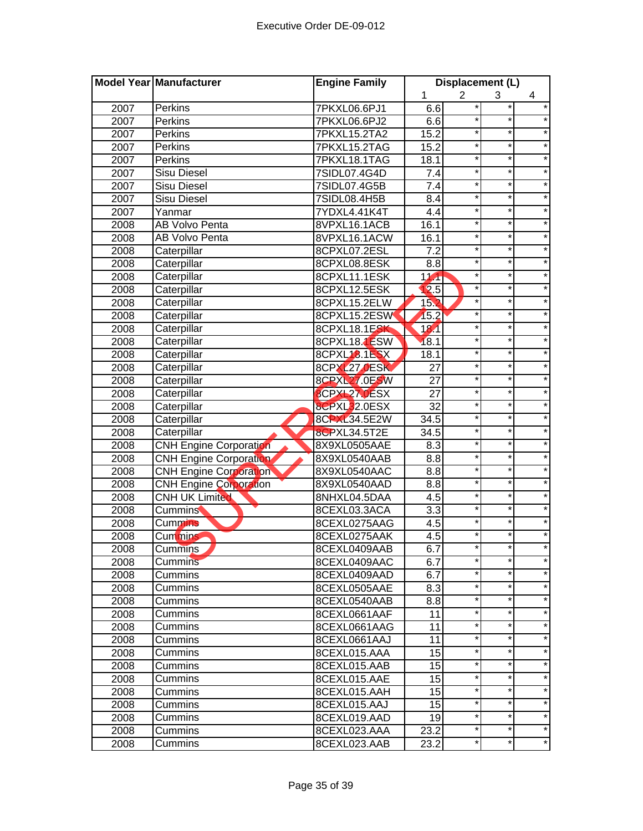|      | Model Year Manufacturer       | <b>Engine Family</b> |                  | Displacement (L) |         |         |
|------|-------------------------------|----------------------|------------------|------------------|---------|---------|
|      |                               |                      | 1                | $\overline{2}$   | 3       | 4       |
| 2007 | Perkins                       | 7PKXL06.6PJ1         | 6.6              | *                |         | $\star$ |
| 2007 | Perkins                       | 7PKXL06.6PJ2         | 6.6              | *                | $\star$ |         |
| 2007 | Perkins                       | 7PKXL15.2TA2         | 15.2             | $^\star$         | $\ast$  |         |
| 2007 | Perkins                       | 7PKXL15.2TAG         | 15.2             | $^\star$         | $\star$ | $\star$ |
| 2007 | Perkins                       | 7PKXL18.1TAG         | 18.1             | $\star$          | $\ast$  | $\star$ |
| 2007 | <b>Sisu Diesel</b>            | 7SIDL07.4G4D         | 7.4              | $\star$          | $\star$ | $\star$ |
| 2007 | <b>Sisu Diesel</b>            | 7SIDL07.4G5B         | $7.\overline{4}$ | $\star$          | $\star$ | $\star$ |
| 2007 | <b>Sisu Diesel</b>            | 7SIDL08.4H5B         | $8.\overline{4}$ | $\star$          | $\star$ | $\star$ |
| 2007 | Yanmar                        | 7YDXL4.41K4T         | 4.4              | $\star$          | *       | $\star$ |
| 2008 | <b>AB Volvo Penta</b>         | 8VPXL16.1ACB         | 16.1             | $\star$          | $\star$ | $\star$ |
| 2008 | <b>AB Volvo Penta</b>         | 8VPXL16.1ACW         | 16.1             | $^\star$         | $\star$ | $\star$ |
| 2008 | Caterpillar                   | 8CPXL07.2ESL         | 7.2              | $\star$          | $\star$ |         |
| 2008 | Caterpillar                   | 8CPXL08.8ESK         | 8.8              | $\star$          | *       |         |
| 2008 | Caterpillar                   | 8CPXL11.1ESK         | 11.1             | $\star$          | $\star$ |         |
| 2008 | Caterpillar                   | 8CPXL12.5ESK         | 12.5             | $\star$          | $\star$ |         |
| 2008 | Caterpillar                   | 8CPXL15.2ELW         | 152              | $^\star$         | $\star$ |         |
| 2008 | Caterpillar                   | 8CPXL15.2ESW         | 15.2             | $^\star$         | *       |         |
| 2008 | Caterpillar                   | 8CPXL18.1ESK         | 181              | $^\star$         | *       | $\star$ |
| 2008 | Caterpillar                   | 8CPXL18.1ESW         | 18.1             | $^\star$         | *       |         |
| 2008 | Caterpillar                   | 8CPXL18.1ESX         | 18.1             | $\star$          | *       | $\star$ |
| 2008 | Caterpillar                   | 8CPXL27.0ESK         | 27               | $\star$          | $\star$ | $\star$ |
| 2008 | Caterpillar                   | 8CPXL27.0ESW         | 27               | $\star$          | $\star$ | $\star$ |
| 2008 | Caterpillar                   | 8CPXL27.0ESX         | 27               | $\star$          | $\star$ | $\star$ |
| 2008 | Caterpillar                   | 8CPXL32.0ESX         | 32               | $\star$          | $\star$ | $\star$ |
| 2008 | Caterpillar                   | 8CPXL34.5E2W         | 34.5             | $\star$          | *       | $\star$ |
| 2008 | Caterpillar                   | 8CPXL34.5T2E         | 34.5             | $\star$          | $\star$ | $\star$ |
| 2008 | <b>CNH Engine Corporation</b> | 8X9XL0505AAE         | 8.3              | $^\star$         | $\star$ | $\star$ |
| 2008 | <b>CNH Engine Corporation</b> | 8X9XL0540AAB         | 8.8              | $\star$          | ¥       | $\star$ |
| 2008 | <b>CNH Engine Corporation</b> | 8X9XL0540AAC         | 8.8              | $\star$          | *       |         |
| 2008 | <b>CNH Engine Corporation</b> | 8X9XL0540AAD         | 8.8              | $\star$          | *       |         |
| 2008 | <b>CNH UK Limited</b>         | 8NHXL04.5DAA         | 4.5              | $\star$          | $\star$ |         |
| 2008 | <b>Cummins</b>                | 8CEXL03.3ACA         | 3.3              | $\star$          | *       |         |
| 2008 | <b>Cummins</b>                | 8CEXL0275AAG         | 4.5              |                  | *       |         |
| 2008 | Cummins                       | 8CEXL0275AAK         | 4.5              | *                | *       |         |
| 2008 | Cummins                       | 8CEXL0409AAB         | 6.7              |                  |         |         |
| 2008 | Cummins                       | 8CEXL0409AAC         | 6.7              | $\star$          | $\star$ | $\star$ |
| 2008 | Cummins                       | 8CEXL0409AAD         | 6.7              | *                | *       |         |
| 2008 | Cummins                       | 8CEXL0505AAE         | 8.3              | $^\star$         | *       | $\star$ |
| 2008 | Cummins                       | 8CEXL0540AAB         | 8.8              | $^\star$         | *       | $\star$ |
| 2008 | Cummins                       | 8CEXL0661AAF         | 11               | $^\star$         | *       | $\star$ |
| 2008 | Cummins                       | 8CEXL0661AAG         | 11               | $^\star$         | *       | $\star$ |
| 2008 | Cummins                       | 8CEXL0661AAJ         | 11               | $^{\star}$       | *       | $\star$ |
| 2008 | Cummins                       | 8CEXL015.AAA         | 15               | *                | *       | $\star$ |
| 2008 | Cummins                       | 8CEXL015.AAB         | 15               | $^\star$         | *       | $\star$ |
| 2008 | Cummins                       | 8CEXL015.AAE         | 15               | $\ast$           | *       |         |
| 2008 | Cummins                       | 8CEXL015.AAH         | 15               | $^\star$         | *       | $\star$ |
| 2008 | Cummins                       | 8CEXL015.AAJ         | 15               | *                | *       | $\star$ |
| 2008 | Cummins                       | 8CEXL019.AAD         | 19               | *                | *       |         |
| 2008 | Cummins                       | 8CEXL023.AAA         | 23.2             | $\ast$           | *       | $\star$ |
| 2008 | Cummins                       | 8CEXL023.AAB         | 23.2             | *                | *       | *       |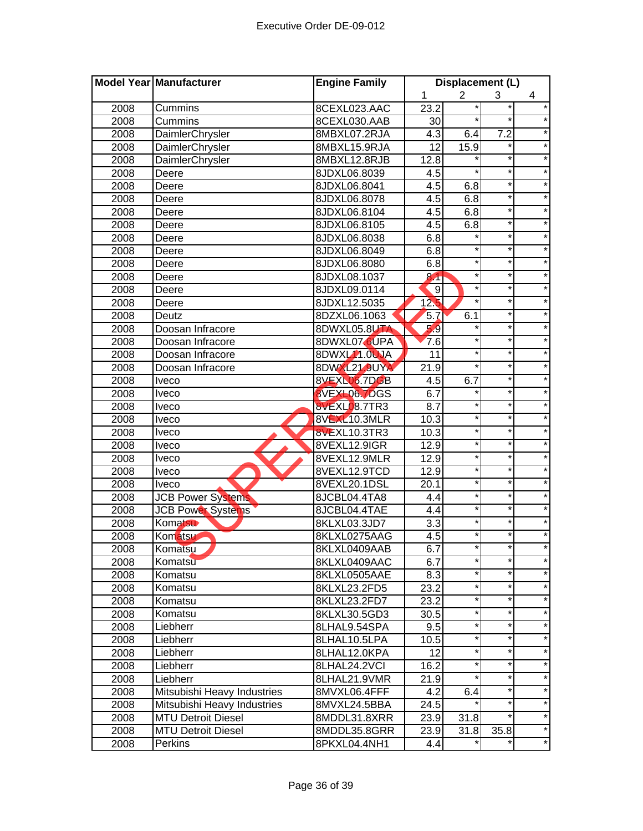|      | Model Year Manufacturer     | <b>Engine Family</b> |                   | Displacement (L) |                  |         |
|------|-----------------------------|----------------------|-------------------|------------------|------------------|---------|
|      |                             |                      | 1                 | $\overline{2}$   | 3                | 4       |
| 2008 | Cummins                     | 8CEXL023.AAC         | 23.2              |                  |                  |         |
| 2008 | Cummins                     | 8CEXL030.AAB         | 30                |                  | ¥                |         |
| 2008 | DaimlerChrysler             | 8MBXL07.2RJA         | $\overline{4.3}$  | 6.4              | $\overline{7.2}$ |         |
| 2008 | DaimlerChrysler             | 8MBXL15.9RJA         | $\overline{12}$   | 15.9             |                  |         |
| 2008 | DaimlerChrysler             | 8MBXL12.8RJB         | 12.8              |                  | $\star$          | $\star$ |
| 2008 | Deere                       | 8JDXL06.8039         | 4.5               | $\star$          | $\star$          | $\star$ |
| 2008 | Deere                       | 8JDXL06.8041         | $\overline{4.5}$  | 6.8              | $\star$          | $\star$ |
| 2008 | Deere                       | 8JDXL06.8078         | 4.5               | 6.8              | $\star$          | $\star$ |
| 2008 | Deere                       | 8JDXL06.8104         | 4.5               | 6.8              | $\star$          | $\star$ |
| 2008 | Deere                       | 8JDXL06.8105         | 4.5               | 6.8              | *                | $\star$ |
| 2008 | Deere                       | 8JDXL06.8038         | 6.8               | *                | $\star$          | $\star$ |
| 2008 | Deere                       | 8JDXL06.8049         | 6.8               | $\ast$           | $\star$          | $\star$ |
| 2008 | Deere                       | 8JDXL06.8080         | 6.8               | $\star$          | *                |         |
| 2008 | Deere                       | 8JDXL08.1037         | 8 <sup>4</sup>    | $\ast$           | *                |         |
| 2008 | Deere                       | 8JDXL09.0114         | 9                 | $^\star$         | *                |         |
| 2008 | Deere                       | 8JDXL12.5035         | 12 <sub>b</sub>   |                  | *                |         |
| 2008 | Deutz                       | 8DZXL06.1063         | 5.7               | 6.1              | *                |         |
| 2008 | Doosan Infracore            | 8DWXL05.8UTA         | 5.9               | *                | *                |         |
| 2008 | Doosan Infracore            | 8DWXL07 6UPA         | 7.6               | $\star$          | *                | $\star$ |
| 2008 | Doosan Infracore            | 8DWXL11.0UJA         | 11                | $^\star$         | *                |         |
| 2008 | Doosan Infracore            | 8DWXL21.9UYA         | $\overline{2}1.9$ | $\star$          | *                | $\star$ |
| 2008 | <b>Iveco</b>                | 8VEXL06.7DGB         | 4.5               | 6.7              | *                | $\star$ |
| 2008 | <b>Iveco</b>                | 8VEXL06 7DGS         | 6.7               |                  | $\star$          | $\star$ |
| 2008 | <b>Iveco</b>                | <b>8VEXL08.7TR3</b>  | 8.7               | $\star$          | $\star$          | $\star$ |
| 2008 | <b>Iveco</b>                | 8VEXL10.3MLR         | 10.3              | $\star$          | $\star$          | $\star$ |
| 2008 | <b>Iveco</b>                | <b>8VEXL10.3TR3</b>  | 10.3              | $^\star$         | $\star$          |         |
| 2008 | <b>Iveco</b>                | 8VEXL12.9IGR         | 12.9              | $\star$          | *                | $\star$ |
| 2008 | <b>Iveco</b>                | 8VEXL12.9MLR         | 12.9              | $^\star$         | *                | $\star$ |
| 2008 | Iveco                       | 8VEXL12.9TCD         | 12.9              | $\star$          | *                | $\star$ |
| 2008 | <b>Iveco</b>                | 8VEXL20.1DSL         | 20.1              | $^\star$         | *                |         |
| 2008 | <b>JCB Power Systems</b>    | 8JCBL04.4TA8         | 4.4               | $\star$          | *                |         |
| 2008 | <b>JCB Power Systems</b>    | 8JCBL04.4TAE         | 4.4               | $^\star$         | $\star$          |         |
| 2008 | Komatsu                     | 8KLXL03.3JD7         | 3.3               |                  | $\star$          |         |
| 2008 | Komatsu                     | 8KLXL0275AAG         | 4.5               |                  |                  |         |
| 2008 | Komatsu                     | 8KLXL0409AAB         | 6.7               |                  |                  |         |
| 2008 | Komatsu                     | 8KLXL0409AAC         | 6.7               | $\star$          | *                | $\star$ |
| 2008 | Komatsu                     | 8KLXL0505AAE         | 8.3               | $^\star$         | *                |         |
| 2008 | Komatsu                     | 8KLXL23.2FD5         | 23.2              | $^\star$         | $\star$          |         |
| 2008 | Komatsu                     | 8KLXL23.2FD7         | 23.2              | $^\star$         | $\star$          | $\star$ |
| 2008 | Komatsu                     | 8KLXL30.5GD3         | 30.5              | $^\star$         | *                | $\star$ |
| 2008 | Liebherr                    | 8LHAL9.54SPA         | 9.5               | $^\star$         | *                | $\star$ |
| 2008 | Liebherr                    | 8LHAL10.5LPA         | 10.5              | $\star$          | *                | $\star$ |
| 2008 | Liebherr                    | 8LHAL12.0KPA         | 12                | $^\star$         | *                | $\star$ |
| 2008 | Liebherr                    | 8LHAL24.2VCI         | 16.2              | $^\star$         | *                | $\star$ |
| 2008 | Liebherr                    | 8LHAL21.9VMR         | 21.9              | $\star$          | *                | $\star$ |
| 2008 | Mitsubishi Heavy Industries | 8MVXL06.4FFF         | 4.2               | 6.4              |                  | $\star$ |
| 2008 | Mitsubishi Heavy Industries | 8MVXL24.5BBA         | 24.5              |                  | *                | $\star$ |
| 2008 | <b>MTU Detroit Diesel</b>   | 8MDDL31.8XRR         | 23.9              | 31.8             | *                | $\star$ |
| 2008 | <b>MTU Detroit Diesel</b>   | 8MDDL35.8GRR         | 23.9              | 31.8             | 35.8             | $\star$ |
| 2008 | Perkins                     | 8PKXL04.4NH1         | 4.4               |                  |                  | $\star$ |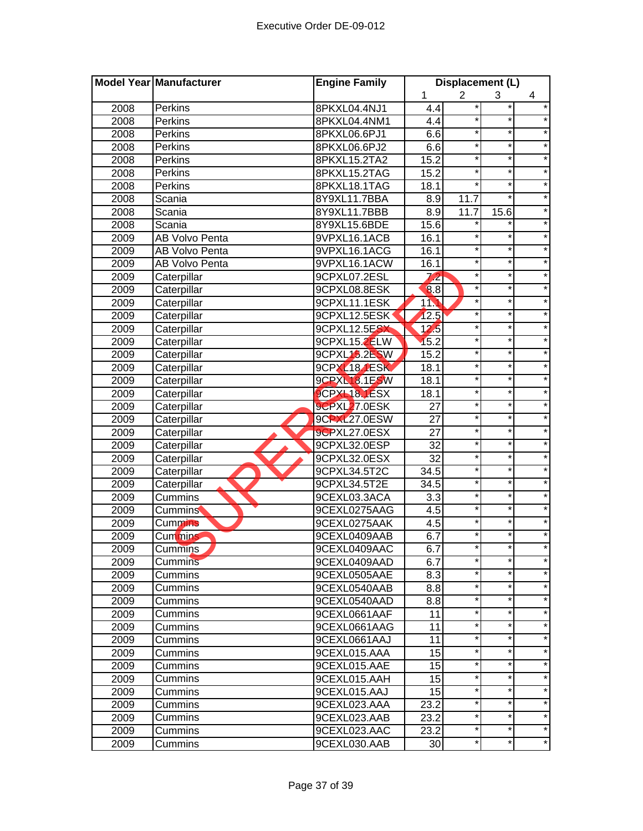|      | <b>Model Year Manufacturer</b> | <b>Engine Family</b> | Displacement (L)         |            |         |         |
|------|--------------------------------|----------------------|--------------------------|------------|---------|---------|
|      |                                |                      | $\overline{2}$<br>1<br>3 |            | 4       |         |
| 2008 | Perkins                        | 8PKXL04.4NJ1         | 4.4                      | *          |         | $\star$ |
| 2008 | Perkins                        | 8PKXL04.4NM1         | 4.4                      | *          | $\star$ |         |
| 2008 | Perkins                        | 8PKXL06.6PJ1         | 6.6                      | $^\star$   | $\ast$  |         |
| 2008 | Perkins                        | 8PKXL06.6PJ2         | 6.6                      | $^\star$   | $\star$ | $\star$ |
| 2008 | Perkins                        | 8PKXL15.2TA2         | 15.2                     | $\star$    | $\ast$  | $\star$ |
| 2008 | Perkins                        | 8PKXL15.2TAG         | 15.2                     | $\star$    | $\star$ | $\star$ |
| 2008 | Perkins                        | 8PKXL18.1TAG         | 18.1                     | $^{\star}$ | $\star$ | $\star$ |
| 2008 | Scania                         | 8Y9XL11.7BBA         | 8.9                      | 11.7       | $\star$ | $\star$ |
| 2008 | Scania                         | 8Y9XL11.7BBB         | 8.9                      | 11.7       | 15.6    | $\star$ |
| 2008 | Scania                         | 8Y9XL15.6BDE         | 15.6                     | *          | *.      | $\star$ |
| 2009 | AB Volvo Penta                 | 9VPXL16.1ACB         | 16.1                     | $\star$    | *       | $\star$ |
| 2009 | <b>AB Volvo Penta</b>          | 9VPXL16.1ACG         | 16.1                     | $\star$    | *       |         |
| 2009 | <b>AB Volvo Penta</b>          | 9VPXL16.1ACW         | 16.1                     | $^{\star}$ | *       |         |
| 2009 | Caterpillar                    | 9CPXL07.2ESL         | 72                       | $\star$    | $\star$ |         |
| 2009 | Caterpillar                    | 9CPXL08.8ESK         | 8.8                      | $\star$    | $\star$ |         |
| 2009 | Caterpillar                    | 9CPXL11.1ESK         | 114                      | *          | $\star$ |         |
| 2009 | Caterpillar                    | 9CPXL12.5ESK         | 12.5                     | $^\star$   | *       |         |
| 2009 | Caterpillar                    | 9CPXL12.5ESX         | $\overline{12.5}$        | $^\star$   | *       | $\star$ |
| 2009 | Caterpillar                    | 9CPXL15.2ELW         | 15.2                     | $^\star$   | *       |         |
| 2009 | Caterpillar                    | 9CPXL15.2ESW         | 15.2                     | $\star$    | *       | $\star$ |
| 2009 | Caterpillar                    | 9CPXL18.1ESK         | 18.1                     | $\star$    | $\star$ | $\star$ |
| 2009 | Caterpillar                    | 9CPXL18.1ESW         | 18.1                     | $\star$    | $\star$ | $\star$ |
| 2009 | Caterpillar                    | <b>9CPXL18.1ESX</b>  | 18.1                     | $\star$    | $\star$ | $\star$ |
| 2009 | Caterpillar                    | 9CPXL27.0ESK         | 27                       | $\star$    | $\star$ | $\star$ |
| 2009 | Caterpillar                    | 9CPXL27.0ESW         | 27                       | $\star$    | *       | $\star$ |
| 2009 | Caterpillar                    | 9CPXL27.0ESX         | 27                       | $\star$    | *       | $\star$ |
| 2009 | Caterpillar                    | 9CPXL32.0ESP         | $\overline{32}$          | $^\star$   | $\star$ | *       |
| 2009 | Caterpillar                    | 9CPXL32.0ESX         | $\overline{32}$          | $\star$    | ¥       |         |
| 2009 | Caterpillar                    | 9CPXL34.5T2C         | 34.5                     | $\star$    | $\star$ |         |
| 2009 | Caterpillar                    | 9CPXL34.5T2E         | 34.5                     | $\star$    | *       |         |
| 2009 | Cummins                        | 9CEXL03.3ACA         | 3.3                      | $\star$    | $\star$ |         |
| 2009 | <b>Cummins</b>                 | 9CEXL0275AAG         | 4.5                      | $\star$    | *       |         |
| 2009 | <b>Cummins</b>                 | 9CEXL0275AAK         | 4.5                      |            | *       |         |
| 2009 | <b>Cummins</b>                 | 9CEXL0409AAB         | 6.7                      | *          | *       |         |
| 2009 | Cummins                        | 9CEXL0409AAC         | 6.7                      |            |         |         |
| 2009 | <b>Cummins</b>                 | 9CEXL0409AAD         | 6.7                      | $\star$    | $\star$ | $\star$ |
| 2009 | Cummins                        | 9CEXL0505AAE         | 8.3                      | $^\star$   | *       |         |
| 2009 | Cummins                        | 9CEXL0540AAB         | 8.8                      | $^\star$   | *       | $\star$ |
| 2009 | Cummins                        | 9CEXL0540AAD         | 8.8                      | $^\star$   | *       | $\star$ |
| 2009 | Cummins                        | 9CEXL0661AAF         | 11                       | $^\star$   | *       | $\star$ |
| 2009 | Cummins                        | 9CEXL0661AAG         | 11                       | $^\star$   | *       | $\star$ |
| 2009 | Cummins                        | 9CEXL0661AAJ         | 11                       | $^\star$   | *       | $\star$ |
| 2009 | Cummins                        | 9CEXL015.AAA         | 15                       | $^{\star}$ | *       | $\star$ |
| 2009 | Cummins                        | 9CEXL015.AAE         | 15                       | $^\star$   | *       | $\star$ |
| 2009 | Cummins                        | 9CEXL015.AAH         | 15                       | $^{\star}$ | *       | $\star$ |
| 2009 | Cummins                        | 9CEXL015.AAJ         | 15                       | $^\star$   | *       | $\star$ |
| 2009 | Cummins                        | 9CEXL023.AAA         | 23.2                     | *          | *       | $\star$ |
| 2009 | Cummins                        | 9CEXL023.AAB         | 23.2                     | *          | *       |         |
| 2009 | Cummins                        | 9CEXL023.AAC         | 23.2                     | *          | *       | $\star$ |
| 2009 | Cummins                        | 9CEXL030.AAB         | 30                       | $^\star$   | *       | *       |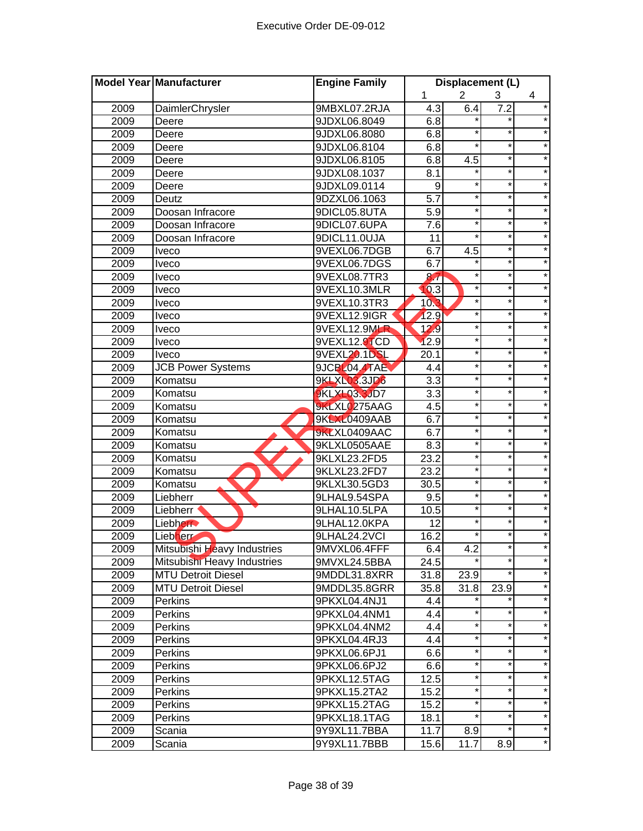| $\overline{2}$<br>1<br>3<br>4<br>9MBXL07.2RJA<br>$4.\overline{3}$<br>6.4<br>$\star$<br>2009<br>DaimlerChrysler<br>7.2<br>2009<br>9JDXL06.8049<br>6.8<br>Deere<br>*<br>2009<br>9JDXL06.8080<br>6.8<br>Deere<br>$^{\star}$<br>$^\star$<br>$\star$<br>2009<br>9JDXL06.8104<br>6.8<br>Deere<br>$\star$<br>$\star$<br>6.8<br>4.5<br>2009<br>9JDXL06.8105<br>Deere<br>$\star$<br>$\star$<br>$\star$<br>8.1<br>2009<br>9JDXL08.1037<br>Deere<br>$\star$<br>$\star$<br>$\star$<br>2009<br>9JDXL09.0114<br>9<br>Deere<br>$\overline{5.7}$<br>$\star$<br>$\star$<br>$\star$<br>2009<br>9DZXL06.1063<br>Deutz<br>$\star$<br>$\star$<br>*<br>2009<br>9DICL05.8UTA<br>5.9<br>Doosan Infracore<br>$\star$<br>*<br>$\star$<br>7.6<br>2009<br>9DICL07.6UPA<br>Doosan Infracore<br>$\star$<br>$\star$<br>$\star$<br>9DICL11.0UJA<br>11<br>2009<br>Doosan Infracore<br>*<br>2009<br>6.7<br>4.5<br>9VEXL06.7DGB<br><b>Iveco</b><br>$\star$<br>2009<br>9VEXL06.7DGS<br>6.7<br><b>Iveco</b><br>×<br>$\star$<br>$\star$<br>2009<br>8.7<br>9VEXL08.7TR3<br><b>Iveco</b><br>10.3<br>×<br>*<br>2009<br>9VEXL10.3MLR<br><b>Iveco</b><br>10.3<br>$\star$<br>*<br>2009<br>9VEXL10.3TR3<br><b>Iveco</b><br>12.9<br>*<br>*<br>2009<br>9VEXL12.9IGR<br><b>Iveco</b><br>*<br>*<br>$\star$<br>2009<br>9VEXL12.9MLR<br>12.9<br><b>Iveco</b><br>9VEXL12.9TCD<br>12.9<br>$\star$<br>*<br>2009<br>Iveco<br>*<br>$\star$<br>9VEXL20.1DSL<br>$\star$<br>2009<br>20.1<br>Iveco<br>*<br>$\star$<br><b>JCB Power Systems</b><br>9JCBL04.4TAE<br>$\star$<br>2009<br>4.4<br>$\star$<br>$\overline{3.3}$<br>*<br>$\star$<br><b>9KLXL03.3JD6</b><br>2009<br>Komatsu<br>$\star$<br>$\star$<br><b>9KLXL03.3JD7</b><br>3.3<br>$\ast$<br>2009<br>Komatsu<br>$\star$<br>$\star$<br>$\star$<br>9KLXL0275AAG<br>4.5<br>2009<br>Komatsu<br>*<br>*<br>6.7<br>$\star$<br>2009<br>Komatsu<br>9KLXL0409AAB<br>$\star$<br>*<br>$\star$<br>2009<br>Komatsu<br>9KLXL0409AAC<br>6.7<br>*<br>$\star$<br>$\star$<br>2009<br>9KLXL0505AAE<br>8.3<br>Komatsu<br>$\star$<br>$\star$<br>23.2<br>$\ast$<br>2009<br>9KLXL23.2FD5<br>Komatsu<br>$\star$<br>$^\star$<br>2009<br>9KLXL23.2FD7<br>23.2<br>Komatsu<br>×<br>$\star$<br>2009<br>9KLXL30.5GD3<br>Komatsu<br>30.5<br>*<br>*<br>$\star$<br>2009<br>9.5<br>9LHAL9.54SPA<br>Liebherr<br>$\ast$<br>*<br>2009<br>9LHAL10.5LPA<br>10.5<br>Liebherr<br>12<br>$\ast$<br>2009<br>Liebherr<br>9LHAL12.0KPA<br>16.2<br>*<br>*<br>2009<br>Liebherr<br>9LHAL24.2VCI<br>2009<br>Mitsubishi Heavy Industries<br>9MVXL06.4FFF<br>6.4<br>4.2<br>*<br>$\star$<br>Mitsubishi Heavy Industries<br>24.5<br>2009<br>9MVXL24.5BBA<br>2009<br><b>MTU Detroit Diesel</b><br>9MDDL31.8XRR<br>31.8<br>23.9<br>$\star$<br>35.8<br>31.8<br>2009<br><b>MTU Detroit Diesel</b><br>9MDDL35.8GRR<br>23.9<br>$\star$<br>2009<br>Perkins<br>9PKXL04.4NJ1<br>4.4<br>*<br>$\star$<br>2009<br>9PKXL04.4NM1<br>4.4<br>Perkins<br>$\star$<br>*<br>$\star$<br>4.4<br>2009<br>9PKXL04.4NM2<br>Perkins<br>*<br>$\star$<br>*<br>2009<br>9PKXL04.4RJ3<br>4.4<br>Perkins<br>*<br>*<br>$\star$<br>2009<br>9PKXL06.6PJ1<br>6.6<br>Perkins<br>$\star$<br>*<br>$\star$<br>2009<br>9PKXL06.6PJ2<br>6.6<br>Perkins<br>$\star$<br>2009<br>9PKXL12.5TAG<br>12.5<br>Perkins<br>$\star$<br>$\star$<br>*<br>2009<br>Perkins<br>9PKXL15.2TA2<br>15.2<br>$\star$<br>$\star$<br>2009<br>15.2<br>9PKXL15.2TAG<br><b>Perkins</b><br>2009<br><b>Perkins</b><br>9PKXL18.1TAG<br>18.1<br>11.7<br>8.9<br>2009<br>Scania<br>9Y9XL11.7BBA<br>$\star$<br>2009<br>15.6<br>11.7<br>8.9<br>Scania<br>9Y9XL11.7BBB | Model Year Manufacturer | <b>Engine Family</b> | Displacement (L) |  |  |  |
|----------------------------------------------------------------------------------------------------------------------------------------------------------------------------------------------------------------------------------------------------------------------------------------------------------------------------------------------------------------------------------------------------------------------------------------------------------------------------------------------------------------------------------------------------------------------------------------------------------------------------------------------------------------------------------------------------------------------------------------------------------------------------------------------------------------------------------------------------------------------------------------------------------------------------------------------------------------------------------------------------------------------------------------------------------------------------------------------------------------------------------------------------------------------------------------------------------------------------------------------------------------------------------------------------------------------------------------------------------------------------------------------------------------------------------------------------------------------------------------------------------------------------------------------------------------------------------------------------------------------------------------------------------------------------------------------------------------------------------------------------------------------------------------------------------------------------------------------------------------------------------------------------------------------------------------------------------------------------------------------------------------------------------------------------------------------------------------------------------------------------------------------------------------------------------------------------------------------------------------------------------------------------------------------------------------------------------------------------------------------------------------------------------------------------------------------------------------------------------------------------------------------------------------------------------------------------------------------------------------------------------------------------------------------------------------------------------------------------------------------------------------------------------------------------------------------------------------------------------------------------------------------------------------------------------------------------------------------------------------------------------------------------------------------------------------------------------------------------------------------------------------------------------------------------------------------------------------------------------------------------------------------------------------------------------------------------------------------------------------------------------------------------------------------------------------------------------------------------------------------------------------------------|-------------------------|----------------------|------------------|--|--|--|
|                                                                                                                                                                                                                                                                                                                                                                                                                                                                                                                                                                                                                                                                                                                                                                                                                                                                                                                                                                                                                                                                                                                                                                                                                                                                                                                                                                                                                                                                                                                                                                                                                                                                                                                                                                                                                                                                                                                                                                                                                                                                                                                                                                                                                                                                                                                                                                                                                                                                                                                                                                                                                                                                                                                                                                                                                                                                                                                                                                                                                                                                                                                                                                                                                                                                                                                                                                                                                                                                                                                            |                         |                      |                  |  |  |  |
|                                                                                                                                                                                                                                                                                                                                                                                                                                                                                                                                                                                                                                                                                                                                                                                                                                                                                                                                                                                                                                                                                                                                                                                                                                                                                                                                                                                                                                                                                                                                                                                                                                                                                                                                                                                                                                                                                                                                                                                                                                                                                                                                                                                                                                                                                                                                                                                                                                                                                                                                                                                                                                                                                                                                                                                                                                                                                                                                                                                                                                                                                                                                                                                                                                                                                                                                                                                                                                                                                                                            |                         |                      |                  |  |  |  |
|                                                                                                                                                                                                                                                                                                                                                                                                                                                                                                                                                                                                                                                                                                                                                                                                                                                                                                                                                                                                                                                                                                                                                                                                                                                                                                                                                                                                                                                                                                                                                                                                                                                                                                                                                                                                                                                                                                                                                                                                                                                                                                                                                                                                                                                                                                                                                                                                                                                                                                                                                                                                                                                                                                                                                                                                                                                                                                                                                                                                                                                                                                                                                                                                                                                                                                                                                                                                                                                                                                                            |                         |                      |                  |  |  |  |
|                                                                                                                                                                                                                                                                                                                                                                                                                                                                                                                                                                                                                                                                                                                                                                                                                                                                                                                                                                                                                                                                                                                                                                                                                                                                                                                                                                                                                                                                                                                                                                                                                                                                                                                                                                                                                                                                                                                                                                                                                                                                                                                                                                                                                                                                                                                                                                                                                                                                                                                                                                                                                                                                                                                                                                                                                                                                                                                                                                                                                                                                                                                                                                                                                                                                                                                                                                                                                                                                                                                            |                         |                      |                  |  |  |  |
|                                                                                                                                                                                                                                                                                                                                                                                                                                                                                                                                                                                                                                                                                                                                                                                                                                                                                                                                                                                                                                                                                                                                                                                                                                                                                                                                                                                                                                                                                                                                                                                                                                                                                                                                                                                                                                                                                                                                                                                                                                                                                                                                                                                                                                                                                                                                                                                                                                                                                                                                                                                                                                                                                                                                                                                                                                                                                                                                                                                                                                                                                                                                                                                                                                                                                                                                                                                                                                                                                                                            |                         |                      |                  |  |  |  |
|                                                                                                                                                                                                                                                                                                                                                                                                                                                                                                                                                                                                                                                                                                                                                                                                                                                                                                                                                                                                                                                                                                                                                                                                                                                                                                                                                                                                                                                                                                                                                                                                                                                                                                                                                                                                                                                                                                                                                                                                                                                                                                                                                                                                                                                                                                                                                                                                                                                                                                                                                                                                                                                                                                                                                                                                                                                                                                                                                                                                                                                                                                                                                                                                                                                                                                                                                                                                                                                                                                                            |                         |                      |                  |  |  |  |
|                                                                                                                                                                                                                                                                                                                                                                                                                                                                                                                                                                                                                                                                                                                                                                                                                                                                                                                                                                                                                                                                                                                                                                                                                                                                                                                                                                                                                                                                                                                                                                                                                                                                                                                                                                                                                                                                                                                                                                                                                                                                                                                                                                                                                                                                                                                                                                                                                                                                                                                                                                                                                                                                                                                                                                                                                                                                                                                                                                                                                                                                                                                                                                                                                                                                                                                                                                                                                                                                                                                            |                         |                      |                  |  |  |  |
|                                                                                                                                                                                                                                                                                                                                                                                                                                                                                                                                                                                                                                                                                                                                                                                                                                                                                                                                                                                                                                                                                                                                                                                                                                                                                                                                                                                                                                                                                                                                                                                                                                                                                                                                                                                                                                                                                                                                                                                                                                                                                                                                                                                                                                                                                                                                                                                                                                                                                                                                                                                                                                                                                                                                                                                                                                                                                                                                                                                                                                                                                                                                                                                                                                                                                                                                                                                                                                                                                                                            |                         |                      |                  |  |  |  |
|                                                                                                                                                                                                                                                                                                                                                                                                                                                                                                                                                                                                                                                                                                                                                                                                                                                                                                                                                                                                                                                                                                                                                                                                                                                                                                                                                                                                                                                                                                                                                                                                                                                                                                                                                                                                                                                                                                                                                                                                                                                                                                                                                                                                                                                                                                                                                                                                                                                                                                                                                                                                                                                                                                                                                                                                                                                                                                                                                                                                                                                                                                                                                                                                                                                                                                                                                                                                                                                                                                                            |                         |                      |                  |  |  |  |
|                                                                                                                                                                                                                                                                                                                                                                                                                                                                                                                                                                                                                                                                                                                                                                                                                                                                                                                                                                                                                                                                                                                                                                                                                                                                                                                                                                                                                                                                                                                                                                                                                                                                                                                                                                                                                                                                                                                                                                                                                                                                                                                                                                                                                                                                                                                                                                                                                                                                                                                                                                                                                                                                                                                                                                                                                                                                                                                                                                                                                                                                                                                                                                                                                                                                                                                                                                                                                                                                                                                            |                         |                      |                  |  |  |  |
|                                                                                                                                                                                                                                                                                                                                                                                                                                                                                                                                                                                                                                                                                                                                                                                                                                                                                                                                                                                                                                                                                                                                                                                                                                                                                                                                                                                                                                                                                                                                                                                                                                                                                                                                                                                                                                                                                                                                                                                                                                                                                                                                                                                                                                                                                                                                                                                                                                                                                                                                                                                                                                                                                                                                                                                                                                                                                                                                                                                                                                                                                                                                                                                                                                                                                                                                                                                                                                                                                                                            |                         |                      |                  |  |  |  |
|                                                                                                                                                                                                                                                                                                                                                                                                                                                                                                                                                                                                                                                                                                                                                                                                                                                                                                                                                                                                                                                                                                                                                                                                                                                                                                                                                                                                                                                                                                                                                                                                                                                                                                                                                                                                                                                                                                                                                                                                                                                                                                                                                                                                                                                                                                                                                                                                                                                                                                                                                                                                                                                                                                                                                                                                                                                                                                                                                                                                                                                                                                                                                                                                                                                                                                                                                                                                                                                                                                                            |                         |                      |                  |  |  |  |
|                                                                                                                                                                                                                                                                                                                                                                                                                                                                                                                                                                                                                                                                                                                                                                                                                                                                                                                                                                                                                                                                                                                                                                                                                                                                                                                                                                                                                                                                                                                                                                                                                                                                                                                                                                                                                                                                                                                                                                                                                                                                                                                                                                                                                                                                                                                                                                                                                                                                                                                                                                                                                                                                                                                                                                                                                                                                                                                                                                                                                                                                                                                                                                                                                                                                                                                                                                                                                                                                                                                            |                         |                      |                  |  |  |  |
|                                                                                                                                                                                                                                                                                                                                                                                                                                                                                                                                                                                                                                                                                                                                                                                                                                                                                                                                                                                                                                                                                                                                                                                                                                                                                                                                                                                                                                                                                                                                                                                                                                                                                                                                                                                                                                                                                                                                                                                                                                                                                                                                                                                                                                                                                                                                                                                                                                                                                                                                                                                                                                                                                                                                                                                                                                                                                                                                                                                                                                                                                                                                                                                                                                                                                                                                                                                                                                                                                                                            |                         |                      |                  |  |  |  |
|                                                                                                                                                                                                                                                                                                                                                                                                                                                                                                                                                                                                                                                                                                                                                                                                                                                                                                                                                                                                                                                                                                                                                                                                                                                                                                                                                                                                                                                                                                                                                                                                                                                                                                                                                                                                                                                                                                                                                                                                                                                                                                                                                                                                                                                                                                                                                                                                                                                                                                                                                                                                                                                                                                                                                                                                                                                                                                                                                                                                                                                                                                                                                                                                                                                                                                                                                                                                                                                                                                                            |                         |                      |                  |  |  |  |
|                                                                                                                                                                                                                                                                                                                                                                                                                                                                                                                                                                                                                                                                                                                                                                                                                                                                                                                                                                                                                                                                                                                                                                                                                                                                                                                                                                                                                                                                                                                                                                                                                                                                                                                                                                                                                                                                                                                                                                                                                                                                                                                                                                                                                                                                                                                                                                                                                                                                                                                                                                                                                                                                                                                                                                                                                                                                                                                                                                                                                                                                                                                                                                                                                                                                                                                                                                                                                                                                                                                            |                         |                      |                  |  |  |  |
|                                                                                                                                                                                                                                                                                                                                                                                                                                                                                                                                                                                                                                                                                                                                                                                                                                                                                                                                                                                                                                                                                                                                                                                                                                                                                                                                                                                                                                                                                                                                                                                                                                                                                                                                                                                                                                                                                                                                                                                                                                                                                                                                                                                                                                                                                                                                                                                                                                                                                                                                                                                                                                                                                                                                                                                                                                                                                                                                                                                                                                                                                                                                                                                                                                                                                                                                                                                                                                                                                                                            |                         |                      |                  |  |  |  |
|                                                                                                                                                                                                                                                                                                                                                                                                                                                                                                                                                                                                                                                                                                                                                                                                                                                                                                                                                                                                                                                                                                                                                                                                                                                                                                                                                                                                                                                                                                                                                                                                                                                                                                                                                                                                                                                                                                                                                                                                                                                                                                                                                                                                                                                                                                                                                                                                                                                                                                                                                                                                                                                                                                                                                                                                                                                                                                                                                                                                                                                                                                                                                                                                                                                                                                                                                                                                                                                                                                                            |                         |                      |                  |  |  |  |
|                                                                                                                                                                                                                                                                                                                                                                                                                                                                                                                                                                                                                                                                                                                                                                                                                                                                                                                                                                                                                                                                                                                                                                                                                                                                                                                                                                                                                                                                                                                                                                                                                                                                                                                                                                                                                                                                                                                                                                                                                                                                                                                                                                                                                                                                                                                                                                                                                                                                                                                                                                                                                                                                                                                                                                                                                                                                                                                                                                                                                                                                                                                                                                                                                                                                                                                                                                                                                                                                                                                            |                         |                      |                  |  |  |  |
|                                                                                                                                                                                                                                                                                                                                                                                                                                                                                                                                                                                                                                                                                                                                                                                                                                                                                                                                                                                                                                                                                                                                                                                                                                                                                                                                                                                                                                                                                                                                                                                                                                                                                                                                                                                                                                                                                                                                                                                                                                                                                                                                                                                                                                                                                                                                                                                                                                                                                                                                                                                                                                                                                                                                                                                                                                                                                                                                                                                                                                                                                                                                                                                                                                                                                                                                                                                                                                                                                                                            |                         |                      |                  |  |  |  |
|                                                                                                                                                                                                                                                                                                                                                                                                                                                                                                                                                                                                                                                                                                                                                                                                                                                                                                                                                                                                                                                                                                                                                                                                                                                                                                                                                                                                                                                                                                                                                                                                                                                                                                                                                                                                                                                                                                                                                                                                                                                                                                                                                                                                                                                                                                                                                                                                                                                                                                                                                                                                                                                                                                                                                                                                                                                                                                                                                                                                                                                                                                                                                                                                                                                                                                                                                                                                                                                                                                                            |                         |                      |                  |  |  |  |
|                                                                                                                                                                                                                                                                                                                                                                                                                                                                                                                                                                                                                                                                                                                                                                                                                                                                                                                                                                                                                                                                                                                                                                                                                                                                                                                                                                                                                                                                                                                                                                                                                                                                                                                                                                                                                                                                                                                                                                                                                                                                                                                                                                                                                                                                                                                                                                                                                                                                                                                                                                                                                                                                                                                                                                                                                                                                                                                                                                                                                                                                                                                                                                                                                                                                                                                                                                                                                                                                                                                            |                         |                      |                  |  |  |  |
|                                                                                                                                                                                                                                                                                                                                                                                                                                                                                                                                                                                                                                                                                                                                                                                                                                                                                                                                                                                                                                                                                                                                                                                                                                                                                                                                                                                                                                                                                                                                                                                                                                                                                                                                                                                                                                                                                                                                                                                                                                                                                                                                                                                                                                                                                                                                                                                                                                                                                                                                                                                                                                                                                                                                                                                                                                                                                                                                                                                                                                                                                                                                                                                                                                                                                                                                                                                                                                                                                                                            |                         |                      |                  |  |  |  |
|                                                                                                                                                                                                                                                                                                                                                                                                                                                                                                                                                                                                                                                                                                                                                                                                                                                                                                                                                                                                                                                                                                                                                                                                                                                                                                                                                                                                                                                                                                                                                                                                                                                                                                                                                                                                                                                                                                                                                                                                                                                                                                                                                                                                                                                                                                                                                                                                                                                                                                                                                                                                                                                                                                                                                                                                                                                                                                                                                                                                                                                                                                                                                                                                                                                                                                                                                                                                                                                                                                                            |                         |                      |                  |  |  |  |
|                                                                                                                                                                                                                                                                                                                                                                                                                                                                                                                                                                                                                                                                                                                                                                                                                                                                                                                                                                                                                                                                                                                                                                                                                                                                                                                                                                                                                                                                                                                                                                                                                                                                                                                                                                                                                                                                                                                                                                                                                                                                                                                                                                                                                                                                                                                                                                                                                                                                                                                                                                                                                                                                                                                                                                                                                                                                                                                                                                                                                                                                                                                                                                                                                                                                                                                                                                                                                                                                                                                            |                         |                      |                  |  |  |  |
|                                                                                                                                                                                                                                                                                                                                                                                                                                                                                                                                                                                                                                                                                                                                                                                                                                                                                                                                                                                                                                                                                                                                                                                                                                                                                                                                                                                                                                                                                                                                                                                                                                                                                                                                                                                                                                                                                                                                                                                                                                                                                                                                                                                                                                                                                                                                                                                                                                                                                                                                                                                                                                                                                                                                                                                                                                                                                                                                                                                                                                                                                                                                                                                                                                                                                                                                                                                                                                                                                                                            |                         |                      |                  |  |  |  |
|                                                                                                                                                                                                                                                                                                                                                                                                                                                                                                                                                                                                                                                                                                                                                                                                                                                                                                                                                                                                                                                                                                                                                                                                                                                                                                                                                                                                                                                                                                                                                                                                                                                                                                                                                                                                                                                                                                                                                                                                                                                                                                                                                                                                                                                                                                                                                                                                                                                                                                                                                                                                                                                                                                                                                                                                                                                                                                                                                                                                                                                                                                                                                                                                                                                                                                                                                                                                                                                                                                                            |                         |                      |                  |  |  |  |
|                                                                                                                                                                                                                                                                                                                                                                                                                                                                                                                                                                                                                                                                                                                                                                                                                                                                                                                                                                                                                                                                                                                                                                                                                                                                                                                                                                                                                                                                                                                                                                                                                                                                                                                                                                                                                                                                                                                                                                                                                                                                                                                                                                                                                                                                                                                                                                                                                                                                                                                                                                                                                                                                                                                                                                                                                                                                                                                                                                                                                                                                                                                                                                                                                                                                                                                                                                                                                                                                                                                            |                         |                      |                  |  |  |  |
|                                                                                                                                                                                                                                                                                                                                                                                                                                                                                                                                                                                                                                                                                                                                                                                                                                                                                                                                                                                                                                                                                                                                                                                                                                                                                                                                                                                                                                                                                                                                                                                                                                                                                                                                                                                                                                                                                                                                                                                                                                                                                                                                                                                                                                                                                                                                                                                                                                                                                                                                                                                                                                                                                                                                                                                                                                                                                                                                                                                                                                                                                                                                                                                                                                                                                                                                                                                                                                                                                                                            |                         |                      |                  |  |  |  |
|                                                                                                                                                                                                                                                                                                                                                                                                                                                                                                                                                                                                                                                                                                                                                                                                                                                                                                                                                                                                                                                                                                                                                                                                                                                                                                                                                                                                                                                                                                                                                                                                                                                                                                                                                                                                                                                                                                                                                                                                                                                                                                                                                                                                                                                                                                                                                                                                                                                                                                                                                                                                                                                                                                                                                                                                                                                                                                                                                                                                                                                                                                                                                                                                                                                                                                                                                                                                                                                                                                                            |                         |                      |                  |  |  |  |
|                                                                                                                                                                                                                                                                                                                                                                                                                                                                                                                                                                                                                                                                                                                                                                                                                                                                                                                                                                                                                                                                                                                                                                                                                                                                                                                                                                                                                                                                                                                                                                                                                                                                                                                                                                                                                                                                                                                                                                                                                                                                                                                                                                                                                                                                                                                                                                                                                                                                                                                                                                                                                                                                                                                                                                                                                                                                                                                                                                                                                                                                                                                                                                                                                                                                                                                                                                                                                                                                                                                            |                         |                      |                  |  |  |  |
|                                                                                                                                                                                                                                                                                                                                                                                                                                                                                                                                                                                                                                                                                                                                                                                                                                                                                                                                                                                                                                                                                                                                                                                                                                                                                                                                                                                                                                                                                                                                                                                                                                                                                                                                                                                                                                                                                                                                                                                                                                                                                                                                                                                                                                                                                                                                                                                                                                                                                                                                                                                                                                                                                                                                                                                                                                                                                                                                                                                                                                                                                                                                                                                                                                                                                                                                                                                                                                                                                                                            |                         |                      |                  |  |  |  |
|                                                                                                                                                                                                                                                                                                                                                                                                                                                                                                                                                                                                                                                                                                                                                                                                                                                                                                                                                                                                                                                                                                                                                                                                                                                                                                                                                                                                                                                                                                                                                                                                                                                                                                                                                                                                                                                                                                                                                                                                                                                                                                                                                                                                                                                                                                                                                                                                                                                                                                                                                                                                                                                                                                                                                                                                                                                                                                                                                                                                                                                                                                                                                                                                                                                                                                                                                                                                                                                                                                                            |                         |                      |                  |  |  |  |
|                                                                                                                                                                                                                                                                                                                                                                                                                                                                                                                                                                                                                                                                                                                                                                                                                                                                                                                                                                                                                                                                                                                                                                                                                                                                                                                                                                                                                                                                                                                                                                                                                                                                                                                                                                                                                                                                                                                                                                                                                                                                                                                                                                                                                                                                                                                                                                                                                                                                                                                                                                                                                                                                                                                                                                                                                                                                                                                                                                                                                                                                                                                                                                                                                                                                                                                                                                                                                                                                                                                            |                         |                      |                  |  |  |  |
|                                                                                                                                                                                                                                                                                                                                                                                                                                                                                                                                                                                                                                                                                                                                                                                                                                                                                                                                                                                                                                                                                                                                                                                                                                                                                                                                                                                                                                                                                                                                                                                                                                                                                                                                                                                                                                                                                                                                                                                                                                                                                                                                                                                                                                                                                                                                                                                                                                                                                                                                                                                                                                                                                                                                                                                                                                                                                                                                                                                                                                                                                                                                                                                                                                                                                                                                                                                                                                                                                                                            |                         |                      |                  |  |  |  |
|                                                                                                                                                                                                                                                                                                                                                                                                                                                                                                                                                                                                                                                                                                                                                                                                                                                                                                                                                                                                                                                                                                                                                                                                                                                                                                                                                                                                                                                                                                                                                                                                                                                                                                                                                                                                                                                                                                                                                                                                                                                                                                                                                                                                                                                                                                                                                                                                                                                                                                                                                                                                                                                                                                                                                                                                                                                                                                                                                                                                                                                                                                                                                                                                                                                                                                                                                                                                                                                                                                                            |                         |                      |                  |  |  |  |
|                                                                                                                                                                                                                                                                                                                                                                                                                                                                                                                                                                                                                                                                                                                                                                                                                                                                                                                                                                                                                                                                                                                                                                                                                                                                                                                                                                                                                                                                                                                                                                                                                                                                                                                                                                                                                                                                                                                                                                                                                                                                                                                                                                                                                                                                                                                                                                                                                                                                                                                                                                                                                                                                                                                                                                                                                                                                                                                                                                                                                                                                                                                                                                                                                                                                                                                                                                                                                                                                                                                            |                         |                      |                  |  |  |  |
|                                                                                                                                                                                                                                                                                                                                                                                                                                                                                                                                                                                                                                                                                                                                                                                                                                                                                                                                                                                                                                                                                                                                                                                                                                                                                                                                                                                                                                                                                                                                                                                                                                                                                                                                                                                                                                                                                                                                                                                                                                                                                                                                                                                                                                                                                                                                                                                                                                                                                                                                                                                                                                                                                                                                                                                                                                                                                                                                                                                                                                                                                                                                                                                                                                                                                                                                                                                                                                                                                                                            |                         |                      |                  |  |  |  |
|                                                                                                                                                                                                                                                                                                                                                                                                                                                                                                                                                                                                                                                                                                                                                                                                                                                                                                                                                                                                                                                                                                                                                                                                                                                                                                                                                                                                                                                                                                                                                                                                                                                                                                                                                                                                                                                                                                                                                                                                                                                                                                                                                                                                                                                                                                                                                                                                                                                                                                                                                                                                                                                                                                                                                                                                                                                                                                                                                                                                                                                                                                                                                                                                                                                                                                                                                                                                                                                                                                                            |                         |                      |                  |  |  |  |
|                                                                                                                                                                                                                                                                                                                                                                                                                                                                                                                                                                                                                                                                                                                                                                                                                                                                                                                                                                                                                                                                                                                                                                                                                                                                                                                                                                                                                                                                                                                                                                                                                                                                                                                                                                                                                                                                                                                                                                                                                                                                                                                                                                                                                                                                                                                                                                                                                                                                                                                                                                                                                                                                                                                                                                                                                                                                                                                                                                                                                                                                                                                                                                                                                                                                                                                                                                                                                                                                                                                            |                         |                      |                  |  |  |  |
|                                                                                                                                                                                                                                                                                                                                                                                                                                                                                                                                                                                                                                                                                                                                                                                                                                                                                                                                                                                                                                                                                                                                                                                                                                                                                                                                                                                                                                                                                                                                                                                                                                                                                                                                                                                                                                                                                                                                                                                                                                                                                                                                                                                                                                                                                                                                                                                                                                                                                                                                                                                                                                                                                                                                                                                                                                                                                                                                                                                                                                                                                                                                                                                                                                                                                                                                                                                                                                                                                                                            |                         |                      |                  |  |  |  |
|                                                                                                                                                                                                                                                                                                                                                                                                                                                                                                                                                                                                                                                                                                                                                                                                                                                                                                                                                                                                                                                                                                                                                                                                                                                                                                                                                                                                                                                                                                                                                                                                                                                                                                                                                                                                                                                                                                                                                                                                                                                                                                                                                                                                                                                                                                                                                                                                                                                                                                                                                                                                                                                                                                                                                                                                                                                                                                                                                                                                                                                                                                                                                                                                                                                                                                                                                                                                                                                                                                                            |                         |                      |                  |  |  |  |
|                                                                                                                                                                                                                                                                                                                                                                                                                                                                                                                                                                                                                                                                                                                                                                                                                                                                                                                                                                                                                                                                                                                                                                                                                                                                                                                                                                                                                                                                                                                                                                                                                                                                                                                                                                                                                                                                                                                                                                                                                                                                                                                                                                                                                                                                                                                                                                                                                                                                                                                                                                                                                                                                                                                                                                                                                                                                                                                                                                                                                                                                                                                                                                                                                                                                                                                                                                                                                                                                                                                            |                         |                      |                  |  |  |  |
|                                                                                                                                                                                                                                                                                                                                                                                                                                                                                                                                                                                                                                                                                                                                                                                                                                                                                                                                                                                                                                                                                                                                                                                                                                                                                                                                                                                                                                                                                                                                                                                                                                                                                                                                                                                                                                                                                                                                                                                                                                                                                                                                                                                                                                                                                                                                                                                                                                                                                                                                                                                                                                                                                                                                                                                                                                                                                                                                                                                                                                                                                                                                                                                                                                                                                                                                                                                                                                                                                                                            |                         |                      |                  |  |  |  |
|                                                                                                                                                                                                                                                                                                                                                                                                                                                                                                                                                                                                                                                                                                                                                                                                                                                                                                                                                                                                                                                                                                                                                                                                                                                                                                                                                                                                                                                                                                                                                                                                                                                                                                                                                                                                                                                                                                                                                                                                                                                                                                                                                                                                                                                                                                                                                                                                                                                                                                                                                                                                                                                                                                                                                                                                                                                                                                                                                                                                                                                                                                                                                                                                                                                                                                                                                                                                                                                                                                                            |                         |                      |                  |  |  |  |
|                                                                                                                                                                                                                                                                                                                                                                                                                                                                                                                                                                                                                                                                                                                                                                                                                                                                                                                                                                                                                                                                                                                                                                                                                                                                                                                                                                                                                                                                                                                                                                                                                                                                                                                                                                                                                                                                                                                                                                                                                                                                                                                                                                                                                                                                                                                                                                                                                                                                                                                                                                                                                                                                                                                                                                                                                                                                                                                                                                                                                                                                                                                                                                                                                                                                                                                                                                                                                                                                                                                            |                         |                      |                  |  |  |  |
|                                                                                                                                                                                                                                                                                                                                                                                                                                                                                                                                                                                                                                                                                                                                                                                                                                                                                                                                                                                                                                                                                                                                                                                                                                                                                                                                                                                                                                                                                                                                                                                                                                                                                                                                                                                                                                                                                                                                                                                                                                                                                                                                                                                                                                                                                                                                                                                                                                                                                                                                                                                                                                                                                                                                                                                                                                                                                                                                                                                                                                                                                                                                                                                                                                                                                                                                                                                                                                                                                                                            |                         |                      |                  |  |  |  |
|                                                                                                                                                                                                                                                                                                                                                                                                                                                                                                                                                                                                                                                                                                                                                                                                                                                                                                                                                                                                                                                                                                                                                                                                                                                                                                                                                                                                                                                                                                                                                                                                                                                                                                                                                                                                                                                                                                                                                                                                                                                                                                                                                                                                                                                                                                                                                                                                                                                                                                                                                                                                                                                                                                                                                                                                                                                                                                                                                                                                                                                                                                                                                                                                                                                                                                                                                                                                                                                                                                                            |                         |                      |                  |  |  |  |
|                                                                                                                                                                                                                                                                                                                                                                                                                                                                                                                                                                                                                                                                                                                                                                                                                                                                                                                                                                                                                                                                                                                                                                                                                                                                                                                                                                                                                                                                                                                                                                                                                                                                                                                                                                                                                                                                                                                                                                                                                                                                                                                                                                                                                                                                                                                                                                                                                                                                                                                                                                                                                                                                                                                                                                                                                                                                                                                                                                                                                                                                                                                                                                                                                                                                                                                                                                                                                                                                                                                            |                         |                      |                  |  |  |  |
|                                                                                                                                                                                                                                                                                                                                                                                                                                                                                                                                                                                                                                                                                                                                                                                                                                                                                                                                                                                                                                                                                                                                                                                                                                                                                                                                                                                                                                                                                                                                                                                                                                                                                                                                                                                                                                                                                                                                                                                                                                                                                                                                                                                                                                                                                                                                                                                                                                                                                                                                                                                                                                                                                                                                                                                                                                                                                                                                                                                                                                                                                                                                                                                                                                                                                                                                                                                                                                                                                                                            |                         |                      |                  |  |  |  |
|                                                                                                                                                                                                                                                                                                                                                                                                                                                                                                                                                                                                                                                                                                                                                                                                                                                                                                                                                                                                                                                                                                                                                                                                                                                                                                                                                                                                                                                                                                                                                                                                                                                                                                                                                                                                                                                                                                                                                                                                                                                                                                                                                                                                                                                                                                                                                                                                                                                                                                                                                                                                                                                                                                                                                                                                                                                                                                                                                                                                                                                                                                                                                                                                                                                                                                                                                                                                                                                                                                                            |                         |                      |                  |  |  |  |